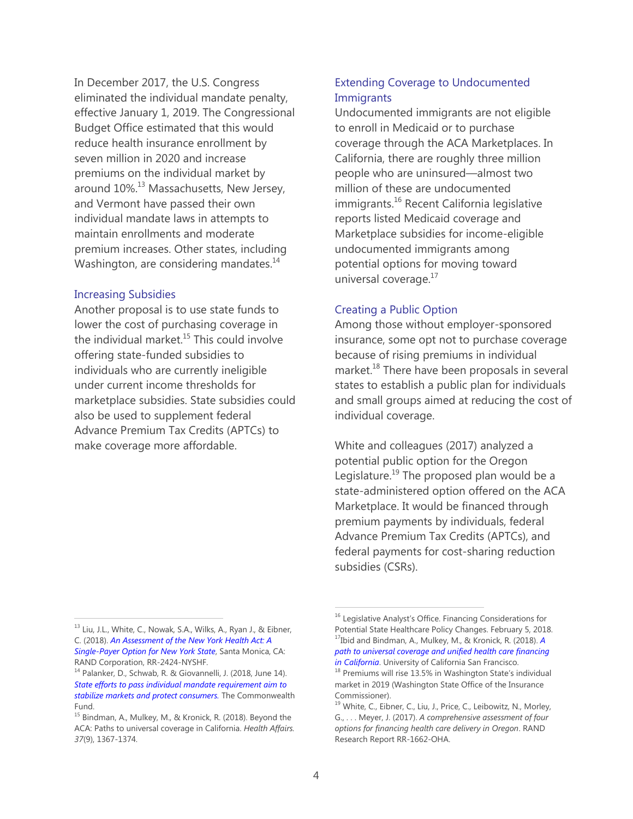In December 2017, the U.S. Congress eliminated the individual mandate penalty, effective January 1, 2019. The Congressional Budget Office estimated that this would reduce health insurance enrollment by seven million in 2020 and increase premiums on the individual market by around 10%.<sup>13</sup> Massachusetts, New Jersey, and Vermont have passed their own individual mandate laws in attempts to maintain enrollments and moderate premium increases. Other states, including Washington, are considering mandates.<sup>14</sup>

#### Increasing Subsidies

Another proposal is to use state funds to lower the cost of purchasing coverage in the individual market. $15$  This could involve offering state-funded subsidies to individuals who are currently ineligible under current income thresholds for marketplace subsidies. State subsidies could also be used to supplement federal Advance Premium Tax Credits (APTCs) to make coverage more affordable.

 $\overline{a}$ 

#### Extending Coverage to Undocumented **Immigrants**

Undocumented immigrants are not eligible to enroll in Medicaid or to purchase coverage through the ACA Marketplaces. In California, there are roughly three million people who are uninsured—almost two million of these are undocumented immigrants. <sup>16</sup> Recent California legislative reports listed Medicaid coverage and Marketplace subsidies for income-eligible undocumented immigrants among potential options for moving toward universal coverage.<sup>17</sup>

#### Creating a Public Option

Among those without employer-sponsored insurance, some opt not to purchase coverage because of rising premiums in individual market. <sup>18</sup> There have been proposals in several states to establish a public plan for individuals and small groups aimed at reducing the cost of individual coverage.

White and colleagues (2017) analyzed a potential public option for the Oregon Legislature.<sup>19</sup> The proposed plan would be a state-administered option offered on the ACA Marketplace. It would be financed through premium payments by individuals, federal Advance Premium Tax Credits (APTCs), and federal payments for cost-sharing reduction subsidies (CSRs).

<sup>&</sup>lt;sup>13</sup> Liu, J.L., White, C., Nowak, S.A., Wilks, A., Ryan J., & Eibner, C. (2018). *[An Assessment of the New York Health Act: A](http://www.rand.org/t/RR2424)  [Single-Payer Option for New York State](http://www.rand.org/t/RR2424)*, Santa Monica, CA: RAND Corporation, RR-2424-NYSHF.

<sup>&</sup>lt;sup>14</sup> Palanker, D., Schwab, R. & Giovannelli, J. (2018, June 14). *[State efforts to pass individual mandate requirement aim to](https://www.commonwealthfund.org/blog/2018/state-efforts-pass-individual-mandate-requirements-aim-stabilize-markets-and-protect)  [stabilize markets and protect consumers.](https://www.commonwealthfund.org/blog/2018/state-efforts-pass-individual-mandate-requirements-aim-stabilize-markets-and-protect)* The Commonwealth Fund.

<sup>&</sup>lt;sup>15</sup> Bindman, A., Mulkey, M., & Kronick, R. (2018). Beyond the ACA: Paths to universal coverage in California. *Health Affairs. 37*(9), 1367-1374.

<sup>&</sup>lt;sup>16</sup> Legislative Analyst's Office. Financing Considerations for Potential State Healthcare Policy Changes. February 5, 2018. <sup>17</sup>Ibid and Bindman, A., Mulkey, M., & Kronick, R. (2018). *[A](https://healthcare.assembly.ca.gov/sites/healthcare.assembly.ca.gov/files/Report%20Final%203_13_18.pdf)  [path to universal coverage and unified health care financing](https://healthcare.assembly.ca.gov/sites/healthcare.assembly.ca.gov/files/Report%20Final%203_13_18.pdf)  [in California](https://healthcare.assembly.ca.gov/sites/healthcare.assembly.ca.gov/files/Report%20Final%203_13_18.pdf)*. University of California San Francisco.

<sup>&</sup>lt;sup>18</sup> Premiums will rise 13.5% in Washington State's individual market in 2019 (Washington State Office of the Insurance Commissioner).

White, C., Eibner, C., Liu, J., Price, C., Leibowitz, N., Morley, G., . . . Meyer, J. (2017). *A comprehensive assessment of four options for financing health care delivery in Oregon*. RAND Research Report RR-1662-OHA.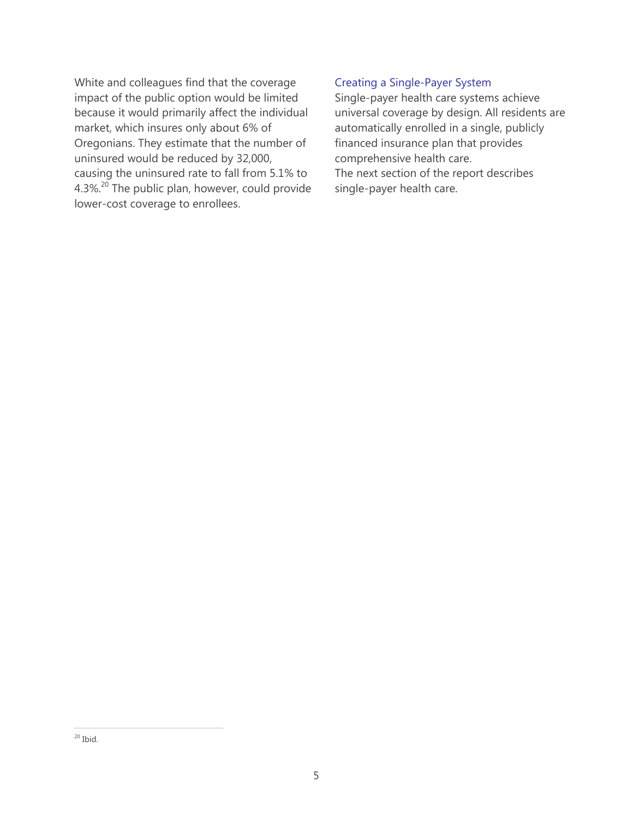White and colleagues find that the coverage impact of the public option would be limited because it would primarily affect the individual market, which insures only about 6% of Oregonians. They estimate that the number of uninsured would be reduced by 32,000, causing the uninsured rate to fall from 5.1% to 4.3%.<sup>20</sup> The public plan, however, could provide lower-cost coverage to enrollees.

### Creating a Single-Payer System

Single-payer health care systems achieve universal coverage by design. All residents are automatically enrolled in a single, publicly financed insurance plan that provides comprehensive health care. The next section of the report describes single-payer health care.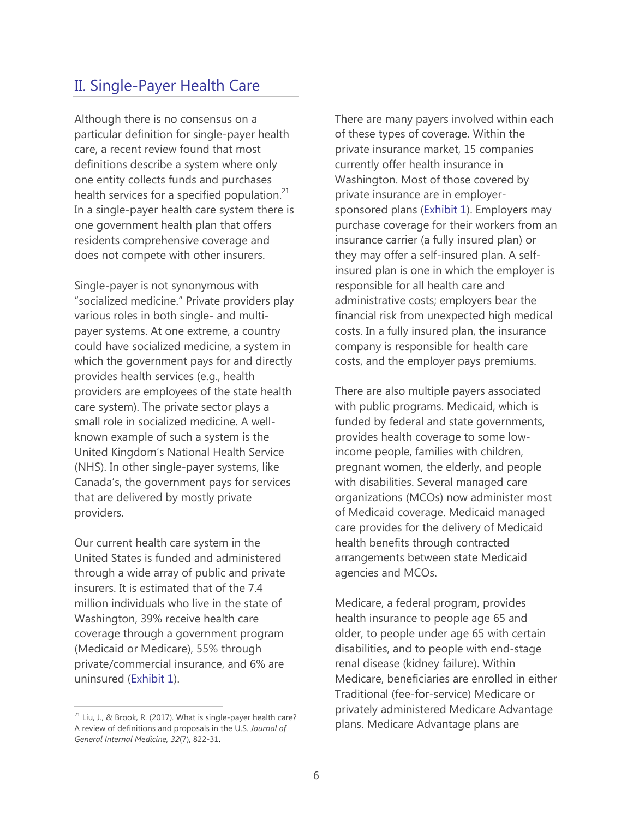# II. Single-Payer Health Care

Although there is no consensus on a particular definition for single-payer health care, a recent review found that most definitions describe a system where only one entity collects funds and purchases health services for a specified population.<sup>21</sup> In a single-payer health care system there is one government health plan that offers residents comprehensive coverage and does not compete with other insurers.

Single-payer is not synonymous with "socialized medicine." Private providers play various roles in both single- and multipayer systems. At one extreme, a country could have socialized medicine, a system in which the government pays for and directly provides health services (e.g., health providers are employees of the state health care system). The private sector plays a small role in socialized medicine. A wellknown example of such a system is the United Kingdom's National Health Service (NHS). In other single-payer systems, like Canada's, the government pays for services that are delivered by mostly private providers.

Our current health care system in the United States is funded and administered through a wide array of public and private insurers. It is estimated that of the 7.4 million individuals who live in the state of Washington, 39% receive health care coverage through a government program (Medicaid or Medicare), 55% through private/commercial insurance, and 6% are uninsured (Exhibit 1).

 $\overline{a}$ 

There are many payers involved within each of these types of coverage. Within the private insurance market, 15 companies currently offer health insurance in Washington. Most of those covered by private insurance are in employersponsored plans (Exhibit 1). Employers may purchase coverage for their workers from an insurance carrier (a fully insured plan) or they may offer a self-insured plan. A selfinsured plan is one in which the employer is responsible for all health care and administrative costs; employers bear the financial risk from unexpected high medical costs. In a fully insured plan, the insurance company is responsible for health care costs, and the employer pays premiums.

There are also multiple payers associated with public programs. Medicaid, which is funded by federal and state governments, provides health coverage to some lowincome people, families with children, pregnant women, the elderly, and people with disabilities. Several managed care organizations (MCOs) now administer most of Medicaid coverage. Medicaid managed care provides for the delivery of Medicaid health benefits through contracted arrangements between state Medicaid agencies and MCOs.

Medicare, a federal program, provides health insurance to people age 65 and older, to people under age 65 with certain disabilities, and to people with end-stage renal disease (kidney failure). Within Medicare, beneficiaries are enrolled in either Traditional (fee-for-service) Medicare or privately administered Medicare Advantage plans. Medicare Advantage plans are

 $21$  Liu, J., & Brook, R. (2017). What is single-payer health care? A review of definitions and proposals in the U.S. *Journal of General Internal Medicine, 32*(7), 822-31.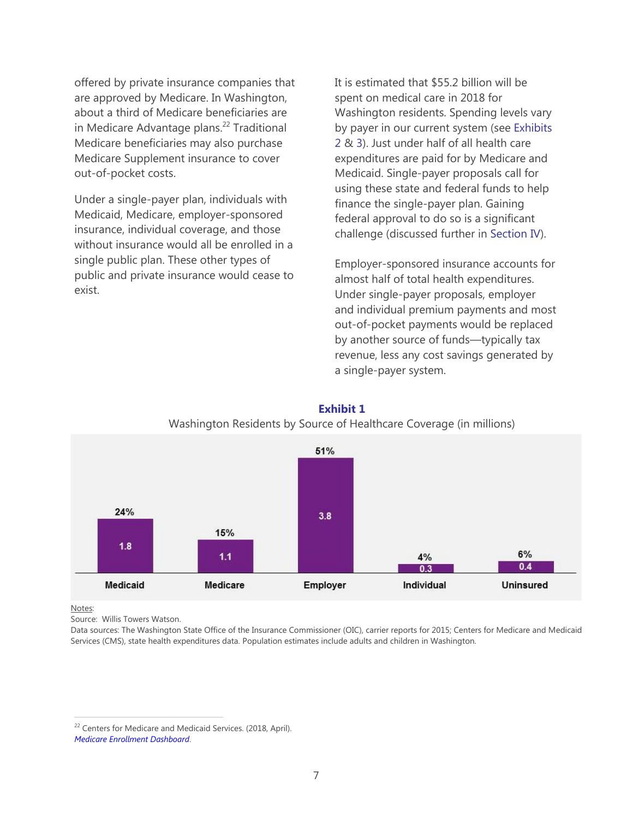offered by private insurance companies that are approved by Medicare. In Washington, about a third of Medicare beneficiaries are in Medicare Advantage plans.<sup>22</sup> Traditional Medicare beneficiaries may also purchase Medicare Supplement insurance to cover out-of-pocket costs.

Under a single-payer plan, individuals with Medicaid, Medicare, employer-sponsored insurance, individual coverage, and those without insurance would all be enrolled in a single public plan. These other types of public and private insurance would cease to exist.

It is estimated that \$55.2 billion will be spent on medical care in 2018 for Washington residents. Spending levels vary by payer in our current system (see Exhibits 2 & 3). Just under half of all health care expenditures are paid for by Medicare and Medicaid. Single-payer proposals call for using these state and federal funds to help finance the single-payer plan. Gaining federal approval to do so is a significant challenge (discussed further in Section IV).

Employer-sponsored insurance accounts for almost half of total health expenditures. Under single-payer proposals, employer and individual premium payments and most out-of-pocket payments would be replaced by another source of funds—typically tax revenue, less any cost savings generated by a single-payer system.





Notes:

 $\overline{a}$ 

Source: Willis Towers Watson.

Data sources: The Washington State Office of the Insurance Commissioner (OIC), carrier reports for 2015; Centers for Medicare and Medicaid Services (CMS), state health expenditures data. Population estimates include adults and children in Washington.

<sup>22</sup> Centers for Medicare and Medicaid Services. (2018, April). *[Medicare Enrollment Dashboard](https://www.cms.gov/Research-Statistics-Data-and-Systems/Statistics-Trends-and-Reports/CMSProgramStatistics/Dashboard.html)*.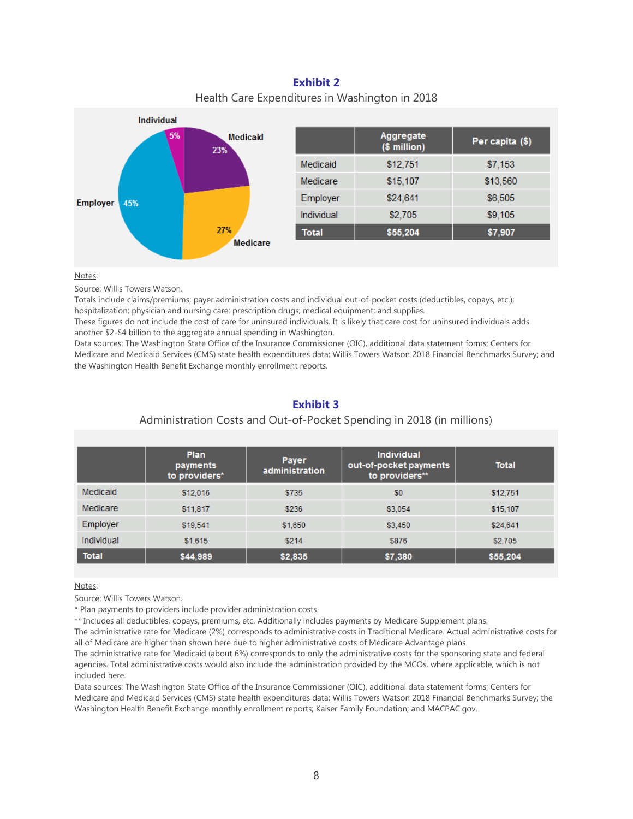**Exhibit 2** Health Care Expenditures in Washington in 2018



Notes:

Source: Willis Towers Watson.

Totals include claims/premiums; payer administration costs and individual out-of-pocket costs (deductibles, copays, etc.); hospitalization; physician and nursing care; prescription drugs; medical equipment; and supplies.

These figures do not include the cost of care for uninsured individuals. It is likely that care cost for uninsured individuals adds another \$2-\$4 billion to the aggregate annual spending in Washington.

Data sources: The Washington State Office of the Insurance Commissioner (OIC), additional data statement forms; Centers for Medicare and Medicaid Services (CMS) state health expenditures data; Willis Towers Watson 2018 Financial Benchmarks Survey; and the Washington Health Benefit Exchange monthly enrollment reports.

|              | Plan<br>payments<br>to providers* | Payer<br>administration | <b>Individual</b><br>out-of-pocket payments<br>to providers** | <b>Total</b> |
|--------------|-----------------------------------|-------------------------|---------------------------------------------------------------|--------------|
| Medicaid     | \$12,016                          | \$735                   | \$0                                                           | \$12,751     |
| Medicare     | \$11,817                          | \$236                   | \$3,054                                                       | \$15,107     |
| Employer     | \$19,541                          | \$1,650                 | \$3,450                                                       | \$24,641     |
| Individual   | \$1,615                           | \$214                   | \$876                                                         | \$2,705      |
| <b>Total</b> | \$44,989                          | \$2,835                 | \$7,380                                                       | \$55,204     |

#### **Exhibit 3**

#### Administration Costs and Out-of-Pocket Spending in 2018 (in millions)

Notes:

Source: Willis Towers Watson.

\* Plan payments to providers include provider administration costs.

\*\* Includes all deductibles, copays, premiums, etc. Additionally includes payments by Medicare Supplement plans.

The administrative rate for Medicare (2%) corresponds to administrative costs in Traditional Medicare. Actual administrative costs for all of Medicare are higher than shown here due to higher administrative costs of Medicare Advantage plans.

The administrative rate for Medicaid (about 6%) corresponds to only the administrative costs for the sponsoring state and federal agencies. Total administrative costs would also include the administration provided by the MCOs, where applicable, which is not included here.

Data sources: The Washington State Office of the Insurance Commissioner (OIC), additional data statement forms; Centers for Medicare and Medicaid Services (CMS) state health expenditures data; Willis Towers Watson 2018 Financial Benchmarks Survey; the Washington Health Benefit Exchange monthly enrollment reports; Kaiser Family Foundation; and MACPAC.gov.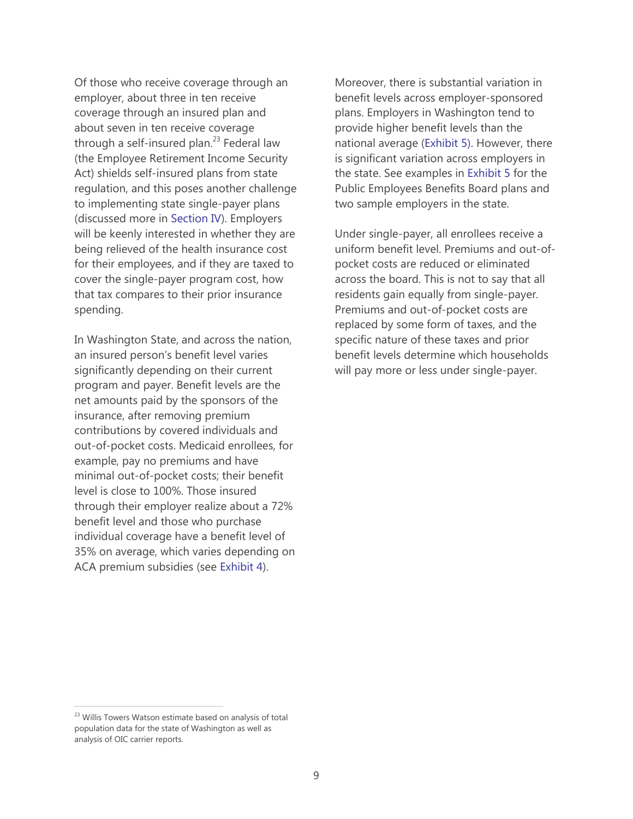Of those who receive coverage through an employer, about three in ten receive coverage through an insured plan and about seven in ten receive coverage through a self-insured plan. $23$  Federal law (the Employee Retirement Income Security Act) shields self-insured plans from state regulation, and this poses another challenge to implementing state single-payer plans (discussed more in Section IV). Employers will be keenly interested in whether they are being relieved of the health insurance cost for their employees, and if they are taxed to cover the single-payer program cost, how that tax compares to their prior insurance spending.

In Washington State, and across the nation, an insured person's benefit level varies significantly depending on their current program and payer. Benefit levels are the net amounts paid by the sponsors of the insurance, after removing premium contributions by covered individuals and out-of-pocket costs. Medicaid enrollees, for example, pay no premiums and have minimal out-of-pocket costs; their benefit level is close to 100%. Those insured through their employer realize about a 72% benefit level and those who purchase individual coverage have a benefit level of 35% on average, which varies depending on ACA premium subsidies (see Exhibit 4).

Moreover, there is substantial variation in benefit levels across employer-sponsored plans. Employers in Washington tend to provide higher benefit levels than the national average (Exhibit 5). However, there is significant variation across employers in the state. See examples in Exhibit 5 for the Public Employees Benefits Board plans and two sample employers in the state.

Under single-payer, all enrollees receive a uniform benefit level. Premiums and out-ofpocket costs are reduced or eliminated across the board. This is not to say that all residents gain equally from single-payer. Premiums and out-of-pocket costs are replaced by some form of taxes, and the specific nature of these taxes and prior benefit levels determine which households will pay more or less under single-payer.

<sup>&</sup>lt;sup>23</sup> Willis Towers Watson estimate based on analysis of total population data for the state of Washington as well as analysis of OIC carrier reports.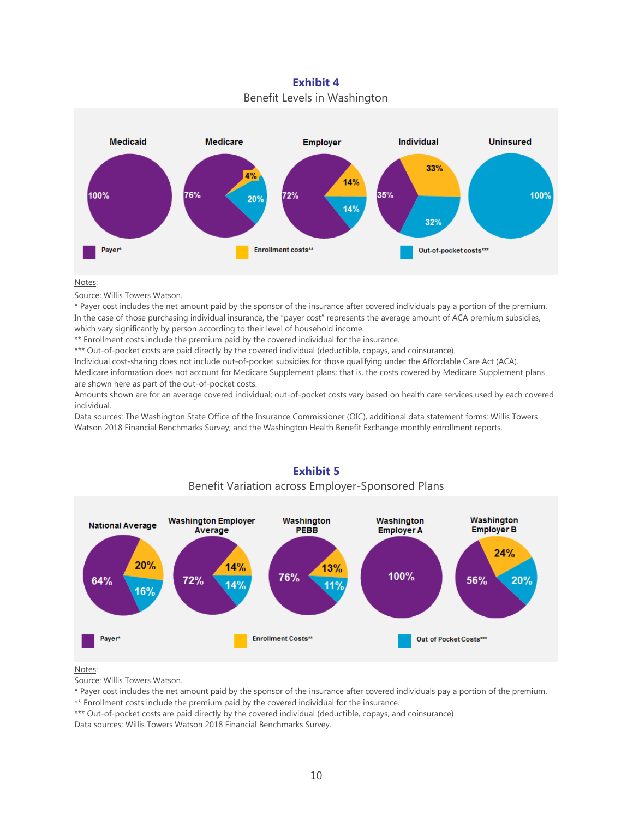**Exhibit 4** Benefit Levels in Washington



#### Notes:

Source: Willis Towers Watson.

\* Payer cost includes the net amount paid by the sponsor of the insurance after covered individuals pay a portion of the premium. In the case of those purchasing individual insurance, the "payer cost" represents the average amount of ACA premium subsidies, which vary significantly by person according to their level of household income.

\*\* Enrollment costs include the premium paid by the covered individual for the insurance.

\*\*\* Out-of-pocket costs are paid directly by the covered individual (deductible, copays, and coinsurance).

Individual cost-sharing does not include out-of-pocket subsidies for those qualifying under the Affordable Care Act (ACA).

Medicare information does not account for Medicare Supplement plans; that is, the costs covered by Medicare Supplement plans are shown here as part of the out-of-pocket costs.

Amounts shown are for an average covered individual; out-of-pocket costs vary based on health care services used by each covered individual.

Data sources: The Washington State Office of the Insurance Commissioner (OIC), additional data statement forms; Willis Towers Watson 2018 Financial Benchmarks Survey; and the Washington Health Benefit Exchange monthly enrollment reports.



# **Exhibit 5**

Notes:

Source: Willis Towers Watson.

\* Payer cost includes the net amount paid by the sponsor of the insurance after covered individuals pay a portion of the premium.

\*\* Enrollment costs include the premium paid by the covered individual for the insurance.

\*\*\* Out-of-pocket costs are paid directly by the covered individual (deductible, copays, and coinsurance).

Data sources: Willis Towers Watson 2018 Financial Benchmarks Survey.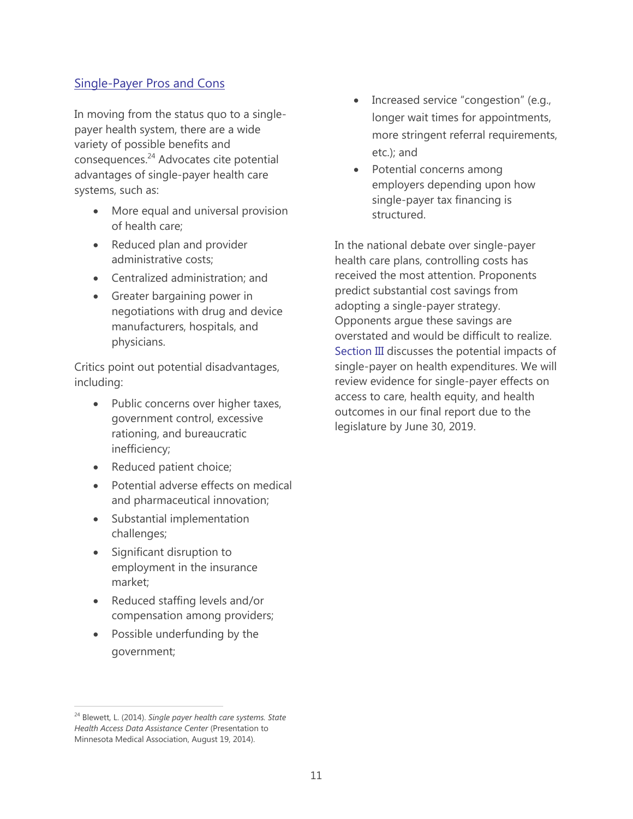### Single-Payer Pros and Cons

In moving from the status quo to a singlepayer health system, there are a wide variety of possible benefits and consequences.<sup>24</sup> Advocates cite potential advantages of single-payer health care systems, such as:

- More equal and universal provision of health care;
- Reduced plan and provider administrative costs;
- Centralized administration; and
- Greater bargaining power in negotiations with drug and device manufacturers, hospitals, and physicians.

Critics point out potential disadvantages, including:

- Public concerns over higher taxes, government control, excessive rationing, and bureaucratic inefficiency;
- Reduced patient choice;
- Potential adverse effects on medical and pharmaceutical innovation;
- Substantial implementation challenges;
- Significant disruption to employment in the insurance market;
- Reduced staffing levels and/or compensation among providers;
- Possible underfunding by the government;

 Potential concerns among employers depending upon how single-payer tax financing is structured.

In the national debate over single-payer health care plans, controlling costs has received the most attention. Proponents predict substantial cost savings from adopting a single-payer strategy. Opponents argue these savings are overstated and would be difficult to realize. Section III discusses the potential impacts of single-payer on health expenditures. We will review evidence for single-payer effects on access to care, health equity, and health outcomes in our final report due to the legislature by June 30, 2019.

<sup>•</sup> Increased service "congestion" (e.g., longer wait times for appointments, more stringent referral requirements, etc.); and

<sup>24</sup> Blewett, L. (2014). *Single payer health care systems. State Health Access Data Assistance Center* (Presentation to Minnesota Medical Association, August 19, 2014).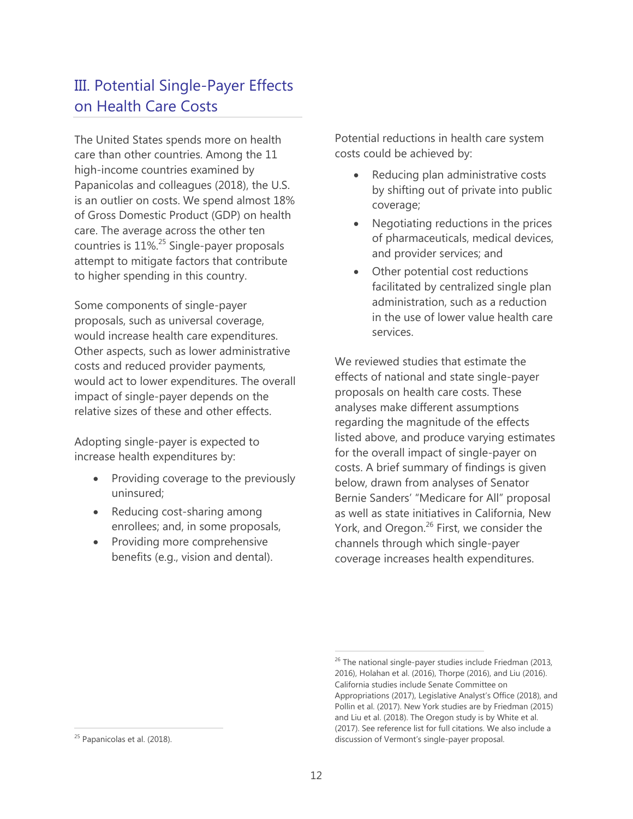# III. Potential Single-Payer Effects on Health Care Costs

The United States spends more on health care than other countries. Among the 11 high-income countries examined by Papanicolas and colleagues (2018), the U.S. is an outlier on costs. We spend almost 18% of Gross Domestic Product (GDP) on health care. The average across the other ten countries is 11%. <sup>25</sup> Single-payer proposals attempt to mitigate factors that contribute to higher spending in this country.

Some components of single-payer proposals, such as universal coverage, would increase health care expenditures. Other aspects, such as lower administrative costs and reduced provider payments, would act to lower expenditures. The overall impact of single-payer depends on the relative sizes of these and other effects.

Adopting single-payer is expected to increase health expenditures by:

- Providing coverage to the previously uninsured;
- Reducing cost-sharing among enrollees; and, in some proposals,
- Providing more comprehensive benefits (e.g., vision and dental).

Potential reductions in health care system costs could be achieved by:

- Reducing plan administrative costs by shifting out of private into public coverage;
- Negotiating reductions in the prices of pharmaceuticals, medical devices, and provider services; and
- Other potential cost reductions facilitated by centralized single plan administration, such as a reduction in the use of lower value health care services.

We reviewed studies that estimate the effects of national and state single-payer proposals on health care costs. These analyses make different assumptions regarding the magnitude of the effects listed above, and produce varying estimates for the overall impact of single-payer on costs. A brief summary of findings is given below, drawn from analyses of Senator Bernie Sanders' "Medicare for All" proposal as well as state initiatives in California, New York, and Oregon.<sup>26</sup> First, we consider the channels through which single-payer coverage increases health expenditures.

 $\overline{a}$ 

 $26$  The national single-payer studies include Friedman (2013, 2016), Holahan et al. (2016), Thorpe (2016), and Liu (2016). California studies include Senate Committee on Appropriations (2017), Legislative Analyst's Office (2018), and Pollin et al. (2017). New York studies are by Friedman (2015) and Liu et al. (2018). The Oregon study is by White et al. (2017). See reference list for full citations. We also include a discussion of Vermont's single-payer proposal.

<sup>&</sup>lt;sup>25</sup> Papanicolas et al. (2018).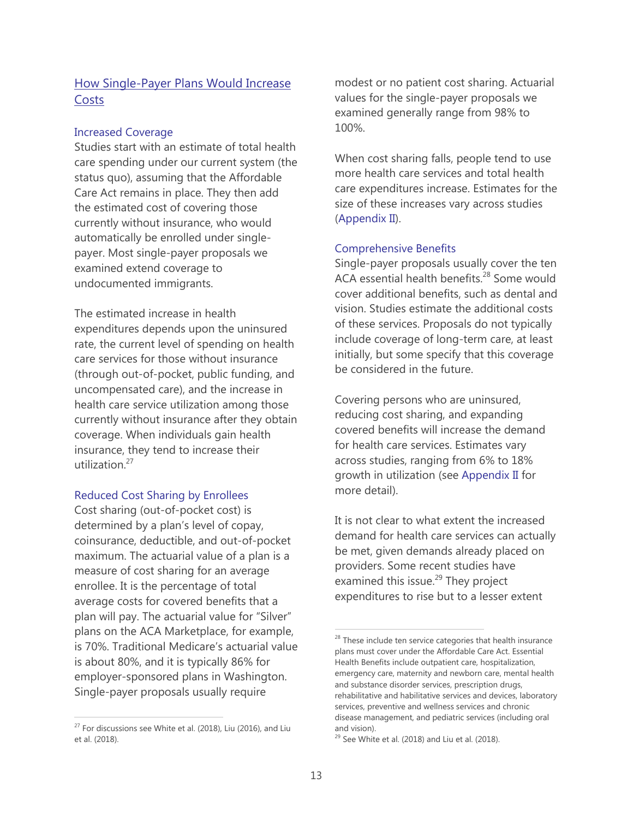## How Single-Payer Plans Would Increase **Costs**

#### Increased Coverage

Studies start with an estimate of total health care spending under our current system (the status quo), assuming that the Affordable Care Act remains in place. They then add the estimated cost of covering those currently without insurance, who would automatically be enrolled under singlepayer. Most single-payer proposals we examined extend coverage to undocumented immigrants.

The estimated increase in health expenditures depends upon the uninsured rate, the current level of spending on health care services for those without insurance (through out-of-pocket, public funding, and uncompensated care), and the increase in health care service utilization among those currently without insurance after they obtain coverage. When individuals gain health insurance, they tend to increase their utilization.<sup>27</sup>

#### Reduced Cost Sharing by Enrollees

Cost sharing (out-of-pocket cost) is determined by a plan's level of copay, coinsurance, deductible, and out-of-pocket maximum. The actuarial value of a plan is a measure of cost sharing for an average enrollee. It is the percentage of total average costs for covered benefits that a plan will pay. The actuarial value for "Silver" plans on the ACA Marketplace, for example, is 70%. Traditional Medicare's actuarial value is about 80%, and it is typically 86% for employer-sponsored plans in Washington. Single-payer proposals usually require

 $27$  For discussions see White et al. (2018), Liu (2016), and Liu et al. (2018).

 $\overline{a}$ 

modest or no patient cost sharing. Actuarial values for the single-payer proposals we examined generally range from 98% to 100%.

When cost sharing falls, people tend to use more health care services and total health care expenditures increase. Estimates for the size of these increases vary across studies (Appendix II).

#### Comprehensive Benefits

Single-payer proposals usually cover the ten ACA essential health benefits. $28$  Some would cover additional benefits, such as dental and vision. Studies estimate the additional costs of these services. Proposals do not typically include coverage of long-term care, at least initially, but some specify that this coverage be considered in the future.

Covering persons who are uninsured, reducing cost sharing, and expanding covered benefits will increase the demand for health care services. Estimates vary across studies, ranging from 6% to 18% growth in utilization (see Appendix II for more detail).

It is not clear to what extent the increased demand for health care services can actually be met, given demands already placed on providers. Some recent studies have examined this issue. $29$  They project expenditures to rise but to a lesser extent

 $^\mathrm{28}$  These include ten service categories that health insurance plans must cover under the Affordable Care Act. Essential Health Benefits include outpatient care, hospitalization, emergency care, maternity and newborn care, mental health and substance disorder services, prescription drugs, rehabilitative and habilitative services and devices, laboratory services, preventive and wellness services and chronic disease management, and pediatric services (including oral and vision).

 $29$  See White et al. (2018) and Liu et al. (2018).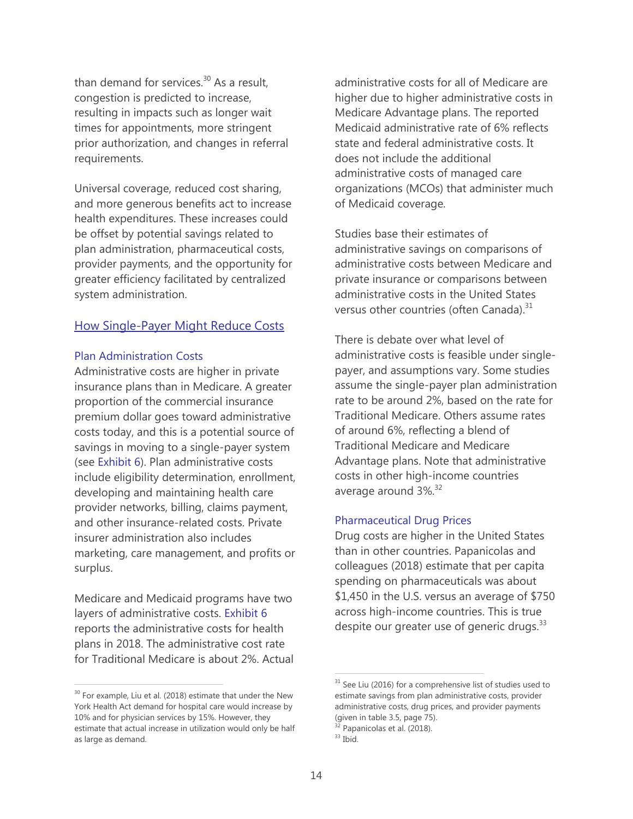than demand for services. $30$  As a result, congestion is predicted to increase, resulting in impacts such as longer wait times for appointments, more stringent prior authorization, and changes in referral requirements.

Universal coverage, reduced cost sharing, and more generous benefits act to increase health expenditures. These increases could be offset by potential savings related to plan administration, pharmaceutical costs, provider payments, and the opportunity for greater efficiency facilitated by centralized system administration.

#### How Single-Payer Might Reduce Costs

#### Plan Administration Costs

Administrative costs are higher in private insurance plans than in Medicare. A greater proportion of the commercial insurance premium dollar goes toward administrative costs today, and this is a potential source of savings in moving to a single-payer system (see Exhibit 6). Plan administrative costs include eligibility determination, enrollment, developing and maintaining health care provider networks, billing, claims payment, and other insurance-related costs. Private insurer administration also includes marketing, care management, and profits or surplus.

Medicare and Medicaid programs have two layers of administrative costs. Exhibit 6 reports the administrative costs for health plans in 2018. The administrative cost rate for Traditional Medicare is about 2%. Actual

 $\overline{a}$ 

administrative costs for all of Medicare are higher due to higher administrative costs in Medicare Advantage plans. The reported Medicaid administrative rate of 6% reflects state and federal administrative costs. It does not include the additional administrative costs of managed care organizations (MCOs) that administer much of Medicaid coverage.

Studies base their estimates of administrative savings on comparisons of administrative costs between Medicare and private insurance or comparisons between administrative costs in the United States versus other countries (often Canada). $31$ 

There is debate over what level of administrative costs is feasible under singlepayer, and assumptions vary. Some studies assume the single-payer plan administration rate to be around 2%, based on the rate for Traditional Medicare. Others assume rates of around 6%, reflecting a blend of Traditional Medicare and Medicare Advantage plans. Note that administrative costs in other high-income countries average around 3%.<sup>32</sup>

#### Pharmaceutical Drug Prices

Drug costs are higher in the United States than in other countries. Papanicolas and colleagues (2018) estimate that per capita spending on pharmaceuticals was about \$1,450 in the U.S. versus an average of \$750 across high-income countries. This is true despite our greater use of generic drugs.<sup>33</sup>

 $30$  For example, Liu et al. (2018) estimate that under the New York Health Act demand for hospital care would increase by 10% and for physician services by 15%. However, they estimate that actual increase in utilization would only be half as large as demand.

 $31$  See Liu (2016) for a comprehensive list of studies used to estimate savings from plan administrative costs, provider administrative costs, drug prices, and provider payments (given in table 3.5, page 75).

 $\frac{32}{2}$  Papanicolas et al. (2018).

<sup>&</sup>lt;sup>33</sup> Ibid.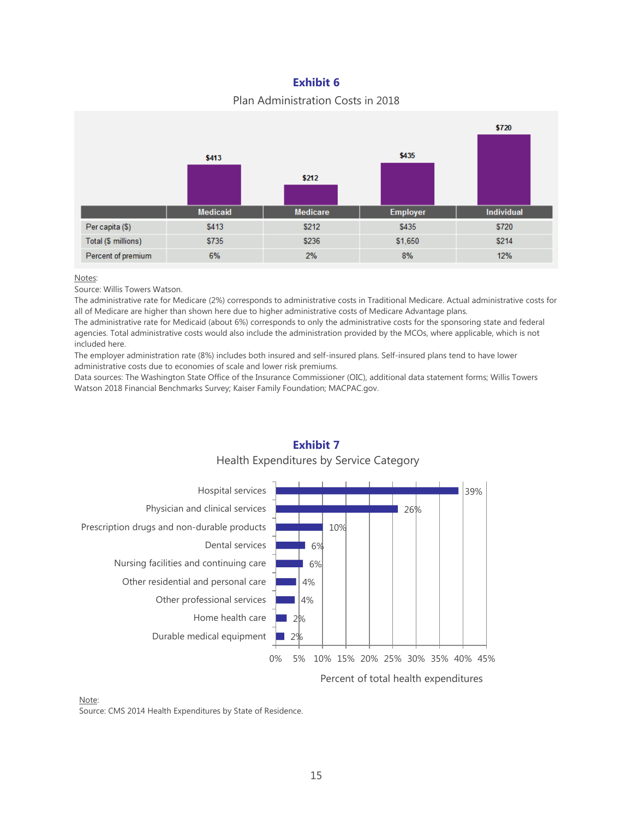#### **Exhibit 6**

#### Plan Administration Costs in 2018



#### Notes:

Source: Willis Towers Watson.

The administrative rate for Medicare (2%) corresponds to administrative costs in Traditional Medicare. Actual administrative costs for all of Medicare are higher than shown here due to higher administrative costs of Medicare Advantage plans.

The administrative rate for Medicaid (about 6%) corresponds to only the administrative costs for the sponsoring state and federal agencies. Total administrative costs would also include the administration provided by the MCOs, where applicable, which is not included here.

The employer administration rate (8%) includes both insured and self-insured plans. Self-insured plans tend to have lower administrative costs due to economies of scale and lower risk premiums.

Data sources: The Washington State Office of the Insurance Commissioner (OIC), additional data statement forms; Willis Towers Watson 2018 Financial Benchmarks Survey; Kaiser Family Foundation; MACPAC.gov.



#### **Exhibit 7** Health Expenditures by Service Category

Note:

Source: CMS 2014 Health Expenditures by State of Residence.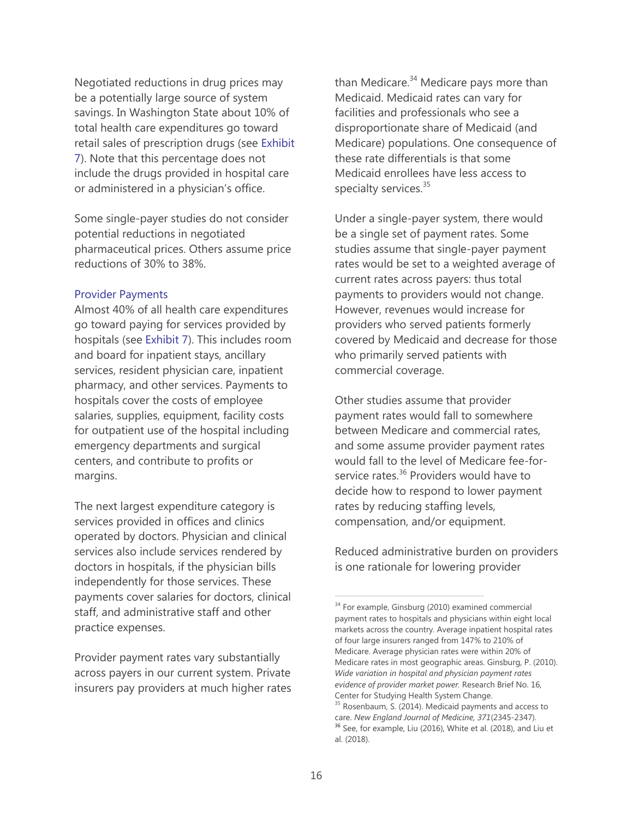Negotiated reductions in drug prices may be a potentially large source of system savings. In Washington State about 10% of total health care expenditures go toward retail sales of prescription drugs (see Exhibit 7). Note that this percentage does not include the drugs provided in hospital care or administered in a physician's office.

Some single-payer studies do not consider potential reductions in negotiated pharmaceutical prices. Others assume price reductions of 30% to 38%.

#### Provider Payments

Almost 40% of all health care expenditures go toward paying for services provided by hospitals (see Exhibit 7). This includes room and board for inpatient stays, ancillary services, resident physician care, inpatient pharmacy, and other services. Payments to hospitals cover the costs of employee salaries, supplies, equipment, facility costs for outpatient use of the hospital including emergency departments and surgical centers, and contribute to profits or margins.

The next largest expenditure category is services provided in offices and clinics operated by doctors. Physician and clinical services also include services rendered by doctors in hospitals, if the physician bills independently for those services. These payments cover salaries for doctors, clinical staff, and administrative staff and other practice expenses.

Provider payment rates vary substantially across payers in our current system. Private insurers pay providers at much higher rates than Medicare.<sup>34</sup> Medicare pays more than Medicaid. Medicaid rates can vary for facilities and professionals who see a disproportionate share of Medicaid (and Medicare) populations. One consequence of these rate differentials is that some Medicaid enrollees have less access to specialty services.<sup>35</sup>

Under a single-payer system, there would be a single set of payment rates. Some studies assume that single-payer payment rates would be set to a weighted average of current rates across payers: thus total payments to providers would not change. However, revenues would increase for providers who served patients formerly covered by Medicaid and decrease for those who primarily served patients with commercial coverage.

Other studies assume that provider payment rates would fall to somewhere between Medicare and commercial rates, and some assume provider payment rates would fall to the level of Medicare fee-forservice rates.<sup>36</sup> Providers would have to decide how to respond to lower payment rates by reducing staffing levels, compensation, and/or equipment.

Reduced administrative burden on providers is one rationale for lowering provider

<sup>&</sup>lt;sup>34</sup> For example, Ginsburg (2010) examined commercial payment rates to hospitals and physicians within eight local markets across the country. Average inpatient hospital rates of four large insurers ranged from 147% to 210% of Medicare. Average physician rates were within 20% of Medicare rates in most geographic areas. Ginsburg, P. (2010). *Wide variation in hospital and physician payment rates evidence of provider market power.* Research Brief No. 16, Center for Studying Health System Change.

<sup>&</sup>lt;sup>35</sup> Rosenbaum, S. (2014). Medicaid payments and access to care. *New England Journal of Medicine, 371*(2345-2347). <sup>36</sup> See, for example, Liu (2016), White et al. (2018), and Liu et al. (2018).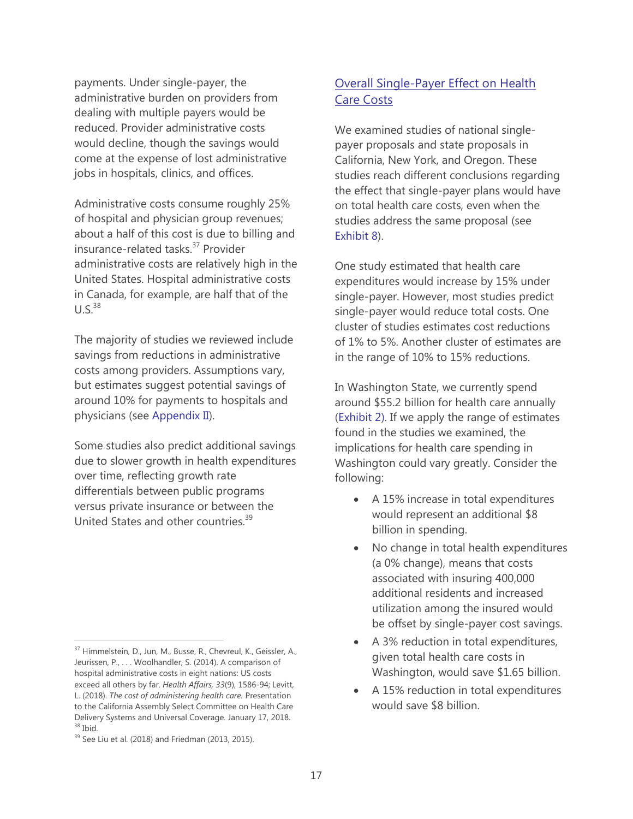payments. Under single-payer, the administrative burden on providers from dealing with multiple payers would be reduced. Provider administrative costs would decline, though the savings would come at the expense of lost administrative jobs in hospitals, clinics, and offices.

Administrative costs consume roughly 25% of hospital and physician group revenues; about a half of this cost is due to billing and insurance-related tasks. <sup>37</sup> Provider administrative costs are relatively high in the United States. Hospital administrative costs in Canada, for example, are half that of the  $U.S.<sup>38</sup>$ 

The majority of studies we reviewed include savings from reductions in administrative costs among providers. Assumptions vary, but estimates suggest potential savings of around 10% for payments to hospitals and physicians (see Appendix II).

Some studies also predict additional savings due to slower growth in health expenditures over time, reflecting growth rate differentials between public programs versus private insurance or between the United States and other countries  $39$ 

 $\overline{a}$ 

## Overall Single-Payer Effect on Health Care Costs

We examined studies of national singlepayer proposals and state proposals in California, New York, and Oregon. These studies reach different conclusions regarding the effect that single-payer plans would have on total health care costs, even when the studies address the same proposal (see Exhibit 8).

One study estimated that health care expenditures would increase by 15% under single-payer. However, most studies predict single-payer would reduce total costs. One cluster of studies estimates cost reductions of 1% to 5%. Another cluster of estimates are in the range of 10% to 15% reductions.

In Washington State, we currently spend around \$55.2 billion for health care annually (Exhibit 2). If we apply the range of estimates found in the studies we examined, the implications for health care spending in Washington could vary greatly. Consider the following:

- A 15% increase in total expenditures would represent an additional \$8 billion in spending.
- No change in total health expenditures (a 0% change), means that costs associated with insuring 400,000 additional residents and increased utilization among the insured would be offset by single-payer cost savings.
- A 3% reduction in total expenditures, given total health care costs in Washington, would save \$1.65 billion.
- A 15% reduction in total expenditures would save \$8 billion.

<sup>&</sup>lt;sup>37</sup> Himmelstein, D., Jun, M., Busse, R., Chevreul, K., Geissler, A., Jeurissen, P., . . . Woolhandler, S. (2014). A comparison of hospital administrative costs in eight nations: US costs exceed all others by far. *Health Affairs, 33*(9), 1586-94; Levitt, L. (2018). *The cost of administering health care.* Presentation to the California Assembly Select Committee on Health Care Delivery Systems and Universal Coverage. January 17, 2018. <sup>38</sup> Ibid.

<sup>&</sup>lt;sup>39</sup> See Liu et al. (2018) and Friedman (2013, 2015).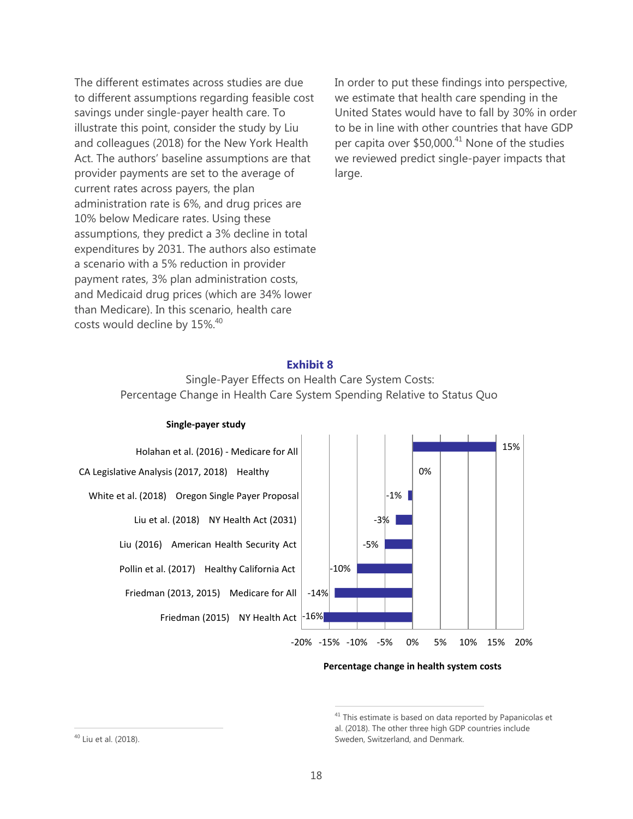The different estimates across studies are due to different assumptions regarding feasible cost savings under single-payer health care. To illustrate this point, consider the study by Liu and colleagues (2018) for the New York Health Act. The authors' baseline assumptions are that provider payments are set to the average of current rates across payers, the plan administration rate is 6%, and drug prices are 10% below Medicare rates. Using these assumptions, they predict a 3% decline in total expenditures by 2031. The authors also estimate a scenario with a 5% reduction in provider payment rates, 3% plan administration costs, and Medicaid drug prices (which are 34% lower than Medicare). In this scenario, health care costs would decline by 15%.<sup>40</sup>

In order to put these findings into perspective, we estimate that health care spending in the United States would have to fall by 30% in order to be in line with other countries that have GDP per capita over  $$50,000.<sup>41</sup>$  None of the studies we reviewed predict single-payer impacts that large.

#### **Exhibit 8**





# **Single-payer study**

#### **Percentage change in health system costs**

 $41$  This estimate is based on data reported by Papanicolas et al. (2018). The other three high GDP countries include Sweden, Switzerland, and Denmark.

<sup>40</sup> Liu et al. (2018).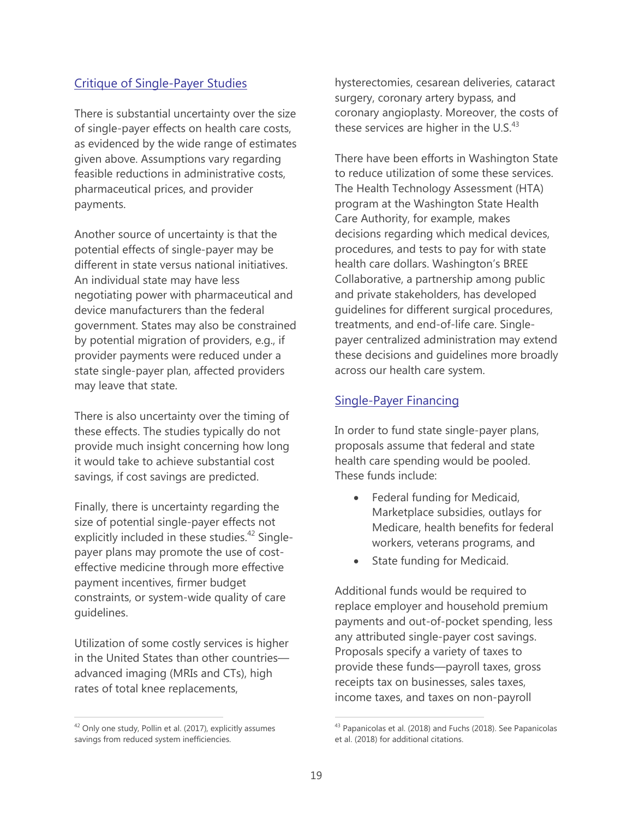### Critique of Single-Payer Studies

There is substantial uncertainty over the size of single-payer effects on health care costs, as evidenced by the wide range of estimates given above. Assumptions vary regarding feasible reductions in administrative costs, pharmaceutical prices, and provider payments.

Another source of uncertainty is that the potential effects of single-payer may be different in state versus national initiatives. An individual state may have less negotiating power with pharmaceutical and device manufacturers than the federal government. States may also be constrained by potential migration of providers, e.g., if provider payments were reduced under a state single-payer plan, affected providers may leave that state.

There is also uncertainty over the timing of these effects. The studies typically do not provide much insight concerning how long it would take to achieve substantial cost savings, if cost savings are predicted.

Finally, there is uncertainty regarding the size of potential single-payer effects not explicitly included in these studies.<sup>42</sup> Singlepayer plans may promote the use of costeffective medicine through more effective payment incentives, firmer budget constraints, or system-wide quality of care guidelines.

Utilization of some costly services is higher in the United States than other countries advanced imaging (MRIs and CTs), high rates of total knee replacements,

 $\overline{a}$ 

hysterectomies, cesarean deliveries, cataract surgery, coronary artery bypass, and coronary angioplasty. Moreover, the costs of these services are higher in the U.S. $43$ 

There have been efforts in Washington State to reduce utilization of some these services. The Health Technology Assessment (HTA) program at the Washington State Health Care Authority, for example, makes decisions regarding which medical devices, procedures, and tests to pay for with state health care dollars. Washington's BREE Collaborative, a partnership among public and private stakeholders, has developed guidelines for different surgical procedures, treatments, and end-of-life care. Singlepayer centralized administration may extend these decisions and guidelines more broadly across our health care system.

#### Single-Payer Financing

In order to fund state single-payer plans, proposals assume that federal and state health care spending would be pooled. These funds include:

- Federal funding for Medicaid, Marketplace subsidies, outlays for Medicare, health benefits for federal workers, veterans programs, and
- State funding for Medicaid.

Additional funds would be required to replace employer and household premium payments and out-of-pocket spending, less any attributed single-payer cost savings. Proposals specify a variety of taxes to provide these funds—payroll taxes, gross receipts tax on businesses, sales taxes, income taxes, and taxes on non-payroll

<sup>&</sup>lt;sup>42</sup> Only one study, Pollin et al. (2017), explicitly assumes savings from reduced system inefficiencies.

<sup>43</sup> Papanicolas et al. (2018) and Fuchs (2018). See Papanicolas et al. (2018) for additional citations.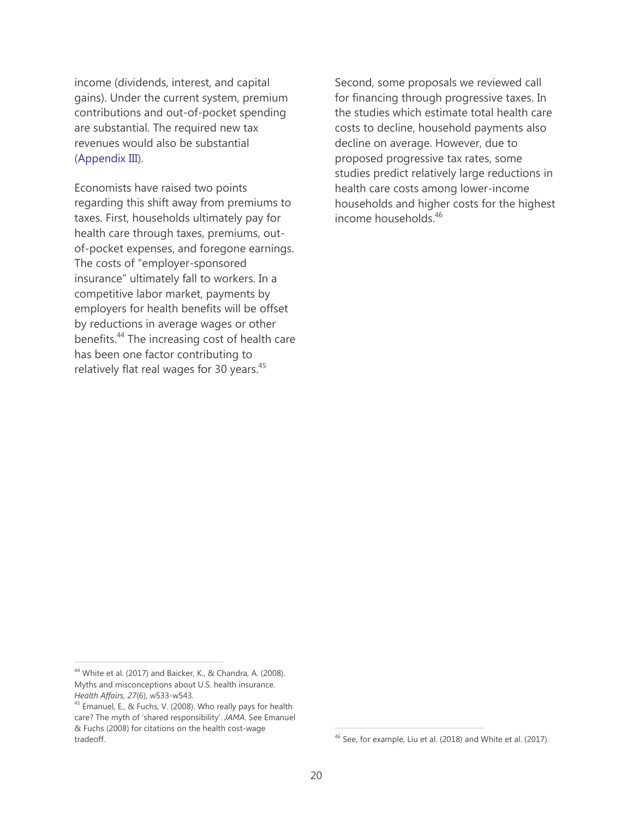income (dividends, interest, and capital gains). Under the current system, premium contributions and out-of-pocket spending are substantial. The required new tax revenues would also be substantial (Appendix III).

Economists have raised two points regarding this shift away from premiums to taxes. First, households ultimately pay for health care through taxes, premiums, outof-pocket expenses, and foregone earnings. The costs of "employer-sponsored insurance" ultimately fall to workers. In a competitive labor market, payments by employers for health benefits will be offset by reductions in average wages or other benefits. <sup>44</sup> The increasing cost of health care has been one factor contributing to relatively flat real wages for 30 years. $45$ 

Second, some proposals we reviewed call for financing through progressive taxes. In the studies which estimate total health care costs to decline, household payments also decline on average. However, due to proposed progressive tax rates, some studies predict relatively large reductions in health care costs among lower-income households and higher costs for the highest income households.<sup>46</sup>

 $\overline{a}$ 

<sup>&</sup>lt;sup>44</sup> White et al. (2017) and Baicker, K., & Chandra, A. (2008). Myths and misconceptions about U.S. health insurance. *Health Affairs, 27*(6), w533-w543.

<sup>&</sup>lt;sup>45</sup> Emanuel, E., & Fuchs, V. (2008). Who really pays for health care? The myth of 'shared responsibility'. *JAMA*. See Emanuel & Fuchs (2008) for citations on the health cost-wage tradeoff.

<sup>&</sup>lt;sup>46</sup> See, for example, Liu et al. (2018) and White et al. (2017).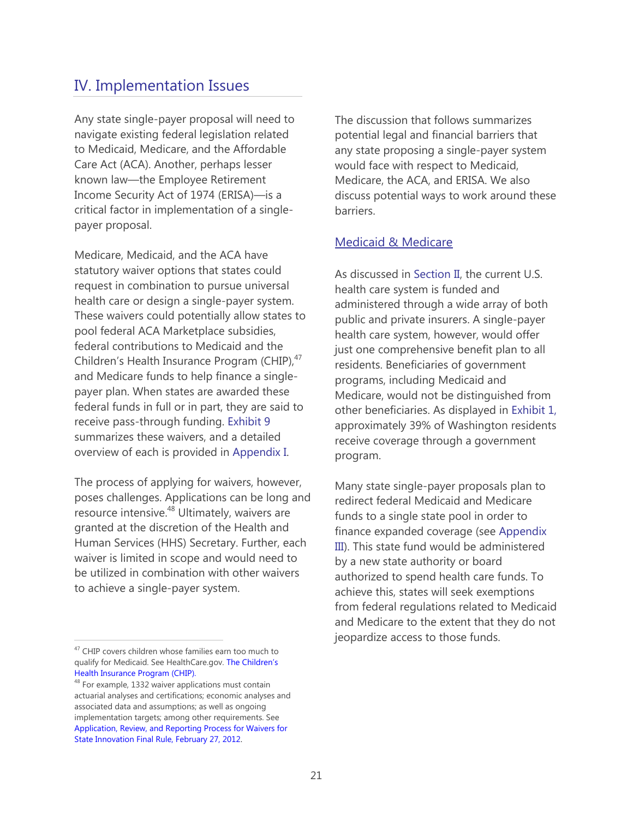# IV. Implementation Issues

Any state single-payer proposal will need to navigate existing federal legislation related to Medicaid, Medicare, and the Affordable Care Act (ACA). Another, perhaps lesser known law—the Employee Retirement Income Security Act of 1974 (ERISA)—is a critical factor in implementation of a singlepayer proposal.

Medicare, Medicaid, and the ACA have statutory waiver options that states could request in combination to pursue universal health care or design a single-payer system. These waivers could potentially allow states to pool federal ACA Marketplace subsidies, federal contributions to Medicaid and the Children's Health Insurance Program (CHIP),<sup>47</sup> and Medicare funds to help finance a singlepayer plan. When states are awarded these federal funds in full or in part, they are said to receive pass-through funding. Exhibit 9 summarizes these waivers, and a detailed overview of each is provided in Appendix I.

The process of applying for waivers, however, poses challenges. Applications can be long and resource intensive.<sup>48</sup> Ultimately, waivers are granted at the discretion of the Health and Human Services (HHS) Secretary. Further, each waiver is limited in scope and would need to be utilized in combination with other waivers to achieve a single-payer system.

 $\overline{a}$ 

The discussion that follows summarizes potential legal and financial barriers that any state proposing a single-payer system would face with respect to Medicaid, Medicare, the ACA, and ERISA. We also discuss potential ways to work around these barriers.

#### Medicaid & Medicare

As discussed in Section II, the current U.S. health care system is funded and administered through a wide array of both public and private insurers. A single-payer health care system, however, would offer just one comprehensive benefit plan to all residents. Beneficiaries of government programs, including Medicaid and Medicare, would not be distinguished from other beneficiaries. As displayed in Exhibit 1, approximately 39% of Washington residents receive coverage through a government program.

Many state single-payer proposals plan to redirect federal Medicaid and Medicare funds to a single state pool in order to finance expanded coverage (see Appendix III). This state fund would be administered by a new state authority or board authorized to spend health care funds. To achieve this, states will seek exemptions from federal regulations related to Medicaid and Medicare to the extent that they do not jeopardize access to those funds.

<sup>&</sup>lt;sup>47</sup> CHIP covers children whose families earn too much to qualify for Medicaid. See HealthCare.gov. [The Children's](https://www.healthcare.gov/medicaid-chip/childrens-health-insurance-program/)  [Health Insurance Program \(CHIP\).](https://www.healthcare.gov/medicaid-chip/childrens-health-insurance-program/)

 $48$  For example, 1332 waiver applications must contain actuarial analyses and certifications; economic analyses and associated data and assumptions; as well as ongoing implementation targets; among other requirements. See [Application, Review, and Reporting Process for Waivers for](https://www.gpo.gov/fdsys/pkg/FR-2012-02-27/pdf/2012-4395.pdf)  State Innovation [Final Rule, February 27, 2012.](https://www.gpo.gov/fdsys/pkg/FR-2012-02-27/pdf/2012-4395.pdf)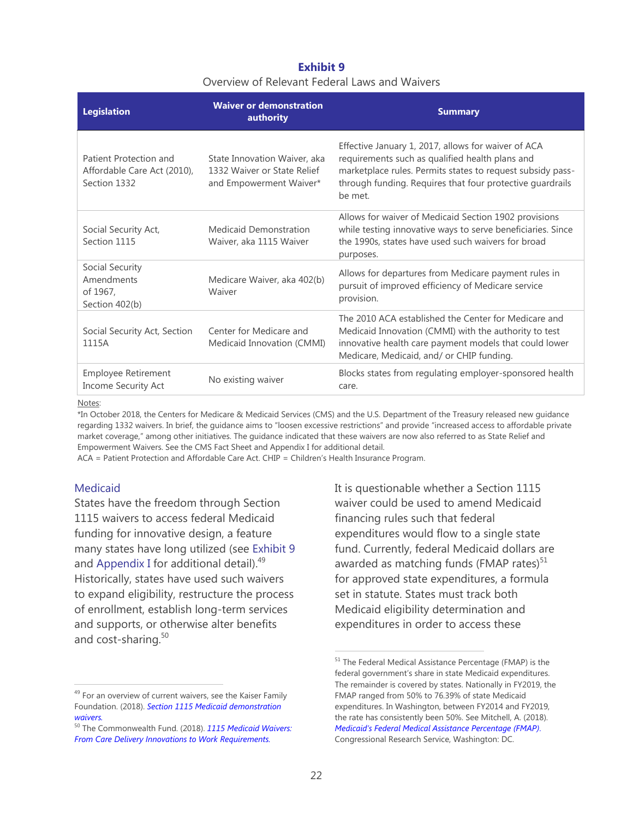#### **Exhibit 9** Overview of Relevant Federal Laws and Waivers

| <b>Legislation</b>                                                                                   | <b>Waiver or demonstration</b><br>authority                                            | <b>Summary</b>                                                                                                                                                                                                                               |  |
|------------------------------------------------------------------------------------------------------|----------------------------------------------------------------------------------------|----------------------------------------------------------------------------------------------------------------------------------------------------------------------------------------------------------------------------------------------|--|
| Patient Protection and<br>Affordable Care Act (2010),<br>Section 1332                                | State Innovation Waiver, aka<br>1332 Waiver or State Relief<br>and Empowerment Waiver* | Effective January 1, 2017, allows for waiver of ACA<br>requirements such as qualified health plans and<br>marketplace rules. Permits states to request subsidy pass-<br>through funding. Requires that four protective guardrails<br>be met. |  |
| Social Security Act,<br>Section 1115                                                                 | Medicaid Demonstration<br>Waiver, aka 1115 Waiver                                      | Allows for waiver of Medicaid Section 1902 provisions<br>while testing innovative ways to serve beneficiaries. Since<br>the 1990s, states have used such waivers for broad<br>purposes.                                                      |  |
| Social Security<br>Amendments<br>Medicare Waiver, aka 402(b)<br>of 1967,<br>Waiver<br>Section 402(b) |                                                                                        | Allows for departures from Medicare payment rules in<br>pursuit of improved efficiency of Medicare service<br>provision.                                                                                                                     |  |
| Social Security Act, Section<br>1115A                                                                | Center for Medicare and<br>Medicaid Innovation (CMMI)                                  | The 2010 ACA established the Center for Medicare and<br>Medicaid Innovation (CMMI) with the authority to test<br>innovative health care payment models that could lower<br>Medicare, Medicaid, and/ or CHIP funding.                         |  |
| Employee Retirement<br><b>Income Security Act</b>                                                    | No existing waiver                                                                     | Blocks states from regulating employer-sponsored health<br>care.                                                                                                                                                                             |  |

Notes:

\*In October 2018, the Centers for Medicare & Medicaid Services (CMS) and the U.S. Department of the Treasury released new guidance regarding 1332 waivers. In brief, the guidance aims to "loosen excessive restrictions" and provide "increased access to affordable private market coverage," among other initiatives. The guidance indicated that these waivers are now also referred to as State Relief and Empowerment Waivers. See th[e CMS Fact Sheet](https://www.cms.gov/CCIIO/Programs-and-Initiatives/State-Innovation-Waivers/Downloads/SRE-Waiver-Fact-Sheet.pdf) and Appendix I for additional detail.

ACA = Patient Protection and Affordable Care Act. CHIP = Children's Health Insurance Program.

#### Medicaid

 $\overline{a}$ 

States have the freedom through Section 1115 waivers to access federal Medicaid funding for innovative design, a feature many states have long utilized (see Exhibit 9 and Appendix I for additional detail).<sup>49</sup> Historically, states have used such waivers to expand eligibility, restructure the process of enrollment, establish long-term services and supports, or otherwise alter benefits and cost-sharing.<sup>50</sup>

It is questionable whether a Section 1115 waiver could be used to amend Medicaid financing rules such that federal expenditures would flow to a single state fund. Currently, federal Medicaid dollars are awarded as matching funds (FMAP rates) $51$ for approved state expenditures, a formula set in statute. States must track both Medicaid eligibility determination and expenditures in order to access these

<sup>&</sup>lt;sup>49</sup> For an overview of current waivers, see the Kaiser Family Foundation. (2018). *[Section 1115 Medicaid demonstration](https://www.kff.org/medicaid/issue-brief/section-1115-medicaid-demonstration-waivers-the-current-landscape-of-approved-and-pending-waivers/)  [waivers.](https://www.kff.org/medicaid/issue-brief/section-1115-medicaid-demonstration-waivers-the-current-landscape-of-approved-and-pending-waivers/)*

<sup>50</sup> The Commonwealth Fund. (2018). *[1115 Medicaid Waivers:](https://www.commonwealthfund.org/publications/explainer/2018/apr/1115-medicaid-waivers-care-delivery-innovations-work-requirements)  [From Care Delivery Innovations to Work Requirements.](https://www.commonwealthfund.org/publications/explainer/2018/apr/1115-medicaid-waivers-care-delivery-innovations-work-requirements)*

<sup>&</sup>lt;sup>51</sup> The Federal Medical Assistance Percentage (FMAP) is the federal government's share in state Medicaid expenditures. The remainder is covered by states. Nationally in FY2019, the FMAP ranged from 50% to 76.39% of state Medicaid expenditures. In Washington, between FY2014 and FY2019, the rate has consistently been 50%. See Mitchell, A. (2018). *[Medicaid's Federal Medical Assistance Percentage \(F](https://fas.org/sgp/crs/misc/R43847.pdf)MAP)*. Congressional Research Service, Washington: DC.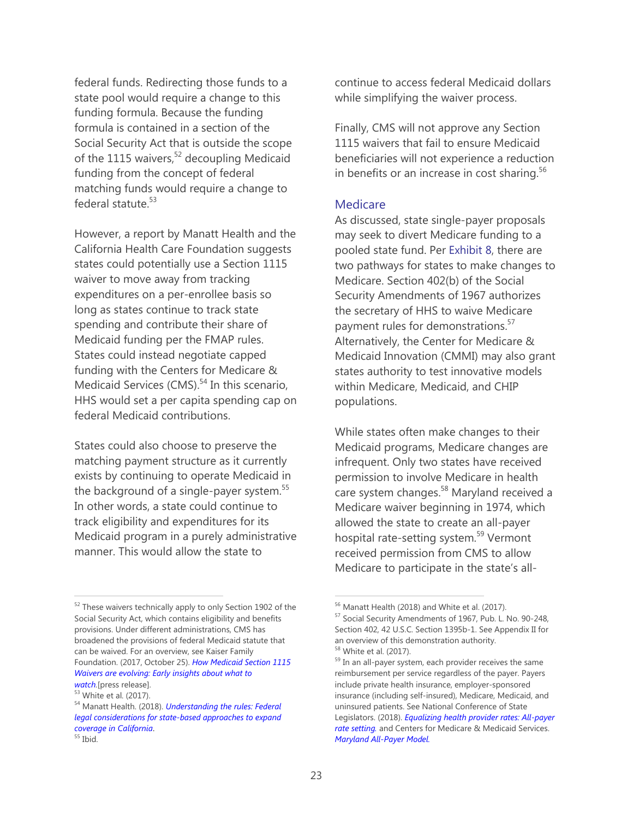federal funds. Redirecting those funds to a state pool would require a change to this funding formula. Because the funding formula is contained in a section of the Social Security Act that is outside the scope of the 1115 waivers,<sup>52</sup> decoupling Medicaid funding from the concept of federal matching funds would require a change to federal statute.<sup>53</sup>

However, a report by Manatt Health and the California Health Care Foundation suggests states could potentially use a Section 1115 waiver to move away from tracking expenditures on a per-enrollee basis so long as states continue to track state spending and contribute their share of Medicaid funding per the FMAP rules. States could instead negotiate capped funding with the Centers for Medicare & Medicaid Services (CMS).<sup>54</sup> In this scenario, HHS would set a per capita spending cap on federal Medicaid contributions.

States could also choose to preserve the matching payment structure as it currently exists by continuing to operate Medicaid in the background of a single-payer system.<sup>55</sup> In other words, a state could continue to track eligibility and expenditures for its Medicaid program in a purely administrative manner. This would allow the state to

<sup>52</sup> These waivers technically apply to only Section 1902 of the Social Security Act, which contains eligibility and benefits provisions. Under different administrations, CMS has broadened the provisions of federal Medicaid statute that can be waived. For an overview, see Kaiser Family Foundation. (2017, October 25). *[How Medicaid Section 1115](https://www.kff.org/medicaid/issue-brief/how-medicaid-section-1115-waivers-are-evolving-early-insights-about-what-to-watch/)  [Waivers are evolving: Early insights about what to](https://www.kff.org/medicaid/issue-brief/how-medicaid-section-1115-waivers-are-evolving-early-insights-about-what-to-watch/)* 

 $\overline{a}$ 

Finally, CMS will not approve any Section 1115 waivers that fail to ensure Medicaid beneficiaries will not experience a reduction in benefits or an increase in cost sharing.<sup>56</sup>

#### Medicare

As discussed, state single-payer proposals may seek to divert Medicare funding to a pooled state fund. Per Exhibit 8, there are two pathways for states to make changes to Medicare. Section 402(b) of the Social Security Amendments of 1967 authorizes the secretary of HHS to waive Medicare payment rules for demonstrations.<sup>57</sup> Alternatively, the Center for Medicare & Medicaid Innovation (CMMI) may also grant states authority to test innovative models within Medicare, Medicaid, and CHIP populations.

While states often make changes to their Medicaid programs, Medicare changes are infrequent. Only two states have received permission to involve Medicare in health care system changes.<sup>58</sup> Maryland received a Medicare waiver beginning in 1974, which allowed the state to create an all-payer hospital rate-setting system.<sup>59</sup> Vermont received permission from CMS to allow Medicare to participate in the state's all-

*[watch.](https://www.kff.org/medicaid/issue-brief/how-medicaid-section-1115-waivers-are-evolving-early-insights-about-what-to-watch/)*[press release]. <sup>53</sup> White et al. (2017).

<sup>54</sup> Manatt Health. (2018). *[Understanding the rules: Federal](https://www.manatt.com/getattachment/6c6ebd95-d8da-40be-9529-04cbbb7b8142/attachment.aspx)  [legal considerations for state-based approaches to expand](https://www.manatt.com/getattachment/6c6ebd95-d8da-40be-9529-04cbbb7b8142/attachment.aspx)  [coverage in California](https://www.manatt.com/getattachment/6c6ebd95-d8da-40be-9529-04cbbb7b8142/attachment.aspx)*.  $55$  Ibid.

continue to access federal Medicaid dollars while simplifying the waiver process.

<sup>&</sup>lt;sup>56</sup> Manatt Health (2018) and White et al. (2017).

<sup>57</sup> Social Security Amendments of 1967, Pub. L. No. 90-248, Section 402, 42 U.S.C. Section 1395b-1. See Appendix II for an overview of this demonstration authority.

<sup>58</sup> White et al. (2017).

<sup>&</sup>lt;sup>59</sup> In an all-payer system, each provider receives the same reimbursement per service regardless of the payer. Payers include private health insurance, employer-sponsored insurance (including self-insured), Medicare, Medicaid, and uninsured patients. See National Conference of State Legislators. (2018). *[Equalizing health provider rates: All-payer](http://www.ncsl.org/research/health/equalizing-health-provider-rates-all-payer-rate.aspx)  [rate setting.](http://www.ncsl.org/research/health/equalizing-health-provider-rates-all-payer-rate.aspx)* and Centers for Medicare & Medicaid Services. *[Maryland All-Payer Model.](https://innovation.cms.gov/initiatives/Maryland-All-Payer-Model/)*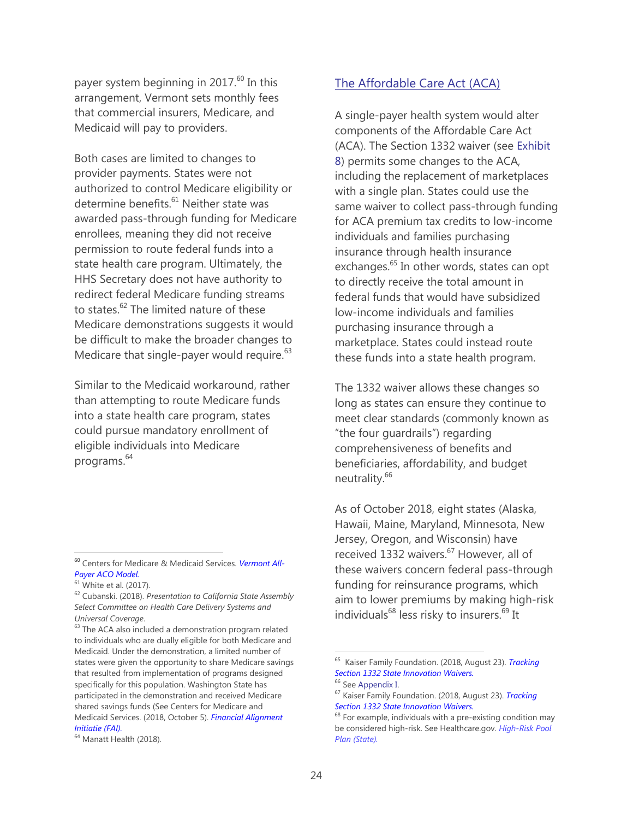payer system beginning in 2017.<sup>60</sup> In this arrangement, Vermont sets monthly fees that commercial insurers, Medicare, and Medicaid will pay to providers.

Both cases are limited to changes to provider payments. States were not authorized to control Medicare eligibility or determine benefits.<sup>61</sup> Neither state was awarded pass-through funding for Medicare enrollees, meaning they did not receive permission to route federal funds into a state health care program. Ultimately, the HHS Secretary does not have authority to redirect federal Medicare funding streams to states. $62$  The limited nature of these Medicare demonstrations suggests it would be difficult to make the broader changes to Medicare that single-payer would require. $63$ 

Similar to the Medicaid workaround, rather than attempting to route Medicare funds into a state health care program, states could pursue mandatory enrollment of eligible individuals into Medicare programs. 64

 $\overline{a}$ 

#### The Affordable Care Act (ACA)

A single-payer health system would alter components of the Affordable Care Act (ACA). The Section 1332 waiver (see Exhibit 8) permits some changes to the ACA, including the replacement of marketplaces with a single plan. States could use the same waiver to collect pass-through funding for ACA premium tax credits to low-income individuals and families purchasing insurance through health insurance exchanges.<sup>65</sup> In other words, states can opt to directly receive the total amount in federal funds that would have subsidized low-income individuals and families purchasing insurance through a marketplace. States could instead route these funds into a state health program.

The 1332 waiver allows these changes so long as states can ensure they continue to meet clear standards (commonly known as "the four guardrails") regarding comprehensiveness of benefits and beneficiaries, affordability, and budget neutrality.<sup>66</sup>

As of October 2018, eight states (Alaska, Hawaii, Maine, Maryland, Minnesota, New Jersey, Oregon, and Wisconsin) have received 1332 waivers.<sup>67</sup> However, all of these waivers concern federal pass-through funding for reinsurance programs, which aim to lower premiums by making high-risk individuals<sup>68</sup> less risky to insurers.<sup>69</sup> It

<sup>60</sup> Centers for Medicare & Medicaid Services. *[Vermont All-](https://innovation.cms.gov/initiatives/vermont-all-payer-aco-model/)[Payer ACO Model.](https://innovation.cms.gov/initiatives/vermont-all-payer-aco-model/)*

 $61$  White et al. (2017).

<sup>62</sup> Cubanski. (2018). *Presentation to California State Assembly Select Committee on Health Care Delivery Systems and Universal Coverage*.

 $63$  The ACA also included a demonstration program related to individuals who are dually eligible for both Medicare and Medicaid. Under the demonstration, a limited number of states were given the opportunity to share Medicare savings that resulted from implementation of programs designed specifically for this population. Washington State has participated in the demonstration and received Medicare shared savings funds (See Centers for Medicare and Medicaid Services. (2018, October 5). *[Financial Alignment](https://www.cms.gov/Medicare-Medicaid-Coordination/Medicare-and-Medicaid-Coordination/Medicare-Medicaid-Coordination-Office/FinancialAlignmentInitiative/FinancialModelstoSupportStatesEffortsinCareCoordination.html)  [Initiatie \(FAI\).](https://www.cms.gov/Medicare-Medicaid-Coordination/Medicare-and-Medicaid-Coordination/Medicare-Medicaid-Coordination-Office/FinancialAlignmentInitiative/FinancialModelstoSupportStatesEffortsinCareCoordination.html)*

<sup>&</sup>lt;sup>64</sup> Manatt Health (2018).

<sup>65</sup> Kaiser Family Foundation. (2018, August 23). *[Tracking](https://www.kff.org/health-reform/fact-sheet/tracking-section-1332-state-innovation-waivers/)  [Section 1332 State Innovation Waivers.](https://www.kff.org/health-reform/fact-sheet/tracking-section-1332-state-innovation-waivers/)*

<sup>&</sup>lt;sup>66</sup> See Appendix I.

<sup>67</sup> Kaiser Family Foundation. (2018, August 23). *[Tracking](https://www.kff.org/health-reform/fact-sheet/tracking-section-1332-state-innovation-waivers/)  [Section 1332 State Innovation Waivers.](https://www.kff.org/health-reform/fact-sheet/tracking-section-1332-state-innovation-waivers/)*

 $68$  For example, individuals with a pre-existing condition may be considered high-risk. See Healthcare.gov. *[High-Risk Pool](https://www.healthcare.gov/glossary/high-risk-pool-plan-state/)  [Plan \(State\).](https://www.healthcare.gov/glossary/high-risk-pool-plan-state/)*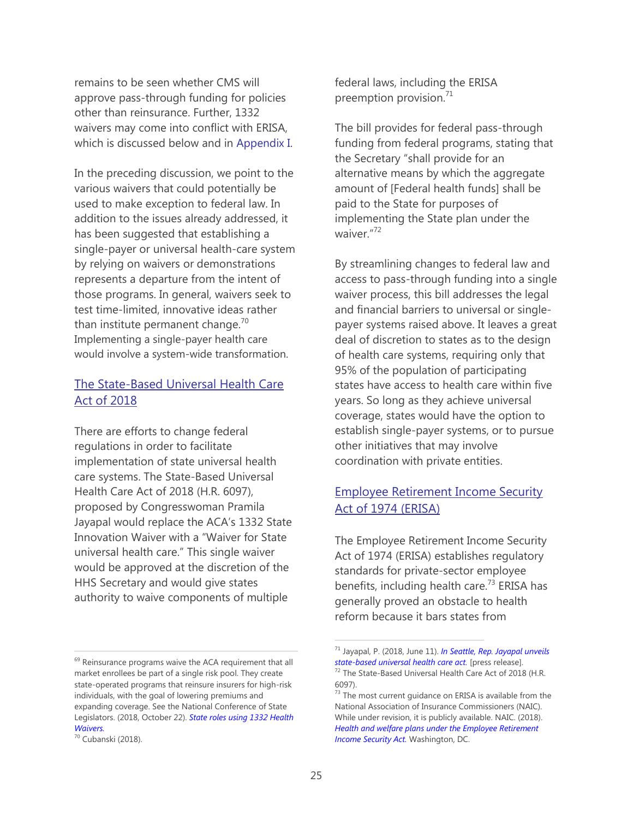remains to be seen whether CMS will approve pass-through funding for policies other than reinsurance. Further, 1332 waivers may come into conflict with ERISA, which is discussed below and in Appendix I.

In the preceding discussion, we point to the various waivers that could potentially be used to make exception to federal law. In addition to the issues already addressed, it has been suggested that establishing a single-payer or universal health-care system by relying on waivers or demonstrations represents a departure from the intent of those programs. In general, waivers seek to test time-limited, innovative ideas rather than institute permanent change.<sup>70</sup> Implementing a single-payer health care would involve a system-wide transformation.

### The State-Based Universal Health Care Act of 2018

There are efforts to change federal regulations in order to facilitate implementation of state universal health care systems. The State-Based Universal Health Care Act of 2018 (H.R. 6097), proposed by Congresswoman Pramila Jayapal would replace the ACA's 1332 State Innovation Waiver with a "Waiver for State universal health care." This single waiver would be approved at the discretion of the HHS Secretary and would give states authority to waive components of multiple

 $\overline{a}$ 

federal laws, including the ERISA preemption provision.<sup>71</sup>

The bill provides for federal pass-through funding from federal programs, stating that the Secretary "shall provide for an alternative means by which the aggregate amount of [Federal health funds] shall be paid to the State for purposes of implementing the State plan under the waiver."72

By streamlining changes to federal law and access to pass-through funding into a single waiver process, this bill addresses the legal and financial barriers to universal or singlepayer systems raised above. It leaves a great deal of discretion to states as to the design of health care systems, requiring only that 95% of the population of participating states have access to health care within five years. So long as they achieve universal coverage, states would have the option to establish single-payer systems, or to pursue other initiatives that may involve coordination with private entities.

## Employee Retirement Income Security Act of 1974 (ERISA)

The Employee Retirement Income Security Act of 1974 (ERISA) establishes regulatory standards for private-sector employee benefits, including health care.<sup>73</sup> ERISA has generally proved an obstacle to health reform because it bars states from

 $69$  Reinsurance programs waive the ACA requirement that all market enrollees be part of a single risk pool. They create state-operated programs that reinsure insurers for high-risk individuals, with the goal of lowering premiums and expanding coverage. See the National Conference of State Legislators. (2018, October 22). *[State roles using 1332 Health](http://www.ncsl.org/research/health/state-roles-using-1332-health-waivers.aspx)  [Waivers.](http://www.ncsl.org/research/health/state-roles-using-1332-health-waivers.aspx)*

<sup>70</sup> Cubanski (2018).

<sup>71</sup> Jayapal, P. (2018, June 11). *[In Seattle, Rep. Jayapal unveils](https://jayapal.house.gov/media/press-releases/seattle-rep-jayapal-unveils-state-based-universal-health-care-act)  [state-based universal health care act.](https://jayapal.house.gov/media/press-releases/seattle-rep-jayapal-unveils-state-based-universal-health-care-act)* [press release]. <sup>72</sup> The State-Based Universal Health Care Act of 2018 (H.R.

<sup>6097).</sup>

 $73$  The most current guidance on ERISA is available from the National Association of Insurance Commissioners (NAIC). While under revision, it is publicly available. NAIC. (2018). *[Health and welfare plans under the Employee Retirement](https://www.naic.org/documents/cmte_b_erisa_exposure_erisa_handbook_chair_draft_revisions_october_2018.pdf?9)  [Income Security Act.](https://www.naic.org/documents/cmte_b_erisa_exposure_erisa_handbook_chair_draft_revisions_october_2018.pdf?9)* Washington, DC.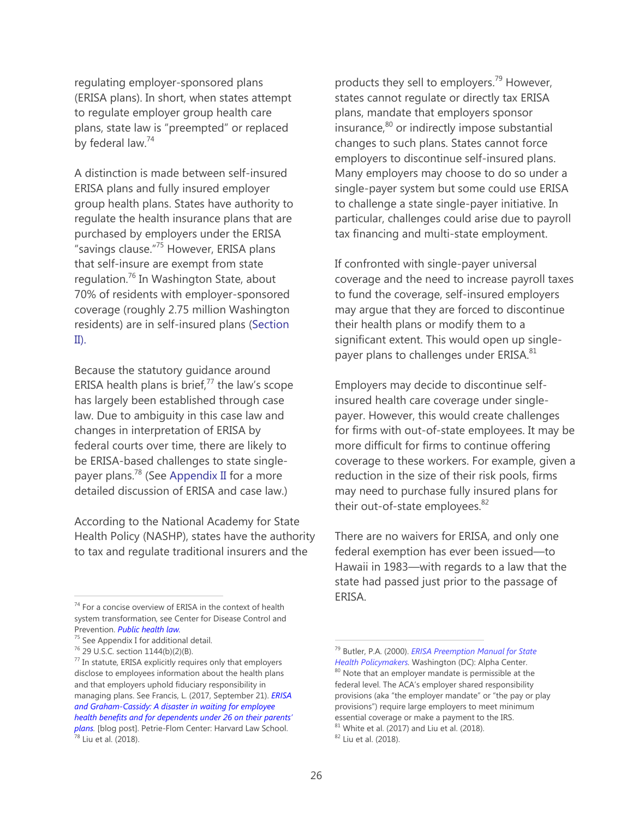regulating employer-sponsored plans (ERISA plans). In short, when states attempt to regulate employer group health care plans, state law is "preempted" or replaced by federal law.<sup>74</sup>

A distinction is made between self-insured ERISA plans and fully insured employer group health plans. States have authority to regulate the health insurance plans that are purchased by employers under the ERISA "savings clause."<sup>75</sup> However, ERISA plans that self-insure are exempt from state regulation.<sup>76</sup> In Washington State, about 70% of residents with employer-sponsored coverage (roughly 2.75 million Washington residents) are in self-insured plans (Section II).

Because the statutory guidance around ERISA health plans is brief, $77$  the law's scope has largely been established through case law. Due to ambiguity in this case law and changes in interpretation of ERISA by federal courts over time, there are likely to be ERISA-based challenges to state singlepayer plans.<sup>78</sup> (See Appendix II for a more detailed discussion of ERISA and case law.)

According to the National Academy for State Health Policy (NASHP), states have the authority to tax and regulate traditional insurers and the

 $\overline{a}$ 

products they sell to employers.<sup>79</sup> However, states cannot regulate or directly tax ERISA plans, mandate that employers sponsor insurance,<sup>80</sup> or indirectly impose substantial changes to such plans. States cannot force employers to discontinue self-insured plans. Many employers may choose to do so under a single-payer system but some could use ERISA to challenge a state single-payer initiative. In particular, challenges could arise due to payroll tax financing and multi-state employment.

If confronted with single-payer universal coverage and the need to increase payroll taxes to fund the coverage, self-insured employers may argue that they are forced to discontinue their health plans or modify them to a significant extent. This would open up singlepayer plans to challenges under ERISA.<sup>81</sup>

Employers may decide to discontinue selfinsured health care coverage under singlepayer. However, this would create challenges for firms with out-of-state employees. It may be more difficult for firms to continue offering coverage to these workers. For example, given a reduction in the size of their risk pools, firms may need to purchase fully insured plans for their out-of-state employees.<sup>82</sup>

There are no waivers for ERISA, and only one federal exemption has ever been issued—to Hawaii in 1983—with regards to a law that the state had passed just prior to the passage of ERISA.

 $74$  For a concise overview of ERISA in the context of health system transformation, see Center for Disease Control and Prevention. *[Public health law.](https://www.cdc.gov/phlp/docs/erisa-brief.pdf)*

<sup>&</sup>lt;sup>75</sup> See Appendix I for additional detail.

<sup>76</sup> 29 U.S.C. section 1144(b)(2)(B).

 $77$  In statute, ERISA explicitly requires only that employers disclose to employees information about the health plans and that employers uphold fiduciary responsibility in managing plans. See Francis, L. (2017, September 21). *[ERISA](http://blog.petrieflom.law.harvard.edu/2017/09/21/erisa-and-graham-cassidy-a-disaster-in-waiting-for-employee-health-benefits-and-for-dependents-under-26-on-their-parents-plans/)  [and Graham-Cassidy: A disaster in waiting for employee](http://blog.petrieflom.law.harvard.edu/2017/09/21/erisa-and-graham-cassidy-a-disaster-in-waiting-for-employee-health-benefits-and-for-dependents-under-26-on-their-parents-plans/)  he[alth benefits and for dependents under 26 on their parents'](http://blog.petrieflom.law.harvard.edu/2017/09/21/erisa-and-graham-cassidy-a-disaster-in-waiting-for-employee-health-benefits-and-for-dependents-under-26-on-their-parents-plans/)  [plans.](http://blog.petrieflom.law.harvard.edu/2017/09/21/erisa-and-graham-cassidy-a-disaster-in-waiting-for-employee-health-benefits-and-for-dependents-under-26-on-their-parents-plans/)* [blog post]. Petrie-Flom Center: Harvard Law School. <sup>78</sup> Liu et al. (2018).

<sup>79</sup> Butler, P.A. (2000). *[ERISA Preemption Manual for State](https://nashp.org/wp-content/uploads/sites/default/files/ERISA_Manual.pdf)  [Health Policymakers.](https://nashp.org/wp-content/uploads/sites/default/files/ERISA_Manual.pdf)* Washington (DC): Alpha Center. <sup>80</sup> Note that an employer mandate is permissible at the federal level. The ACA's employer shared responsibility provisions (aka "the employer mandate" or "the pay or play provisions") require large employers to meet minimum essential coverage or make a payment to the IRS.  $81$  White et al. (2017) and Liu et al. (2018).

<sup>82</sup> Liu et al. (2018).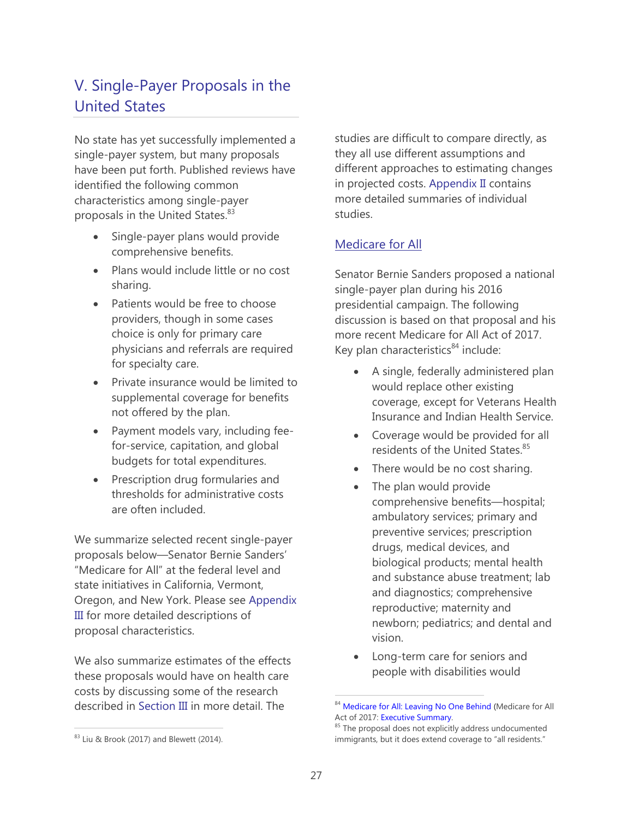# V. Single-Payer Proposals in the United States

No state has yet successfully implemented a single-payer system, but many proposals have been put forth. Published reviews have identified the following common characteristics among single-payer proposals in the United States.<sup>83</sup>

- Single-payer plans would provide comprehensive benefits.
- Plans would include little or no cost sharing.
- Patients would be free to choose providers, though in some cases choice is only for primary care physicians and referrals are required for specialty care.
- Private insurance would be limited to supplemental coverage for benefits not offered by the plan.
- Payment models vary, including feefor-service, capitation, and global budgets for total expenditures.
- Prescription drug formularies and thresholds for administrative costs are often included.

We summarize selected recent single-payer proposals below—Senator Bernie Sanders' "Medicare for All" at the federal level and state initiatives in California, Vermont, Oregon, and New York. Please see Appendix III for more detailed descriptions of proposal characteristics.

We also summarize estimates of the effects these proposals would have on health care costs by discussing some of the research described in Section III in more detail. The

 $\overline{a}$ 

studies are difficult to compare directly, as they all use different assumptions and different approaches to estimating changes in projected costs. Appendix II contains more detailed summaries of individual studies.

## Medicare for All

Senator Bernie Sanders proposed a national single-payer plan during his 2016 presidential campaign. The following discussion is based on that proposal and his more recent Medicare for All Act of 2017. Key plan characteristics<sup>84</sup> include:

- A single, federally administered plan would replace other existing coverage, except for Veterans Health Insurance and Indian Health Service.
- Coverage would be provided for all residents of the United States.<sup>85</sup>
- There would be no cost sharing.
- The plan would provide comprehensive benefits—hospital; ambulatory services; primary and preventive services; prescription drugs, medical devices, and biological products; mental health and substance abuse treatment; lab and diagnostics; comprehensive reproductive; maternity and newborn; pediatrics; and dental and vision.
- Long-term care for seniors and people with disabilities would

 $83$  Liu & Brook (2017) and Blewett (2014).

[Medicare for All: Leaving No One Behind](https://live-berniesanders-com.pantheonsite.io/issues/medicare-for-all/),) (Medicare for All Act of 2017[: Executive Summary.](https://www.sanders.senate.gov/download/medicare-for-all-act-of-2017-executive-summary?id=943E7DB5-FCCA-4EA4-B215-A92F6642BA2C&download=1&inline=file)

<sup>85</sup> The proposal does not explicitly address undocumented immigrants, but it does extend coverage to "all residents."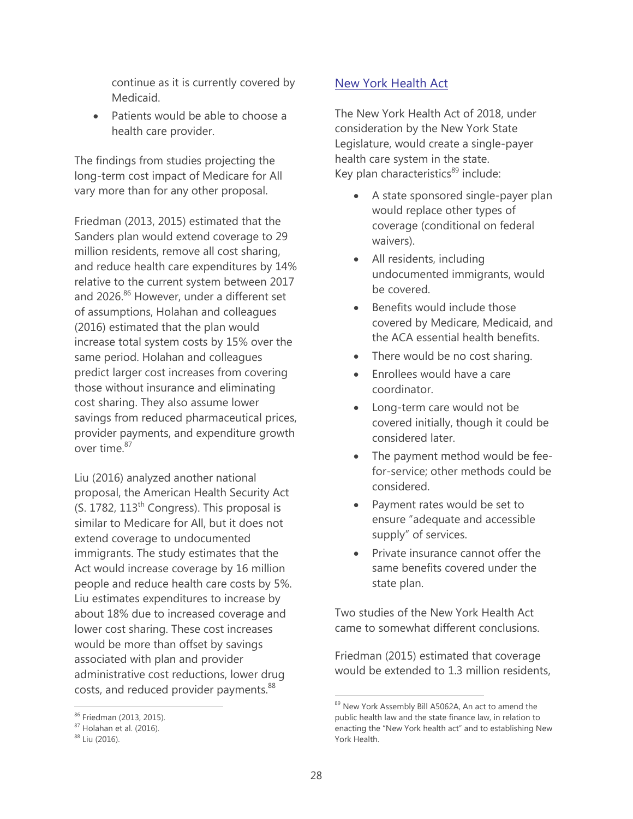continue as it is currently covered by Medicaid.

• Patients would be able to choose a health care provider.

The findings from studies projecting the long-term cost impact of Medicare for All vary more than for any other proposal.

Friedman (2013, 2015) estimated that the Sanders plan would extend coverage to 29 million residents, remove all cost sharing, and reduce health care expenditures by 14% relative to the current system between 2017 and 2026.<sup>86</sup> However, under a different set of assumptions, Holahan and colleagues (2016) estimated that the plan would increase total system costs by 15% over the same period. Holahan and colleagues predict larger cost increases from covering those without insurance and eliminating cost sharing. They also assume lower savings from reduced pharmaceutical prices, provider payments, and expenditure growth over time.<sup>87</sup>

Liu (2016) analyzed another national proposal, the American Health Security Act (S. 1782, 113<sup>th</sup> Congress). This proposal is similar to Medicare for All, but it does not extend coverage to undocumented immigrants. The study estimates that the Act would increase coverage by 16 million people and reduce health care costs by 5%. Liu estimates expenditures to increase by about 18% due to increased coverage and lower cost sharing. These cost increases would be more than offset by savings associated with plan and provider administrative cost reductions, lower drug costs, and reduced provider payments.<sup>88</sup>

 $\overline{a}$ 

#### New York Health Act

The New York Health Act of 2018, under consideration by the New York State Legislature, would create a single-payer health care system in the state. Key plan characteristics<sup>89</sup> include:

- A state sponsored single-payer plan would replace other types of coverage (conditional on federal waivers).
- All residents, including undocumented immigrants, would be covered.
- Benefits would include those covered by Medicare, Medicaid, and the ACA essential health benefits.
- There would be no cost sharing.
- Enrollees would have a care coordinator.
- Long-term care would not be covered initially, though it could be considered later.
- The payment method would be feefor-service; other methods could be considered.
- Payment rates would be set to ensure "adequate and accessible supply" of services.
- Private insurance cannot offer the same benefits covered under the state plan.

Two studies of the New York Health Act came to somewhat different conclusions.

Friedman (2015) estimated that coverage would be extended to 1.3 million residents,

<sup>86</sup> Friedman (2013, 2015).

<sup>87</sup> Holahan et al. (2016).

<sup>88</sup> Liu (2016).

<sup>89</sup> New York Assembly Bill A5062A, An act to amend the public health law and the state finance law, in relation to enacting the "New York health act" and to establishing New York Health.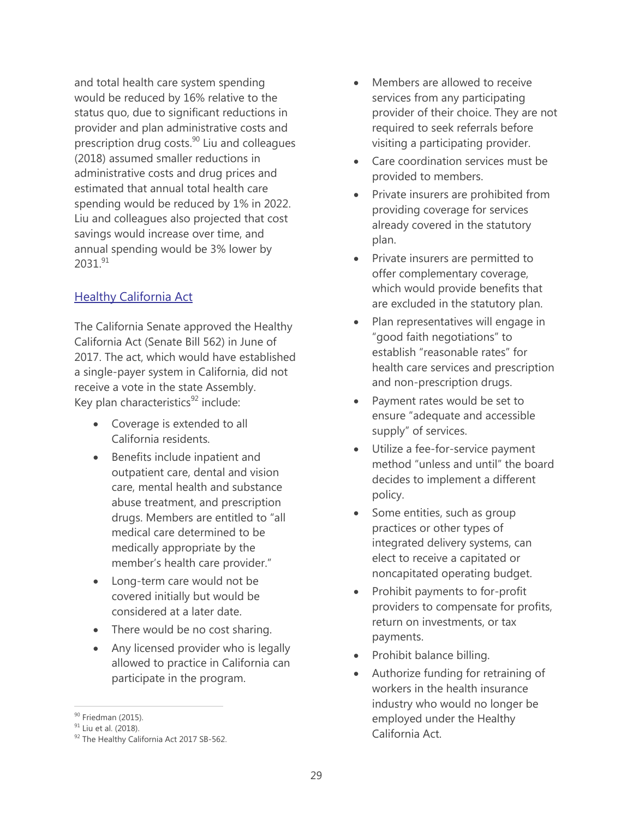and total health care system spending would be reduced by 16% relative to the status quo, due to significant reductions in provider and plan administrative costs and prescription drug costs.<sup>90</sup> Liu and colleagues (2018) assumed smaller reductions in administrative costs and drug prices and estimated that annual total health care spending would be reduced by 1% in 2022. Liu and colleagues also projected that cost savings would increase over time, and annual spending would be 3% lower by 2031.91

#### Healthy California Act

The California Senate approved the Healthy California Act (Senate Bill 562) in June of 2017. The act, which would have established a single-payer system in California, did not receive a vote in the state Assembly. Key plan characteristics $92$  include:

- Coverage is extended to all California residents.
- Benefits include inpatient and outpatient care, dental and vision care, mental health and substance abuse treatment, and prescription drugs. Members are entitled to "all medical care determined to be medically appropriate by the member's health care provider."
- Long-term care would not be covered initially but would be considered at a later date.
- There would be no cost sharing.
- Any licensed provider who is legally allowed to practice in California can participate in the program.

- Members are allowed to receive services from any participating provider of their choice. They are not required to seek referrals before visiting a participating provider.
- Care coordination services must be provided to members.
- Private insurers are prohibited from providing coverage for services already covered in the statutory plan.
- Private insurers are permitted to offer complementary coverage, which would provide benefits that are excluded in the statutory plan.
- Plan representatives will engage in "good faith negotiations" to establish "reasonable rates" for health care services and prescription and non-prescription drugs.
- Payment rates would be set to ensure "adequate and accessible supply" of services.
- Utilize a fee-for-service payment method "unless and until" the board decides to implement a different policy.
- Some entities, such as group practices or other types of integrated delivery systems, can elect to receive a capitated or noncapitated operating budget.
- Prohibit payments to for-profit providers to compensate for profits, return on investments, or tax payments.
- Prohibit balance billing.
- Authorize funding for retraining of workers in the health insurance industry who would no longer be employed under the Healthy California Act.

<sup>&</sup>lt;sup>90</sup> Friedman (2015).

<sup>&</sup>lt;sup>91</sup> Liu et al. (2018).

<sup>92</sup> The Healthy California Act 2017 SB-562.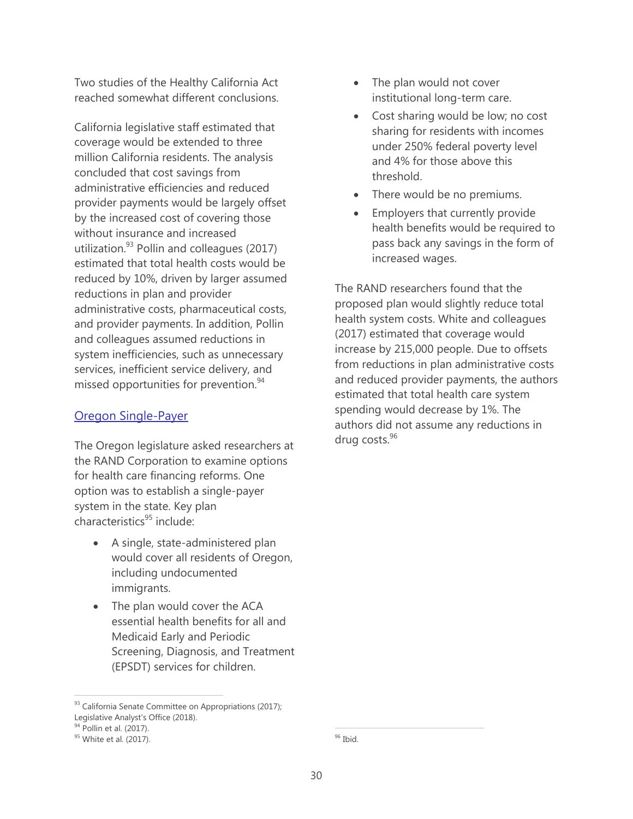Two studies of the Healthy California Act reached somewhat different conclusions.

California legislative staff estimated that coverage would be extended to three million California residents. The analysis concluded that cost savings from administrative efficiencies and reduced provider payments would be largely offset by the increased cost of covering those without insurance and increased utilization. $93$  Pollin and colleagues (2017) estimated that total health costs would be reduced by 10%, driven by larger assumed reductions in plan and provider administrative costs, pharmaceutical costs, and provider payments. In addition, Pollin and colleagues assumed reductions in system inefficiencies, such as unnecessary services, inefficient service delivery, and missed opportunities for prevention.<sup>94</sup>

#### Oregon Single-Payer

The Oregon legislature asked researchers at the RAND Corporation to examine options for health care financing reforms. One option was to establish a single-payer system in the state. Key plan characteristics<sup>95</sup> include:

- A single, state-administered plan would cover all residents of Oregon, including undocumented immigrants.
- The plan would cover the ACA essential health benefits for all and Medicaid Early and Periodic Screening, Diagnosis, and Treatment (EPSDT) services for children.

 $\overline{a}$ 

- The plan would not cover institutional long-term care.
- Cost sharing would be low; no cost sharing for residents with incomes under 250% federal poverty level and 4% for those above this threshold.
- There would be no premiums.
- Employers that currently provide health benefits would be required to pass back any savings in the form of increased wages.

The RAND researchers found that the proposed plan would slightly reduce total health system costs. White and colleagues (2017) estimated that coverage would increase by 215,000 people. Due to offsets from reductions in plan administrative costs and reduced provider payments, the authors estimated that total health care system spending would decrease by 1%. The authors did not assume any reductions in drug costs.<sup>96</sup>

 $\overline{a}$ <sup>96</sup> Ibid.

<sup>93</sup> California Senate Committee on Appropriations (2017);

Legislative Analyst's Office (2018).

<sup>&</sup>lt;sup>94</sup> Pollin et al. (2017).

<sup>&</sup>lt;sup>95</sup> White et al. (2017).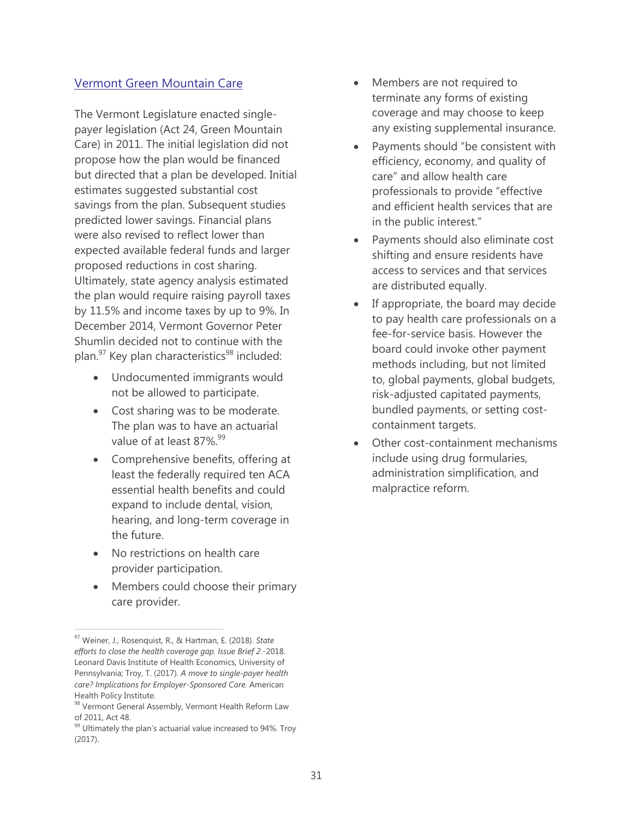#### Vermont Green Mountain Care

The Vermont Legislature enacted singlepayer legislation (Act 24, Green Mountain Care) in 2011. The initial legislation did not propose how the plan would be financed but directed that a plan be developed. Initial estimates suggested substantial cost savings from the plan. Subsequent studies predicted lower savings. Financial plans were also revised to reflect lower than expected available federal funds and larger proposed reductions in cost sharing. Ultimately, state agency analysis estimated the plan would require raising payroll taxes by 11.5% and income taxes by up to 9%. In December 2014, Vermont Governor Peter Shumlin decided not to continue with the plan.<sup>97</sup> Key plan characteristics<sup>98</sup> included:

- Undocumented immigrants would not be allowed to participate.
- Cost sharing was to be moderate. The plan was to have an actuarial value of at least 87%.<sup>99</sup>
- Comprehensive benefits, offering at least the federally required ten ACA essential health benefits and could expand to include dental, vision, hearing, and long-term coverage in the future.
- No restrictions on health care provider participation.
- Members could choose their primary care provider.

- Members are not required to terminate any forms of existing coverage and may choose to keep any existing supplemental insurance.
- Payments should "be consistent with efficiency, economy, and quality of care" and allow health care professionals to provide "effective and efficient health services that are in the public interest."
- Payments should also eliminate cost shifting and ensure residents have access to services and that services are distributed equally.
- If appropriate, the board may decide to pay health care professionals on a fee-for-service basis. However the board could invoke other payment methods including, but not limited to, global payments, global budgets, risk-adjusted capitated payments, bundled payments, or setting costcontainment targets.
- Other cost-containment mechanisms include using drug formularies, administration simplification, and malpractice reform.

<sup>97</sup> Weiner, J., Rosenquist, R., & Hartman, E. (2018). *State efforts to close the health coverage gap. Issue Brief 2*.-2018. Leonard Davis Institute of Health Economics, University of Pennsylvania; Troy, T. (2017). *A move to single-payer health care? Implications for Employer-Sponsored Care.* American Health Policy Institute.

<sup>98</sup> Vermont General Assembly, Vermont Health Reform Law of 2011, Act 48.

 $99$  Ultimately the plan's actuarial value increased to 94%. Troy (2017).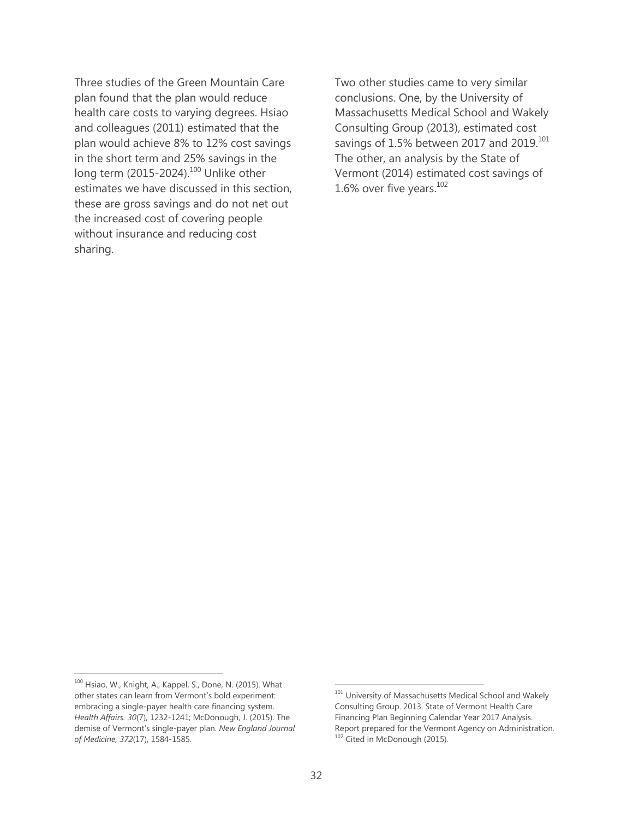Three studies of the Green Mountain Care plan found that the plan would reduce health care costs to varying degrees. Hsiao and colleagues (2011) estimated that the plan would achieve 8% to 12% cost savings in the short term and 25% savings in the long term (2015-2024).<sup>100</sup> Unlike other estimates we have discussed in this section, these are gross savings and do not net out the increased cost of covering people without insurance and reducing cost sharing.

Two other studies came to very similar conclusions. One, by the University of Massachusetts Medical School and Wakely Consulting Group (2013), estimated cost savings of 1.5% between 2017 and 2019.<sup>101</sup> The other, an analysis by the State of Vermont (2014) estimated cost savings of 1.6% over five years. $102$ 

 $\overline{a}$ 

<sup>100</sup> Hsiao, W., Knight, A., Kappel, S., Done, N. (2015). What other states can learn from Vermont's bold experiment: embracing a single-payer health care financing system. *Health Affairs. 30*(7), 1232-1241; McDonough, J. (2015). The demise of Vermont's single-payer plan. *New England Journal of Medicine, 372*(17), 1584-1585.

<sup>&</sup>lt;sup>101</sup> University of Massachusetts Medical School and Wakely Consulting Group. 2013. State of Vermont Health Care Financing Plan Beginning Calendar Year 2017 Analysis. Report prepared for the Vermont Agency on Administration. <sup>102</sup> Cited in McDonough (2015).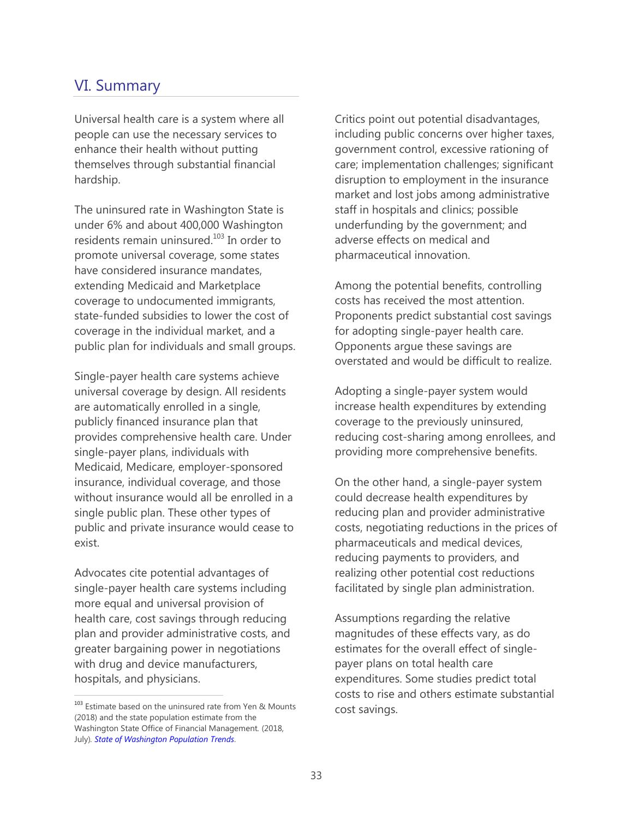## VI. Summary

Universal health care is a system where all people can use the necessary services to enhance their health without putting themselves through substantial financial hardship.

The uninsured rate in Washington State is under 6% and about 400,000 Washington residents remain uninsured. <sup>103</sup> In order to promote universal coverage, some states have considered insurance mandates, extending Medicaid and Marketplace coverage to undocumented immigrants, state-funded subsidies to lower the cost of coverage in the individual market, and a public plan for individuals and small groups.

Single-payer health care systems achieve universal coverage by design. All residents are automatically enrolled in a single, publicly financed insurance plan that provides comprehensive health care. Under single-payer plans, individuals with Medicaid, Medicare, employer-sponsored insurance, individual coverage, and those without insurance would all be enrolled in a single public plan. These other types of public and private insurance would cease to exist.

Advocates cite potential advantages of single-payer health care systems including more equal and universal provision of health care, cost savings through reducing plan and provider administrative costs, and greater bargaining power in negotiations with drug and device manufacturers, hospitals, and physicians.

 $\overline{a}$ 

Critics point out potential disadvantages, including public concerns over higher taxes, government control, excessive rationing of care; implementation challenges; significant disruption to employment in the insurance market and lost jobs among administrative staff in hospitals and clinics; possible underfunding by the government; and adverse effects on medical and pharmaceutical innovation.

Among the potential benefits, controlling costs has received the most attention. Proponents predict substantial cost savings for adopting single-payer health care. Opponents argue these savings are overstated and would be difficult to realize.

Adopting a single-payer system would increase health expenditures by extending coverage to the previously uninsured, reducing cost-sharing among enrollees, and providing more comprehensive benefits.

On the other hand, a single-payer system could decrease health expenditures by reducing plan and provider administrative costs, negotiating reductions in the prices of pharmaceuticals and medical devices, reducing payments to providers, and realizing other potential cost reductions facilitated by single plan administration.

Assumptions regarding the relative magnitudes of these effects vary, as do estimates for the overall effect of singlepayer plans on total health care expenditures. Some studies predict total costs to rise and others estimate substantial cost savings.

<sup>103</sup> Estimate based on the uninsured rate from Yen & Mounts (2018) and the state population estimate from the Washington State Office of Financial Management*.* (2018, July)*[. State of Washington Population Trends](https://www.ofm.wa.gov/sites/default/files/public/dataresearch/pop/april1/ofm_april1_poptrends.pdf)*.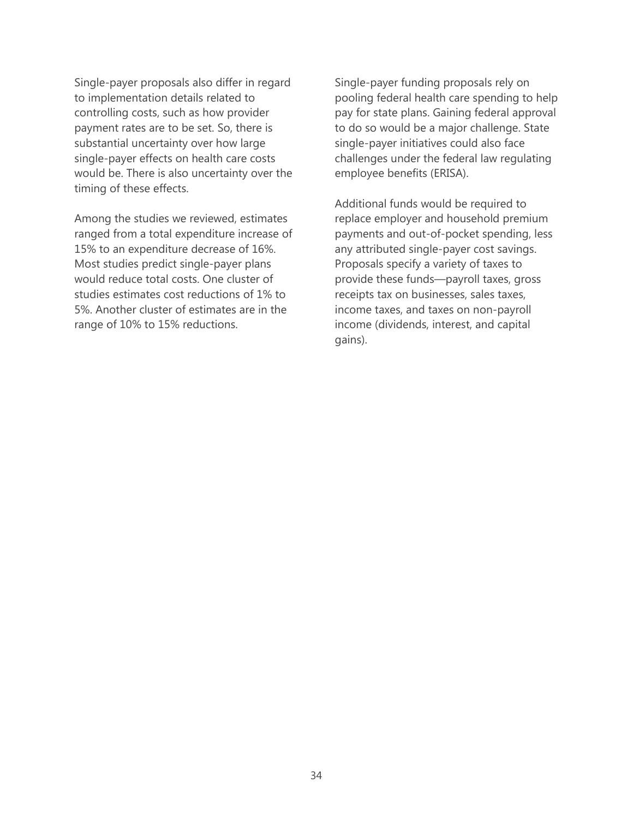Single-payer proposals also differ in regard to implementation details related to controlling costs, such as how provider payment rates are to be set. So, there is substantial uncertainty over how large single-payer effects on health care costs would be. There is also uncertainty over the timing of these effects.

Among the studies we reviewed, estimates ranged from a total expenditure increase of 15% to an expenditure decrease of 16%. Most studies predict single-payer plans would reduce total costs. One cluster of studies estimates cost reductions of 1% to 5%. Another cluster of estimates are in the range of 10% to 15% reductions.

Single-payer funding proposals rely on pooling federal health care spending to help pay for state plans. Gaining federal approval to do so would be a major challenge. State single-payer initiatives could also face challenges under the federal law regulating employee benefits (ERISA).

Additional funds would be required to replace employer and household premium payments and out-of-pocket spending, less any attributed single-payer cost savings. Proposals specify a variety of taxes to provide these funds—payroll taxes, gross receipts tax on businesses, sales taxes, income taxes, and taxes on non-payroll income (dividends, interest, and capital gains).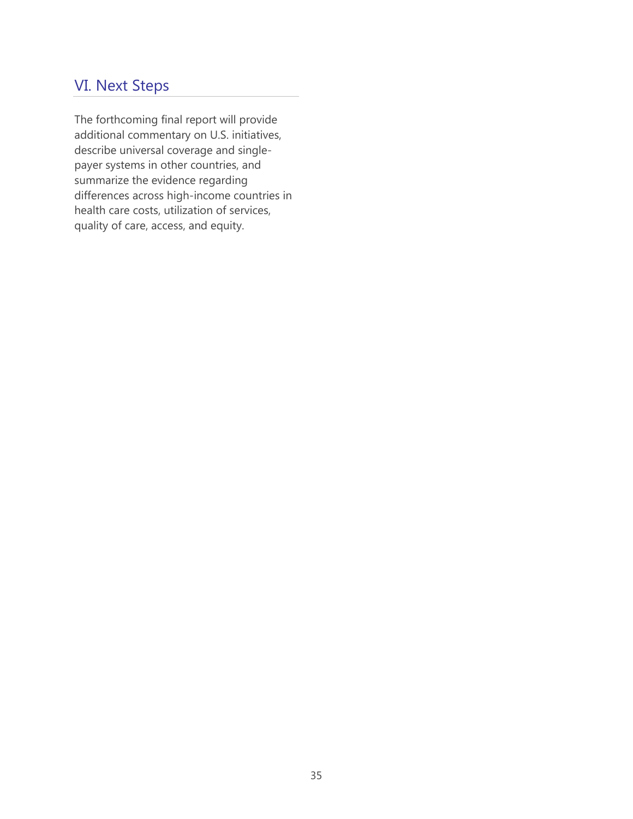# VI. Next Steps

The forthcoming final report will provide additional commentary on U.S. initiatives, describe universal coverage and singlepayer systems in other countries, and summarize the evidence regarding differences across high-income countries in health care costs, utilization of services, quality of care, access, and equity.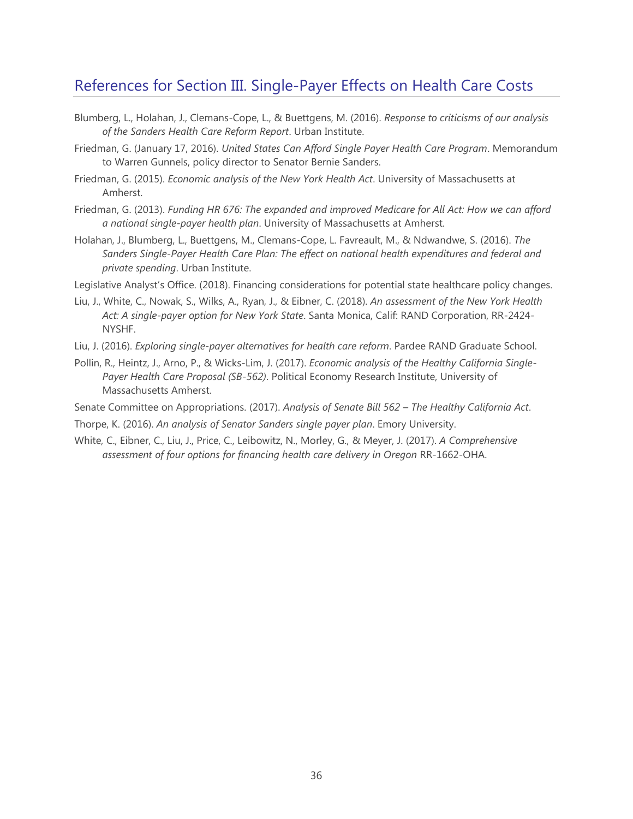# References for Section III. Single-Payer Effects on Health Care Costs

- Blumberg, L., Holahan, J., Clemans-Cope, L., & Buettgens, M. (2016). *Response to criticisms of our analysis of the Sanders Health Care Reform Report*. Urban Institute.
- Friedman, G. (January 17, 2016). *United States Can Afford Single Payer Health Care Program*. Memorandum to Warren Gunnels, policy director to Senator Bernie Sanders.
- Friedman, G. (2015). *Economic analysis of the New York Health Act*. University of Massachusetts at Amherst.
- Friedman, G. (2013). *Funding HR 676: The expanded and improved Medicare for All Act: How we can afford a national single-payer health plan*. University of Massachusetts at Amherst.
- Holahan, J., Blumberg, L., Buettgens, M., Clemans-Cope, L. Favreault, M., & Ndwandwe, S. (2016). *The Sanders Single-Payer Health Care Plan: The effect on national health expenditures and federal and private spending*. Urban Institute.
- Legislative Analyst's Office. (2018). Financing considerations for potential state healthcare policy changes.
- Liu, J., White, C., Nowak, S., Wilks, A., Ryan, J., & Eibner, C. (2018). *An assessment of the New York Health Act: A single-payer option for New York State*. Santa Monica, Calif: RAND Corporation, RR-2424- NYSHF.
- Liu, J. (2016). *Exploring single-payer alternatives for health care reform*. Pardee RAND Graduate School.
- Pollin, R., Heintz, J., Arno, P., & Wicks-Lim, J. (2017). *Economic analysis of the Healthy California Single-Payer Health Care Proposal (SB-562)*. Political Economy Research Institute, University of Massachusetts Amherst.
- Senate Committee on Appropriations. (2017). *Analysis of Senate Bill 562 – The Healthy California Act*.

Thorpe, K. (2016). *An analysis of Senator Sanders single payer plan*. Emory University.

White, C., Eibner, C., Liu, J., Price, C., Leibowitz, N., Morley, G., & Meyer, J. (2017). *A Comprehensive assessment of four options for financing health care delivery in Oregon* RR-1662-OHA.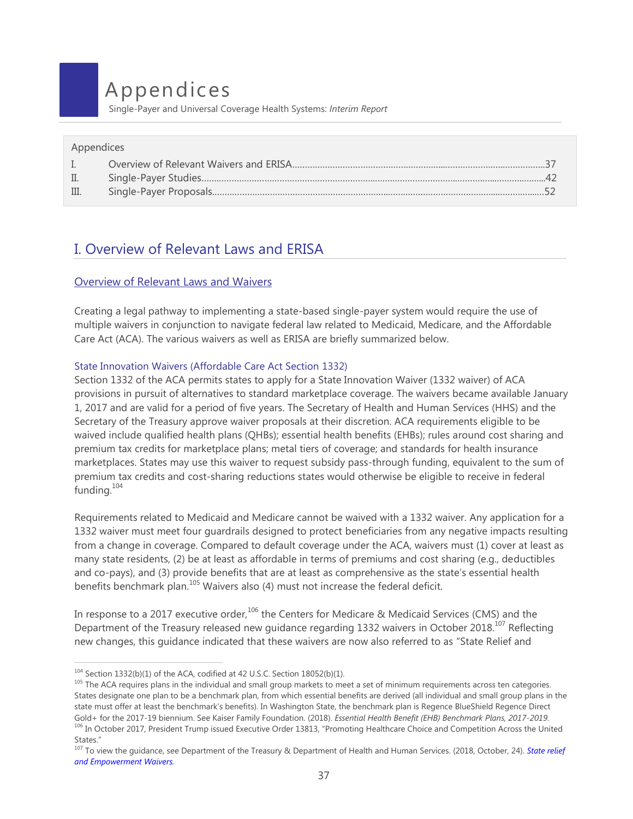# Appendices

Single-Payer and Universal Coverage Health Systems: *Interim Report*

#### Appendices

 $\overline{a}$ 

| $\mathbf{I}$    |  |
|-----------------|--|
| $\mathbb{II}$ . |  |
| III.            |  |
|                 |  |

# I. Overview of Relevant Laws and ERISA

#### Overview of Relevant Laws and Waivers

Creating a legal pathway to implementing a state-based single-payer system would require the use of multiple waivers in conjunction to navigate federal law related to Medicaid, Medicare, and the Affordable Care Act (ACA). The various waivers as well as ERISA are briefly summarized below.

#### State Innovation Waivers (Affordable Care Act Section 1332)

Section 1332 of the ACA permits states to apply for a State Innovation Waiver (1332 waiver) of ACA provisions in pursuit of alternatives to standard marketplace coverage. The waivers became available January 1, 2017 and are valid for a period of five years. The Secretary of Health and Human Services (HHS) and the Secretary of the Treasury approve waiver proposals at their discretion. ACA requirements eligible to be waived include qualified health plans (QHBs); essential health benefits (EHBs); rules around cost sharing and premium tax credits for marketplace plans; metal tiers of coverage; and standards for health insurance marketplaces. States may use this waiver to request subsidy pass-through funding, equivalent to the sum of premium tax credits and cost-sharing reductions states would otherwise be eligible to receive in federal funding.<sup>104</sup>

Requirements related to Medicaid and Medicare cannot be waived with a 1332 waiver. Any application for a 1332 waiver must meet four guardrails designed to protect beneficiaries from any negative impacts resulting from a change in coverage. Compared to default coverage under the ACA, waivers must (1) cover at least as many state residents, (2) be at least as affordable in terms of premiums and cost sharing (e.g., deductibles and co-pays), and (3) provide benefits that are at least as comprehensive as the state's essential health benefits benchmark plan.<sup>105</sup> Waivers also  $(4)$  must not increase the federal deficit.

In response to a 2017 executive order,<sup>106</sup> the Centers for Medicare & Medicaid Services (CMS) and the Department of the Treasury released new guidance regarding 1332 waivers in October 2018.<sup>107</sup> Reflecting new changes, this guidance indicated that these waivers are now also referred to as "State Relief and

<sup>104</sup> Section 1332(b)(1) of the ACA, codified at 42 U.S.C. Section 18052(b)(1).

<sup>&</sup>lt;sup>105</sup> The ACA requires plans in the individual and small group markets to meet a set of minimum requirements across ten categories. States designate one plan to be a benchmark plan, from which essential benefits are derived (all individual and small group plans in the state must offer at least the benchmark's benefits). In Washington State, the benchmark plan is Regence BlueShield Regence Direct Gold+ for the 2017-19 biennium. See Kaiser Family Foundation. (2018). *[Essential Health Benefit \(EHB\) Benchmark Plans, 2017-2019](https://www.kff.org/health-reform/state-indicator/ehb-benchmark-plans/?currentTimeframe=0&selectedRows=%7B%22states%22:%7B%22washington%22:%7B%7D%7D%7D&sortModel=%7B%22colId%22:%22Location%22,%22sort%22:%22asc%22%7D.)*. 106 In October 2017, President Trump issued Executive Order 13813, "Promoting Healthcare Choice and Competition Across the United

States." <sup>107</sup> To view the guidance, see Department of the Treasury & Department of Health and Human Services. (2018, October, 24). *[State relief](https://www.federalregister.gov/documents/2018/10/24/2018-23182/state-relief-and-empowerment-waivers.)  [and Empowerment Waivers.](https://www.federalregister.gov/documents/2018/10/24/2018-23182/state-relief-and-empowerment-waivers.)*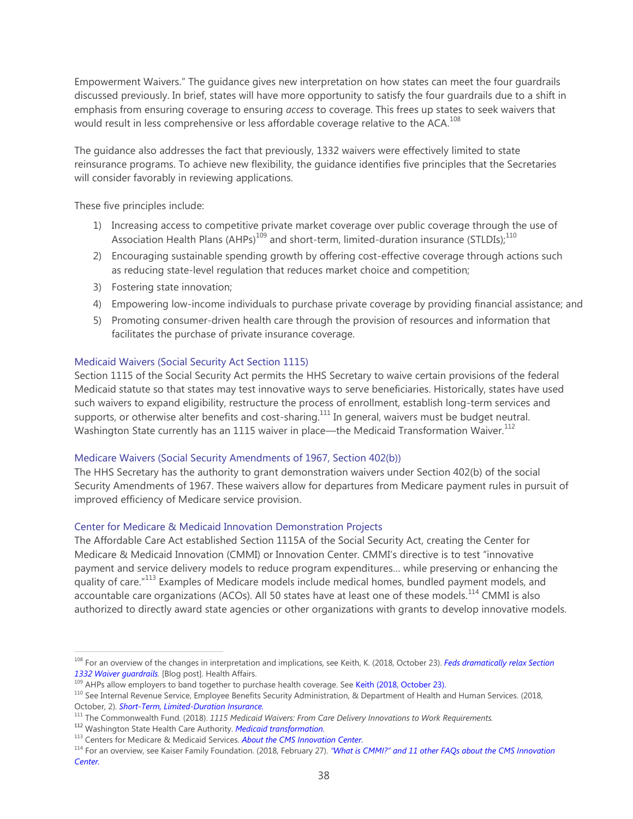Empowerment Waivers." The guidance gives new interpretation on how states can meet the four guardrails discussed previously. In brief, states will have more opportunity to satisfy the four guardrails due to a shift in emphasis from ensuring coverage to ensuring *access* to coverage. This frees up states to seek waivers that would result in less comprehensive or less affordable coverage relative to the ACA.<sup>108</sup>

The guidance also addresses the fact that previously, 1332 waivers were effectively limited to state reinsurance programs. To achieve new flexibility, the guidance identifies five principles that the Secretaries will consider favorably in reviewing applications.

These five principles include:

- 1) Increasing access to competitive private market coverage over public coverage through the use of Association Health Plans (AHPs)<sup>109</sup> and short-term, limited-duration insurance (STLDIs);<sup>110</sup>
- 2) Encouraging sustainable spending growth by offering cost-effective coverage through actions such as reducing state-level regulation that reduces market choice and competition;
- 3) Fostering state innovation;
- 4) Empowering low-income individuals to purchase private coverage by providing financial assistance; and
- 5) Promoting consumer-driven health care through the provision of resources and information that facilitates the purchase of private insurance coverage.

#### Medicaid Waivers (Social Security Act Section 1115)

Section 1115 of the Social Security Act permits the HHS Secretary to waive certain provisions of the federal Medicaid statute so that states may test innovative ways to serve beneficiaries. Historically, states have used such waivers to expand eligibility, restructure the process of enrollment, establish long-term services and supports, or otherwise alter benefits and cost-sharing.<sup>111</sup> In general, waivers must be budget neutral. Washington State currently has an 1115 waiver in place—the Medicaid Transformation Waiver.<sup>112</sup>

#### Medicare Waivers (Social Security Amendments of 1967, Section 402(b))

The HHS Secretary has the authority to grant demonstration waivers under Section 402(b) of the social Security Amendments of 1967. These waivers allow for departures from Medicare payment rules in pursuit of improved efficiency of Medicare service provision.

#### Center for Medicare & Medicaid Innovation Demonstration Projects

The Affordable Care Act established Section 1115A of the Social Security Act, creating the Center for Medicare & Medicaid Innovation (CMMI) or Innovation Center. CMMI's directive is to test "innovative payment and service delivery models to reduce program expenditures… while preserving or enhancing the quality of care."<sup>113</sup> Examples of Medicare models include medical homes, bundled payment models, and accountable care organizations (ACOs). All 50 states have at least one of these models.<sup>114</sup> CMMI is also authorized to directly award state agencies or other organizations with grants to develop innovative models.

<sup>108</sup> For an overview of the changes in interpretation and implications, see Keith, K. (2018, October 23). *[Feds dramatically relax Section](https://www.healthaffairs.org/do/10.1377/hblog20181023.512033/full/)  [1332 Waiver guardrails.](https://www.healthaffairs.org/do/10.1377/hblog20181023.512033/full/)* [Blog post]. Health Affairs.

<sup>109</sup> AHPs allow employers to band together to purchase health coverage. See [Keith \(2018, October 23\).](https://www.healthaffairs.org/do/10.1377/hblog20181023.512033/full/)

<sup>110</sup> See Internal Revenue Service, Employee Benefits Security Administration, & Department of Health and Human Services. (2018, October, 2). *[Short-Term, Limited-Duration Insurance.](file://///wsippfloly001.ssv.wa.lcl/WSIPP_Common/Reports%20In%20Progress/Health%20care%20related/Universal%20healthcare%20&%20single-payer/Report%20Materials/Draft%20Report/Short-Term,%20Limited-Duration%20Insurance..)*

<sup>111</sup> The Commonwealth Fund. (2018). *[1115 Medicaid Waivers: From Care Delivery Innovations to Work Requirements.](https://www.commonwealthfund.org/publications/explainer/2018/apr/1115-medicaid-waivers-care-delivery-innovations-work-requirements)*

<sup>112</sup> Washington State Health Care Authority. *[Medicaid transformation.](https://www.hca.wa.gov/about-hca/healthier-washington/medicaid-transformation)*

<sup>113</sup> [Centers](https://innovation.cms.gov/About/index.html) for Medicare & Medicaid Services. *[About the CMS Innovation Center.](https://innovation.cms.gov/About/index.html)*

<sup>114</sup> For an overview, see Kaiser Family Foundation. (2018, February 27). *["What is CMMI?" and 11 other FAQs about the CMS Innovation](https://www.kff.org/medicare/fact-sheet/what-is-cmmi-and-11-other-faqs-about-the-cms-innovation-center/)  [Center.](https://www.kff.org/medicare/fact-sheet/what-is-cmmi-and-11-other-faqs-about-the-cms-innovation-center/)*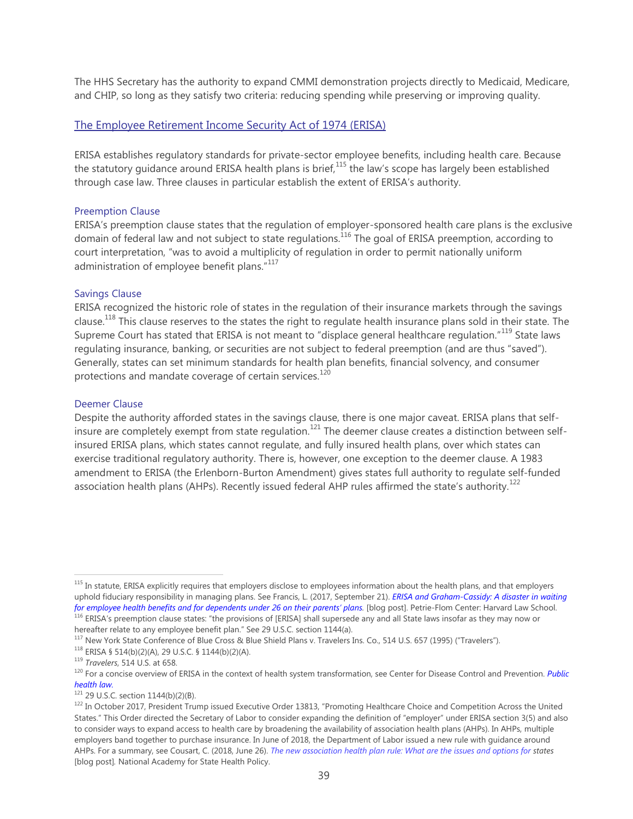The HHS Secretary has the authority to expand CMMI demonstration projects directly to Medicaid, Medicare, and CHIP, so long as they satisfy two criteria: reducing spending while preserving or improving quality.

#### The Employee Retirement Income Security Act of 1974 (ERISA)

ERISA establishes regulatory standards for private-sector employee benefits, including health care. Because the statutory quidance around ERISA health plans is brief,<sup>115</sup> the law's scope has largely been established through case law. Three clauses in particular establish the extent of ERISA's authority.

#### Preemption Clause

ERISA's preemption clause states that the regulation of employer-sponsored health care plans is the exclusive domain of federal law and not subject to state regulations.<sup>116</sup> The goal of ERISA preemption, according to court interpretation, "was to avoid a multiplicity of regulation in order to permit nationally uniform administration of employee benefit plans."<sup>117</sup>

#### Savings Clause

ERISA recognized the historic role of states in the regulation of their insurance markets through the savings clause.<sup>118</sup> This clause reserves to the states the right to regulate health insurance plans sold in their state. The Supreme Court has stated that ERISA is not meant to "displace general healthcare regulation."<sup>119</sup> State laws regulating insurance, banking, or securities are not subject to federal preemption (and are thus "saved"). Generally, states can set minimum standards for health plan benefits, financial solvency, and consumer protections and mandate coverage of certain services. $120$ 

#### Deemer Clause

 $\overline{a}$ 

Despite the authority afforded states in the savings clause, there is one major caveat. ERISA plans that selfinsure are completely exempt from state regulation.<sup>121</sup> The deemer clause creates a distinction between selfinsured ERISA plans, which states cannot regulate, and fully insured health plans, over which states can exercise traditional regulatory authority. There is, however, one exception to the deemer clause. A 1983 amendment to ERISA (the Erlenborn-Burton Amendment) gives states full authority to regulate self-funded association health plans (AHPs). Recently issued federal AHP rules affirmed the state's authority.<sup>122</sup>

<sup>&</sup>lt;sup>115</sup> In statute, ERISA explicitly requires that employers disclose to employees information about the health plans, and that employers uphold fiduciary responsibility in managing plans. See Francis, L. (2017, September 21). *[ERISA and Graham-Cassidy: A disaster in waiting](http://blog.petrieflom.law.harvard.edu/2017/09/21/erisa-and-graham-cassidy-a-disaster-in-waiting-for-employee-health-benefits-and-for-dependents-under-26-on-their-parents-plans/)  [for employee health benefits and for dependents un](http://blog.petrieflom.law.harvard.edu/2017/09/21/erisa-and-graham-cassidy-a-disaster-in-waiting-for-employee-health-benefits-and-for-dependents-under-26-on-their-parents-plans/)der 26 on their parents' plans.* [blog post]. Petrie-Flom Center: Harvard Law School.

<sup>&</sup>lt;sup>116</sup> ERISA's preemption clause states: "the provisions of [ERISA] shall supersede any and all State laws insofar as they may now or hereafter relate to any employee benefit plan." See 29 U.S.C. section 1144(a).

<sup>117</sup> New York State Conference of Blue Cross & Blue Shield Plans v. Travelers Ins. Co., 514 U.S. 657 (1995) ("Travelers").

<sup>118</sup> ERISA § 514(b)(2)(A), 29 U.S.C. § 1144(b)(2)(A).

<sup>119</sup> *Travelers*, 514 U.S. at 658.

<sup>120</sup> For a concise overview of ERISA in the context of health system transformation, see Center for Disease Control and Prevention. *[Public](https://www.cdc.gov/phlp/docs/erisa-brief.pdf)  [health law.](https://www.cdc.gov/phlp/docs/erisa-brief.pdf)*

<sup>121</sup> 29 U.S.C. section 1144(b)(2)(B).

<sup>122</sup> In October 2017, President Trump issued Executive Order 13813, "Promoting Healthcare Choice and Competition Across the United States." This Order directed the Secretary of Labor to consider expanding the definition of "employer" under ERISA section 3(5) and also to consider ways to expand access to health care by broadening the availability of association health plans (AHPs). In AHPs, multiple employers band together to purchase insurance. In June of 2018, the Department of Labor issued a new rule with guidance around AHPs. For a summary, see Cousart, C. (2018, June 26). *[The new association health plan rule: What are the issues and options for](https://nashp.org/the-new-association-health-plan-rule-what-are-the-issues-and-options-for-states/) states*  [blog post]*.* National Academy for State Health Policy.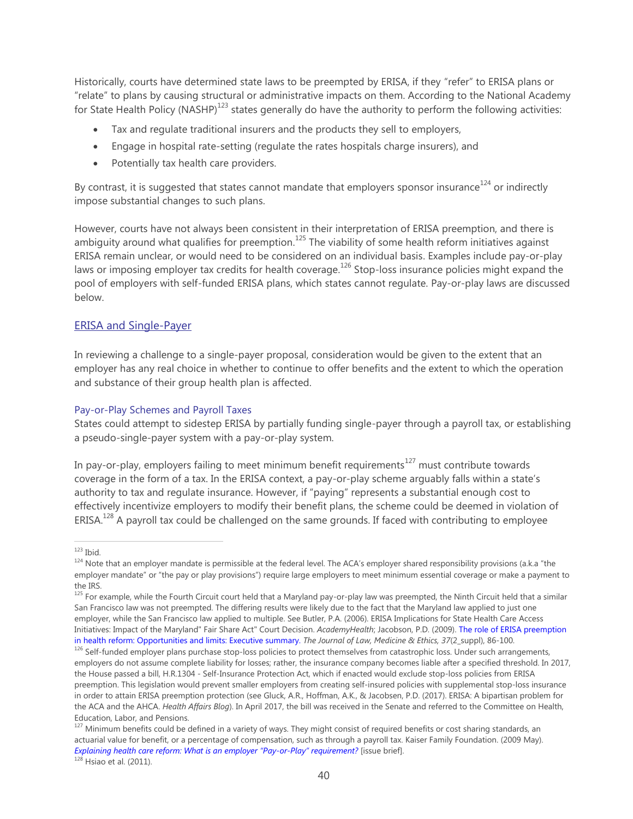Historically, courts have determined state laws to be preempted by ERISA, if they "refer" to ERISA plans or "relate" to plans by causing structural or administrative impacts on them. According to the National Academy for State Health Policy (NASHP)<sup>123</sup> states generally do have the authority to perform the following activities:

- Tax and regulate traditional insurers and the products they sell to employers,
- Engage in hospital rate-setting (regulate the rates hospitals charge insurers), and
- Potentially tax health care providers.

By contrast, it is suggested that states cannot mandate that employers sponsor insurance<sup>124</sup> or indirectly impose substantial changes to such plans.

However, courts have not always been consistent in their interpretation of ERISA preemption, and there is ambiguity around what qualifies for preemption.<sup>125</sup> The viability of some health reform initiatives against ERISA remain unclear, or would need to be considered on an individual basis. Examples include pay-or-play laws or imposing employer tax credits for health coverage.<sup>126</sup> Stop-loss insurance policies might expand the pool of employers with self-funded ERISA plans, which states cannot regulate. Pay-or-play laws are discussed below.

#### ERISA and Single-Payer

In reviewing a challenge to a single-payer proposal, consideration would be given to the extent that an employer has any real choice in whether to continue to offer benefits and the extent to which the operation and substance of their group health plan is affected.

#### Pay-or-Play Schemes and Payroll Taxes

States could attempt to sidestep ERISA by partially funding single-payer through a payroll tax, or establishing a pseudo-single-payer system with a pay-or-play system.

In pay-or-play, employers failing to meet minimum benefit requirements<sup>127</sup> must contribute towards coverage in the form of a tax. In the ERISA context, a pay-or-play scheme arguably falls within a state's authority to tax and regulate insurance. However, if "paying" represents a substantial enough cost to effectively incentivize employers to modify their benefit plans, the scheme could be deemed in violation of ERISA.<sup>128</sup> A payroll tax could be challenged on the same grounds. If faced with contributing to employee

 $123$  Ibid.

<sup>&</sup>lt;sup>124</sup> Note that an employer mandate is permissible at the federal level. The ACA's employer shared responsibility provisions (a.k.a "the employer mandate" or "the pay or play provisions") require large employers to meet minimum essential coverage or make a payment to the IRS.

<sup>&</sup>lt;sup>125</sup> For example, while the Fourth Circuit court held that a Maryland pay-or-play law was preempted, the Ninth Circuit held that a similar San Francisco law was not preempted. The differing results were likely due to the fact that the Maryland law applied to just one employer, while the San Francisco law applied to multiple. See Butler, P.A. (2006). ERISA Implications for State Health Care Access Initiatives: Impact of the Maryland" Fair Share Act" Court Decision. *AcademyHealth*; Jacobson, P.D. (2009). [The role of ERISA preemption](https://scholarship.law.georgetown.edu/cgi/viewcontent.cgi?referer=https://scholar.google.com/)  [in health reform: Opportunities and limits: Executive summary.](https://scholarship.law.georgetown.edu/cgi/viewcontent.cgi?referer=https://scholar.google.com/) *The Journal of Law, Medicine & Ethics, 37*(2\_suppl), 86-100.

<sup>&</sup>lt;sup>126</sup> Self-funded employer plans purchase stop-loss policies to protect themselves from catastrophic loss. Under such arrangements, employers do not assume complete liability for losses; rather, the insurance company becomes liable after a specified threshold. In 2017, the House passed a bill, H.R.1304 - Self-Insurance Protection Act, which if enacted would exclude stop-loss policies from ERISA preemption. This legislation would prevent smaller employers from creating self-insured policies with supplemental stop-loss insurance in order to attain ERISA preemption protection (see [Gluck, A.R., Hoffman, A.K., & Jacobsen, P.D. \(2017\). ERISA: A bipartisan problem for](https://www.healthaffairs.org/do/10.1377/hblog20170602.060391/full/)  [the ACA and the AHCA.](https://www.healthaffairs.org/do/10.1377/hblog20170602.060391/full/) *Health Affairs Blog*). In April 2017, the bill was received in the Senate and referred to the Committee on Health, Education, Labor, and Pensions.

<sup>&</sup>lt;sup>127</sup> Minimum benefits could be defined in a variety of ways. They might consist of required benefits or cost sharing standards, an actuarial value for benefit, or a percentage of compensation, such as through a payroll tax. Kaiser Family Foundation. (2009 May). *Explaining health ca[re reform: What is an employer "Pay](https://kaiserfamilyfoundation.files.wordpress.com/2013/01/7907.pdf)-or-Play" requirement?* [issue brief].  $128$  Hsiao et al. (2011).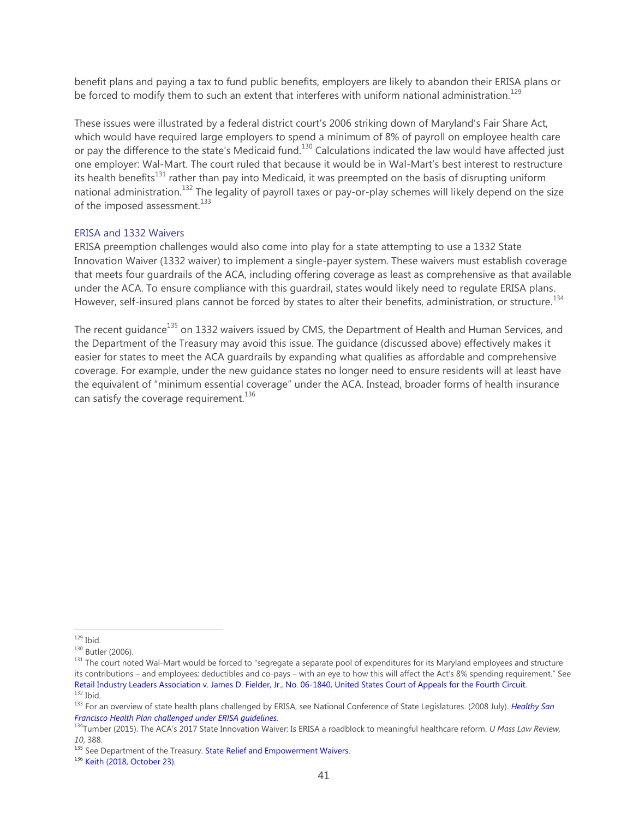benefit plans and paying a tax to fund public benefits, employers are likely to abandon their ERISA plans or be forced to modify them to such an extent that interferes with uniform national administration.<sup>129</sup>

These issues were illustrated by a federal district court's 2006 striking down of Maryland's Fair Share Act, which would have required large employers to spend a minimum of 8% of payroll on employee health care or pay the difference to the state's Medicaid fund.<sup>130</sup> Calculations indicated the law would have affected just one employer: Wal-Mart. The court ruled that because it would be in Wal-Mart's best interest to restructure its health benefits<sup>131</sup> rather than pay into Medicaid, it was preempted on the basis of disrupting uniform national administration.<sup>132</sup> The legality of payroll taxes or pay-or-play schemes will likely depend on the size of the imposed assessment.<sup>133</sup>

#### ERISA and 1332 Waivers

ERISA preemption challenges would also come into play for a state attempting to use a 1332 State Innovation Waiver (1332 waiver) to implement a single-payer system. These waivers must establish coverage that meets four guardrails of the ACA, including offering coverage as least as comprehensive as that available under the ACA. To ensure compliance with this guardrail, states would likely need to regulate ERISA plans. However, self-insured plans cannot be forced by states to alter their benefits, administration, or structure.<sup>134</sup>

The recent guidance<sup>135</sup> on 1332 waivers issued by CMS, the Department of Health and Human Services, and the Department of the Treasury may avoid this issue. The guidance (discussed above) effectively makes it easier for states to meet the ACA guardrails by expanding what qualifies as affordable and comprehensive coverage. For example, under the new guidance states no longer need to ensure residents will at least have the equivalent of "minimum essential coverage" under the ACA. Instead, broader forms of health insurance can satisfy the coverage requirement. $136$ 

 $129$  Ibid.

<sup>130</sup> Butler (2006).

<sup>&</sup>lt;sup>131</sup> The court noted Wal-Mart would be forced to "segregate a separate pool of expenditures for its Maryland employees and structure its contributions – and employees; deductibles and co-pays – with an eye to how this will affect the Act's 8% spending requirement." See [Retail Industry Leaders Association v. James D. Fielder, Jr., No. 06-1840, United States Court of Appeals for the Fourth Circuit.](https://www.americanbenefitscouncil.org/pub/?id=e61030e0-e6c5-c7bf-84ea-374283396f46)  $132$  Ibid.

<sup>133</sup> For an overview of state health plans challenged by ERISA, see National Conference of State Legislatures. (2008 July). *[Healthy San](http://www.ncsl.org/research/health/state-health-plans-challenged-by-erisa.aspx)  [Francisco Health Plan challenged under ERISA guidelines.](http://www.ncsl.org/research/health/state-health-plans-challenged-by-erisa.aspx)*

<sup>134</sup>Tumber (2015). The ACA's 2017 State Innovation Waiver: Is ERISA a roadblock to meaningful healthcare reform. *U Mass Law Review, 10*, 388.

<sup>135</sup> See Department of the Treasury[. State Relief and Empowerment Waivers.](https://s3.amazonaws.com/public-inspection.federalregister.gov/2018-23182.pdf?utm_campaign=pi%20subscription%20mailing%20list&utm_source=federalregister.gov&utm_medium=email)

<sup>136</sup> [Keith \(2018, October 23\).](https://www.healthaffairs.org/do/10.1377/hblog20181023.512033/full/)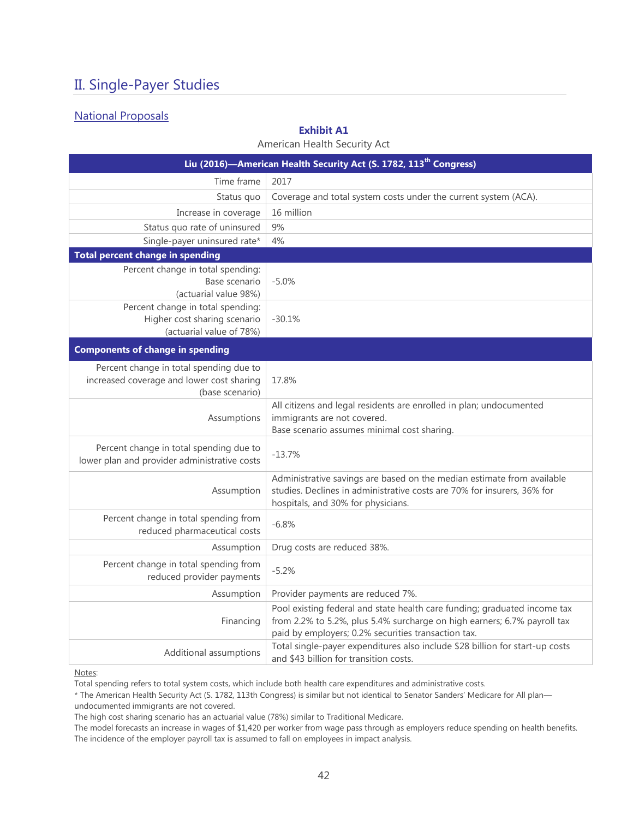# II. Single-Payer Studies

## National Proposals

#### **Exhibit A1**

American Health Security Act

| Liu (2016)—American Health Security Act (S. 1782, 113 <sup>th</sup> Congress)                           |                                                                                                                                                                                                              |  |  |
|---------------------------------------------------------------------------------------------------------|--------------------------------------------------------------------------------------------------------------------------------------------------------------------------------------------------------------|--|--|
| Time frame                                                                                              | 2017                                                                                                                                                                                                         |  |  |
| Status quo                                                                                              | Coverage and total system costs under the current system (ACA).                                                                                                                                              |  |  |
| Increase in coverage                                                                                    | 16 million                                                                                                                                                                                                   |  |  |
| Status quo rate of uninsured                                                                            | 9%                                                                                                                                                                                                           |  |  |
| Single-payer uninsured rate*                                                                            | 4%                                                                                                                                                                                                           |  |  |
| <b>Total percent change in spending</b>                                                                 |                                                                                                                                                                                                              |  |  |
| Percent change in total spending:<br>Base scenario<br>(actuarial value 98%)                             | $-5.0%$                                                                                                                                                                                                      |  |  |
| Percent change in total spending:<br>Higher cost sharing scenario<br>(actuarial value of 78%)           | $-30.1%$                                                                                                                                                                                                     |  |  |
| <b>Components of change in spending</b>                                                                 |                                                                                                                                                                                                              |  |  |
| Percent change in total spending due to<br>increased coverage and lower cost sharing<br>(base scenario) | 17.8%                                                                                                                                                                                                        |  |  |
| Assumptions                                                                                             | All citizens and legal residents are enrolled in plan; undocumented<br>immigrants are not covered.<br>Base scenario assumes minimal cost sharing.                                                            |  |  |
| Percent change in total spending due to<br>lower plan and provider administrative costs                 | $-13.7%$                                                                                                                                                                                                     |  |  |
| Assumption                                                                                              | Administrative savings are based on the median estimate from available<br>studies. Declines in administrative costs are 70% for insurers, 36% for<br>hospitals, and 30% for physicians.                      |  |  |
| Percent change in total spending from<br>reduced pharmaceutical costs                                   | $-6.8%$                                                                                                                                                                                                      |  |  |
| Assumption                                                                                              | Drug costs are reduced 38%.                                                                                                                                                                                  |  |  |
| Percent change in total spending from<br>reduced provider payments                                      | $-5.2%$                                                                                                                                                                                                      |  |  |
| Assumption                                                                                              | Provider payments are reduced 7%.                                                                                                                                                                            |  |  |
| Financing                                                                                               | Pool existing federal and state health care funding; graduated income tax<br>from 2.2% to 5.2%, plus 5.4% surcharge on high earners; 6.7% payroll tax<br>paid by employers; 0.2% securities transaction tax. |  |  |
| Additional assumptions                                                                                  | Total single-payer expenditures also include \$28 billion for start-up costs<br>and \$43 billion for transition costs.                                                                                       |  |  |

Notes:

Total spending refers to total system costs, which include both health care expenditures and administrative costs.

<sup>\*</sup> The American Health Security Act (S. 1782, 113th Congress) is similar but not identical to Senator Sanders' Medicare for All plan—

undocumented immigrants are not covered.

The high cost sharing scenario has an actuarial value (78%) similar to Traditional Medicare.

The model forecasts an increase in wages of \$1,420 per worker from wage pass through as employers reduce spending on health benefits. The incidence of the employer payroll tax is assumed to fall on employees in impact analysis.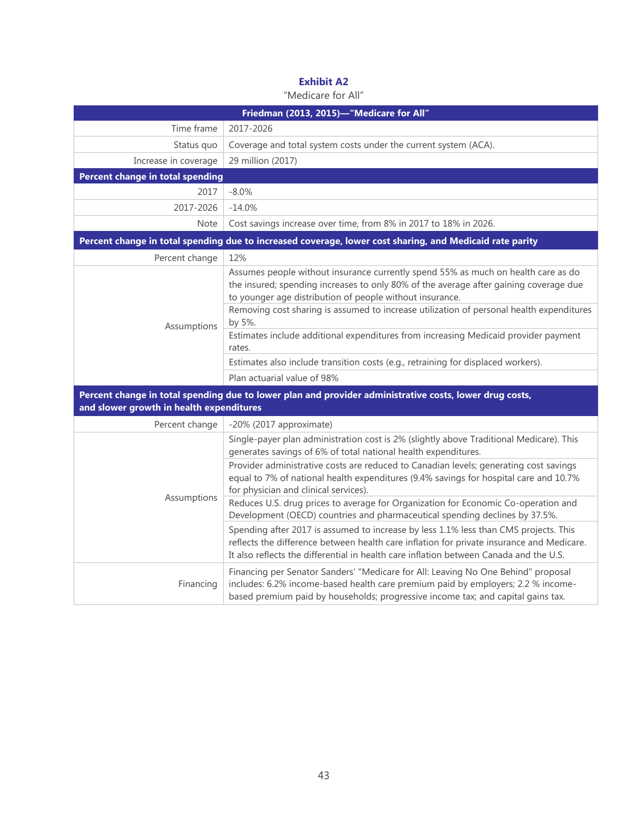|                                          | Friedman (2013, 2015)-"Medicare for All"                                                                                                                                                                                                                                    |  |  |
|------------------------------------------|-----------------------------------------------------------------------------------------------------------------------------------------------------------------------------------------------------------------------------------------------------------------------------|--|--|
| Time frame                               | 2017-2026                                                                                                                                                                                                                                                                   |  |  |
| Status quo                               | Coverage and total system costs under the current system (ACA).                                                                                                                                                                                                             |  |  |
| Increase in coverage                     | 29 million (2017)                                                                                                                                                                                                                                                           |  |  |
| Percent change in total spending         |                                                                                                                                                                                                                                                                             |  |  |
| 2017                                     | $-8.0%$                                                                                                                                                                                                                                                                     |  |  |
| 2017-2026                                | $-14.0%$                                                                                                                                                                                                                                                                    |  |  |
| <b>Note</b>                              | Cost savings increase over time, from 8% in 2017 to 18% in 2026.                                                                                                                                                                                                            |  |  |
|                                          | Percent change in total spending due to increased coverage, lower cost sharing, and Medicaid rate parity                                                                                                                                                                    |  |  |
| Percent change                           | 12%                                                                                                                                                                                                                                                                         |  |  |
|                                          | Assumes people without insurance currently spend 55% as much on health care as do<br>the insured; spending increases to only 80% of the average after gaining coverage due<br>to younger age distribution of people without insurance.                                      |  |  |
| Assumptions                              | Removing cost sharing is assumed to increase utilization of personal health expenditures<br>by 5%.                                                                                                                                                                          |  |  |
|                                          | Estimates include additional expenditures from increasing Medicaid provider payment<br>rates.                                                                                                                                                                               |  |  |
|                                          | Estimates also include transition costs (e.g., retraining for displaced workers).                                                                                                                                                                                           |  |  |
|                                          | Plan actuarial value of 98%                                                                                                                                                                                                                                                 |  |  |
| and slower growth in health expenditures | Percent change in total spending due to lower plan and provider administrative costs, lower drug costs,                                                                                                                                                                     |  |  |
| Percent change                           | -20% (2017 approximate)                                                                                                                                                                                                                                                     |  |  |
|                                          | Single-payer plan administration cost is 2% (slightly above Traditional Medicare). This<br>generates savings of 6% of total national health expenditures.                                                                                                                   |  |  |
|                                          | Provider administrative costs are reduced to Canadian levels; generating cost savings<br>equal to 7% of national health expenditures (9.4% savings for hospital care and 10.7%<br>for physician and clinical services).                                                     |  |  |
| Assumptions                              | Reduces U.S. drug prices to average for Organization for Economic Co-operation and<br>Development (OECD) countries and pharmaceutical spending declines by 37.5%.                                                                                                           |  |  |
|                                          | Spending after 2017 is assumed to increase by less 1.1% less than CMS projects. This<br>reflects the difference between health care inflation for private insurance and Medicare.<br>It also reflects the differential in health care inflation between Canada and the U.S. |  |  |
| Financing                                | Financing per Senator Sanders' "Medicare for All: Leaving No One Behind" proposal<br>includes: 6.2% income-based health care premium paid by employers; 2.2 % income-<br>based premium paid by households; progressive income tax; and capital gains tax.                   |  |  |

#### **Exhibit A2** "Medicare for All"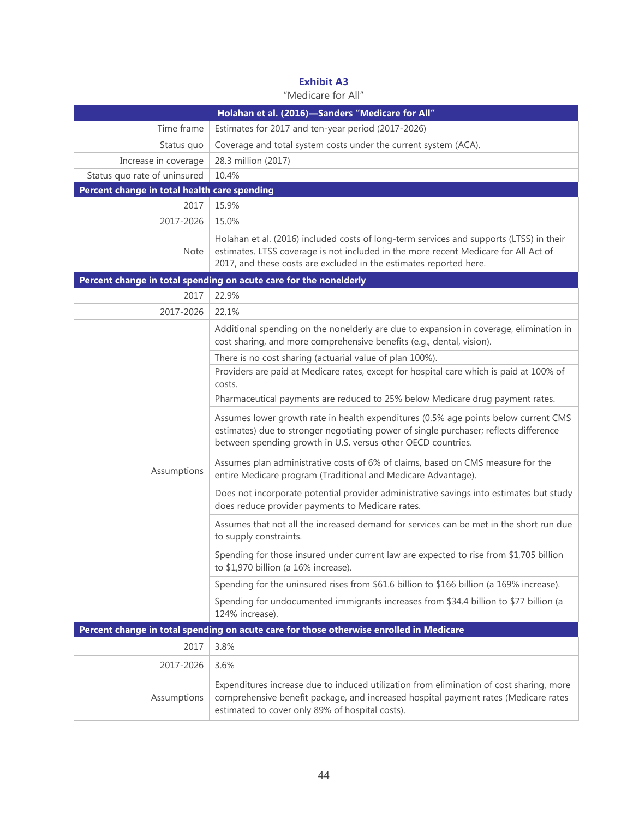| Holahan et al. (2016)-Sanders "Medicare for All" |                                                                                                                                                                                                                                                      |  |  |  |
|--------------------------------------------------|------------------------------------------------------------------------------------------------------------------------------------------------------------------------------------------------------------------------------------------------------|--|--|--|
| Time frame                                       | Estimates for 2017 and ten-year period (2017-2026)                                                                                                                                                                                                   |  |  |  |
| Status quo                                       | Coverage and total system costs under the current system (ACA).                                                                                                                                                                                      |  |  |  |
| Increase in coverage                             | 28.3 million (2017)                                                                                                                                                                                                                                  |  |  |  |
| Status quo rate of uninsured                     | 10.4%                                                                                                                                                                                                                                                |  |  |  |
| Percent change in total health care spending     |                                                                                                                                                                                                                                                      |  |  |  |
| 2017                                             | 15.9%                                                                                                                                                                                                                                                |  |  |  |
| 2017-2026                                        | 15.0%                                                                                                                                                                                                                                                |  |  |  |
| <b>Note</b>                                      | Holahan et al. (2016) included costs of long-term services and supports (LTSS) in their<br>estimates. LTSS coverage is not included in the more recent Medicare for All Act of<br>2017, and these costs are excluded in the estimates reported here. |  |  |  |
|                                                  | Percent change in total spending on acute care for the nonelderly                                                                                                                                                                                    |  |  |  |
| 2017                                             | 22.9%                                                                                                                                                                                                                                                |  |  |  |
| 2017-2026                                        | 22.1%                                                                                                                                                                                                                                                |  |  |  |
|                                                  | Additional spending on the nonelderly are due to expansion in coverage, elimination in<br>cost sharing, and more comprehensive benefits (e.g., dental, vision).                                                                                      |  |  |  |
|                                                  | There is no cost sharing (actuarial value of plan 100%).                                                                                                                                                                                             |  |  |  |
|                                                  | Providers are paid at Medicare rates, except for hospital care which is paid at 100% of<br>costs.                                                                                                                                                    |  |  |  |
|                                                  | Pharmaceutical payments are reduced to 25% below Medicare drug payment rates.                                                                                                                                                                        |  |  |  |
|                                                  | Assumes lower growth rate in health expenditures (0.5% age points below current CMS<br>estimates) due to stronger negotiating power of single purchaser; reflects difference<br>between spending growth in U.S. versus other OECD countries.         |  |  |  |
| Assumptions                                      | Assumes plan administrative costs of 6% of claims, based on CMS measure for the<br>entire Medicare program (Traditional and Medicare Advantage).                                                                                                     |  |  |  |
|                                                  | Does not incorporate potential provider administrative savings into estimates but study<br>does reduce provider payments to Medicare rates.                                                                                                          |  |  |  |
|                                                  | Assumes that not all the increased demand for services can be met in the short run due<br>to supply constraints.                                                                                                                                     |  |  |  |
|                                                  | Spending for those insured under current law are expected to rise from \$1,705 billion<br>to \$1,970 billion (a 16% increase).                                                                                                                       |  |  |  |
|                                                  | Spending for the uninsured rises from \$61.6 billion to \$166 billion (a 169% increase).                                                                                                                                                             |  |  |  |
|                                                  | Spending for undocumented immigrants increases from \$34.4 billion to \$77 billion (a<br>124% increase).                                                                                                                                             |  |  |  |
|                                                  | Percent change in total spending on acute care for those otherwise enrolled in Medicare                                                                                                                                                              |  |  |  |
| 2017                                             | 3.8%                                                                                                                                                                                                                                                 |  |  |  |
| 2017-2026                                        | 3.6%                                                                                                                                                                                                                                                 |  |  |  |
| Assumptions                                      | Expenditures increase due to induced utilization from elimination of cost sharing, more<br>comprehensive benefit package, and increased hospital payment rates (Medicare rates<br>estimated to cover only 89% of hospital costs).                    |  |  |  |

#### **Exhibit A3** "Medicare for All"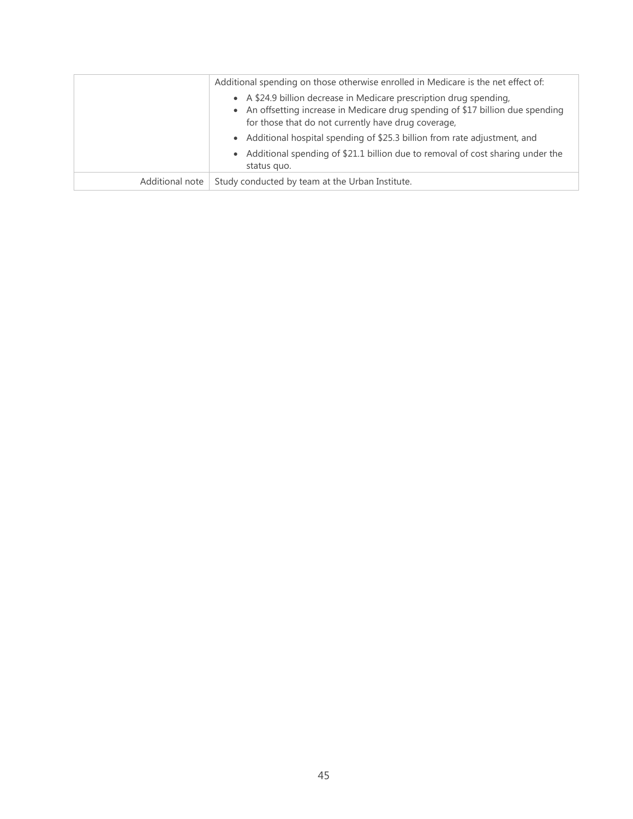|                 | Additional spending on those otherwise enrolled in Medicare is the net effect of:                                                                                                                             |  |  |
|-----------------|---------------------------------------------------------------------------------------------------------------------------------------------------------------------------------------------------------------|--|--|
|                 | • A \$24.9 billion decrease in Medicare prescription drug spending,<br>• An offsetting increase in Medicare drug spending of \$17 billion due spending<br>for those that do not currently have drug coverage, |  |  |
|                 | • Additional hospital spending of \$25.3 billion from rate adjustment, and                                                                                                                                    |  |  |
|                 | • Additional spending of \$21.1 billion due to removal of cost sharing under the<br>status quo.                                                                                                               |  |  |
| Additional note | Study conducted by team at the Urban Institute.                                                                                                                                                               |  |  |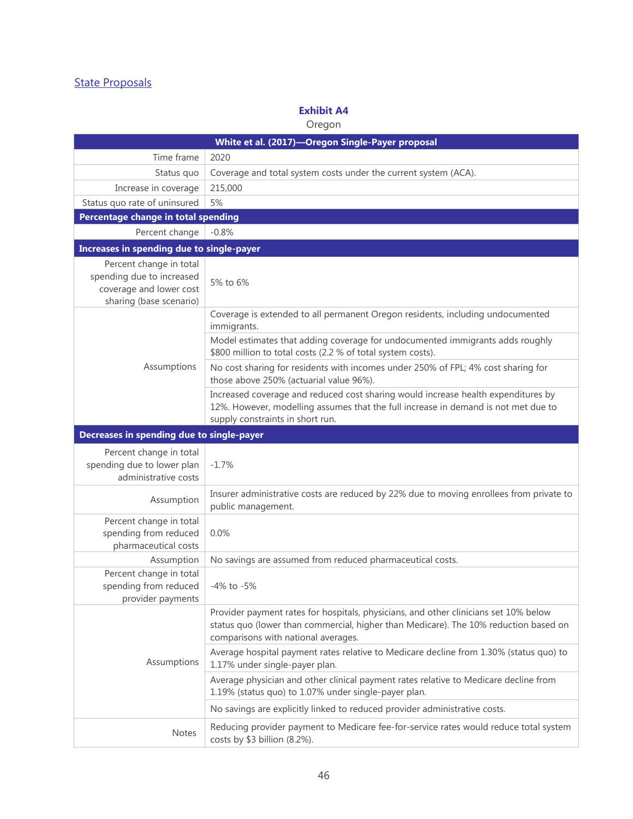## State Proposals

#### **Exhibit A4** Oregon

| White et al. (2017)-Oregon Single-Payer proposal                                                           |                                                                                                                                                                                                                     |  |  |  |
|------------------------------------------------------------------------------------------------------------|---------------------------------------------------------------------------------------------------------------------------------------------------------------------------------------------------------------------|--|--|--|
| Time frame                                                                                                 | 2020                                                                                                                                                                                                                |  |  |  |
| Status quo                                                                                                 | Coverage and total system costs under the current system (ACA).                                                                                                                                                     |  |  |  |
| Increase in coverage                                                                                       | 215,000                                                                                                                                                                                                             |  |  |  |
| Status quo rate of uninsured                                                                               | 5%                                                                                                                                                                                                                  |  |  |  |
| Percentage change in total spending                                                                        |                                                                                                                                                                                                                     |  |  |  |
| Percent change                                                                                             | $-0.8%$                                                                                                                                                                                                             |  |  |  |
| Increases in spending due to single-payer                                                                  |                                                                                                                                                                                                                     |  |  |  |
| Percent change in total<br>spending due to increased<br>coverage and lower cost<br>sharing (base scenario) | 5% to 6%                                                                                                                                                                                                            |  |  |  |
|                                                                                                            | Coverage is extended to all permanent Oregon residents, including undocumented<br>immigrants.                                                                                                                       |  |  |  |
|                                                                                                            | Model estimates that adding coverage for undocumented immigrants adds roughly<br>\$800 million to total costs (2.2 % of total system costs).                                                                        |  |  |  |
| Assumptions                                                                                                | No cost sharing for residents with incomes under 250% of FPL; 4% cost sharing for<br>those above 250% (actuarial value 96%).                                                                                        |  |  |  |
|                                                                                                            | Increased coverage and reduced cost sharing would increase health expenditures by<br>12%. However, modelling assumes that the full increase in demand is not met due to<br>supply constraints in short run.         |  |  |  |
| Decreases in spending due to single-payer                                                                  |                                                                                                                                                                                                                     |  |  |  |
| Percent change in total<br>spending due to lower plan<br>administrative costs                              | $-1.7%$                                                                                                                                                                                                             |  |  |  |
| Assumption                                                                                                 | Insurer administrative costs are reduced by 22% due to moving enrollees from private to<br>public management.                                                                                                       |  |  |  |
| Percent change in total<br>spending from reduced<br>pharmaceutical costs                                   | 0.0%                                                                                                                                                                                                                |  |  |  |
| Assumption                                                                                                 | No savings are assumed from reduced pharmaceutical costs.                                                                                                                                                           |  |  |  |
| Percent change in total<br>spending from reduced<br>provider payments                                      | -4% to -5%                                                                                                                                                                                                          |  |  |  |
|                                                                                                            | Provider payment rates for hospitals, physicians, and other clinicians set 10% below<br>status quo (lower than commercial, higher than Medicare). The 10% reduction based on<br>comparisons with national averages. |  |  |  |
| Assumptions                                                                                                | Average hospital payment rates relative to Medicare decline from 1.30% (status quo) to<br>1.17% under single-payer plan.                                                                                            |  |  |  |
|                                                                                                            | Average physician and other clinical payment rates relative to Medicare decline from<br>1.19% (status quo) to 1.07% under single-payer plan.                                                                        |  |  |  |
|                                                                                                            | No savings are explicitly linked to reduced provider administrative costs.                                                                                                                                          |  |  |  |
| <b>Notes</b>                                                                                               | Reducing provider payment to Medicare fee-for-service rates would reduce total system<br>costs by \$3 billion (8.2%).                                                                                               |  |  |  |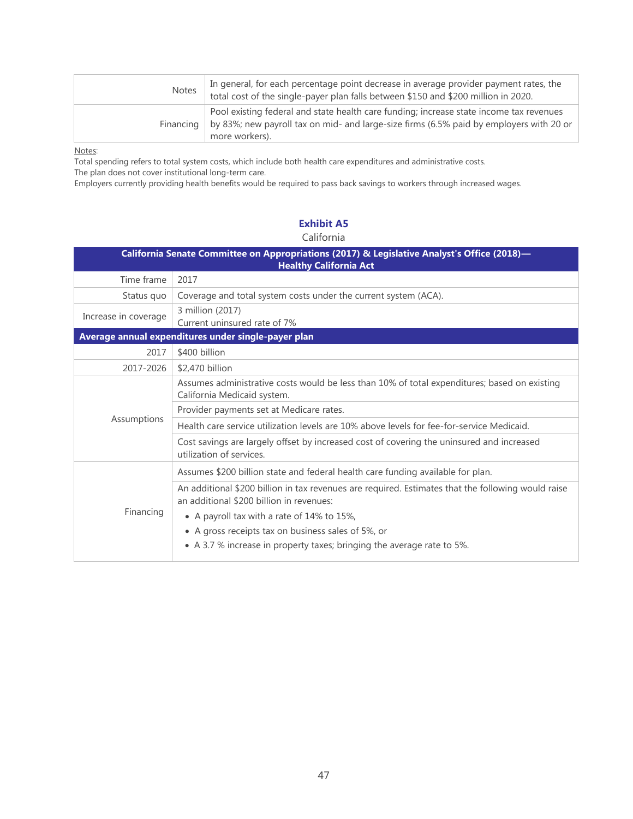| <b>Notes</b> | In general, for each percentage point decrease in average provider payment rates, the<br>total cost of the single-payer plan falls between \$150 and \$200 million in 2020.                          |
|--------------|------------------------------------------------------------------------------------------------------------------------------------------------------------------------------------------------------|
| Financing    | Pool existing federal and state health care funding; increase state income tax revenues<br>by 83%; new payroll tax on mid- and large-size firms (6.5% paid by employers with 20 or<br>more workers). |

Notes:

Total spending refers to total system costs, which include both health care expenditures and administrative costs.

The plan does not cover institutional long-term care.

Employers currently providing health benefits would be required to pass back savings to workers through increased wages.

|                                                                                                                              | California                                                                                                                                     |  |  |
|------------------------------------------------------------------------------------------------------------------------------|------------------------------------------------------------------------------------------------------------------------------------------------|--|--|
| California Senate Committee on Appropriations (2017) & Legislative Analyst's Office (2018)-<br><b>Healthy California Act</b> |                                                                                                                                                |  |  |
| Time frame                                                                                                                   | 2017                                                                                                                                           |  |  |
| Status quo                                                                                                                   | Coverage and total system costs under the current system (ACA).                                                                                |  |  |
| Increase in coverage                                                                                                         | 3 million (2017)<br>Current uninsured rate of 7%                                                                                               |  |  |
|                                                                                                                              | Average annual expenditures under single-payer plan                                                                                            |  |  |
| 2017                                                                                                                         | \$400 billion                                                                                                                                  |  |  |
| 2017-2026                                                                                                                    | \$2,470 billion                                                                                                                                |  |  |
|                                                                                                                              | Assumes administrative costs would be less than 10% of total expenditures; based on existing<br>California Medicaid system.                    |  |  |
|                                                                                                                              | Provider payments set at Medicare rates.                                                                                                       |  |  |
| Assumptions                                                                                                                  | Health care service utilization levels are 10% above levels for fee-for-service Medicaid.                                                      |  |  |
|                                                                                                                              | Cost savings are largely offset by increased cost of covering the uninsured and increased<br>utilization of services.                          |  |  |
|                                                                                                                              | Assumes \$200 billion state and federal health care funding available for plan.                                                                |  |  |
| Financing                                                                                                                    | An additional \$200 billion in tax revenues are required. Estimates that the following would raise<br>an additional \$200 billion in revenues: |  |  |
|                                                                                                                              | • A payroll tax with a rate of 14% to 15%,                                                                                                     |  |  |
|                                                                                                                              | • A gross receipts tax on business sales of 5%, or                                                                                             |  |  |
|                                                                                                                              | • A 3.7 % increase in property taxes; bringing the average rate to 5%.                                                                         |  |  |

#### **Exhibit A5**

#### California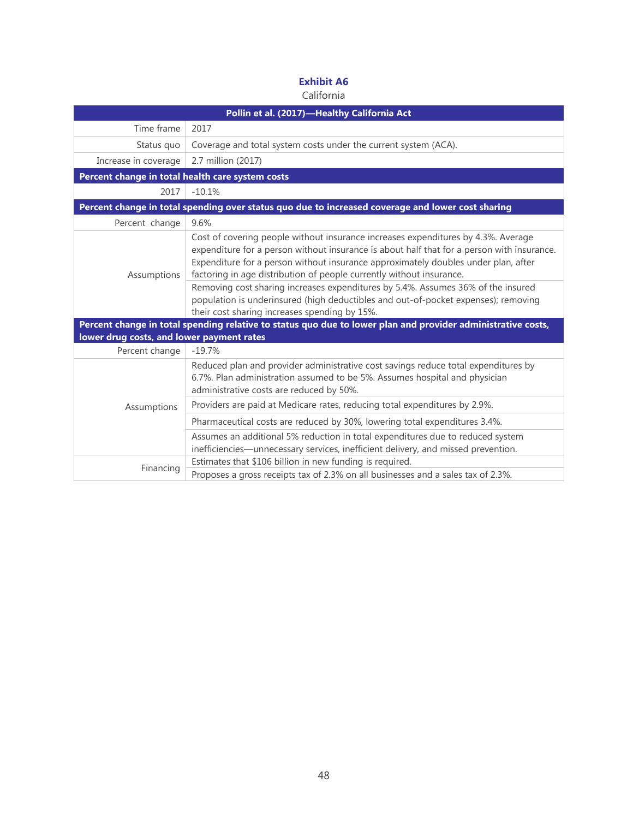|                                                  | Pollin et al. (2017)-Healthy California Act                                                                                                                                                                                                                                                                                                                                                                                       |  |  |
|--------------------------------------------------|-----------------------------------------------------------------------------------------------------------------------------------------------------------------------------------------------------------------------------------------------------------------------------------------------------------------------------------------------------------------------------------------------------------------------------------|--|--|
| Time frame                                       | 2017                                                                                                                                                                                                                                                                                                                                                                                                                              |  |  |
| Status quo                                       | Coverage and total system costs under the current system (ACA).                                                                                                                                                                                                                                                                                                                                                                   |  |  |
| Increase in coverage                             | 2.7 million (2017)                                                                                                                                                                                                                                                                                                                                                                                                                |  |  |
| Percent change in total health care system costs |                                                                                                                                                                                                                                                                                                                                                                                                                                   |  |  |
| 2017                                             | $-10.1%$                                                                                                                                                                                                                                                                                                                                                                                                                          |  |  |
|                                                  | Percent change in total spending over status quo due to increased coverage and lower cost sharing                                                                                                                                                                                                                                                                                                                                 |  |  |
| Percent change                                   | 9.6%                                                                                                                                                                                                                                                                                                                                                                                                                              |  |  |
| Assumptions                                      | Cost of covering people without insurance increases expenditures by 4.3%. Average<br>expenditure for a person without insurance is about half that for a person with insurance.<br>Expenditure for a person without insurance approximately doubles under plan, after<br>factoring in age distribution of people currently without insurance.<br>Removing cost sharing increases expenditures by 5.4%. Assumes 36% of the insured |  |  |
|                                                  | population is underinsured (high deductibles and out-of-pocket expenses); removing<br>their cost sharing increases spending by 15%.                                                                                                                                                                                                                                                                                               |  |  |
| lower drug costs, and lower payment rates        | Percent change in total spending relative to status quo due to lower plan and provider administrative costs,                                                                                                                                                                                                                                                                                                                      |  |  |
| Percent change                                   | $-19.7%$                                                                                                                                                                                                                                                                                                                                                                                                                          |  |  |
| Assumptions                                      | Reduced plan and provider administrative cost savings reduce total expenditures by<br>6.7%. Plan administration assumed to be 5%. Assumes hospital and physician<br>administrative costs are reduced by 50%.                                                                                                                                                                                                                      |  |  |
|                                                  | Providers are paid at Medicare rates, reducing total expenditures by 2.9%.                                                                                                                                                                                                                                                                                                                                                        |  |  |
|                                                  | Pharmaceutical costs are reduced by 30%, lowering total expenditures 3.4%.                                                                                                                                                                                                                                                                                                                                                        |  |  |
|                                                  | Assumes an additional 5% reduction in total expenditures due to reduced system<br>inefficiencies—unnecessary services, inefficient delivery, and missed prevention.                                                                                                                                                                                                                                                               |  |  |
| Financing                                        | Estimates that \$106 billion in new funding is required.<br>Proposes a gross receipts tax of 2.3% on all businesses and a sales tax of 2.3%.                                                                                                                                                                                                                                                                                      |  |  |

**Exhibit A6**

California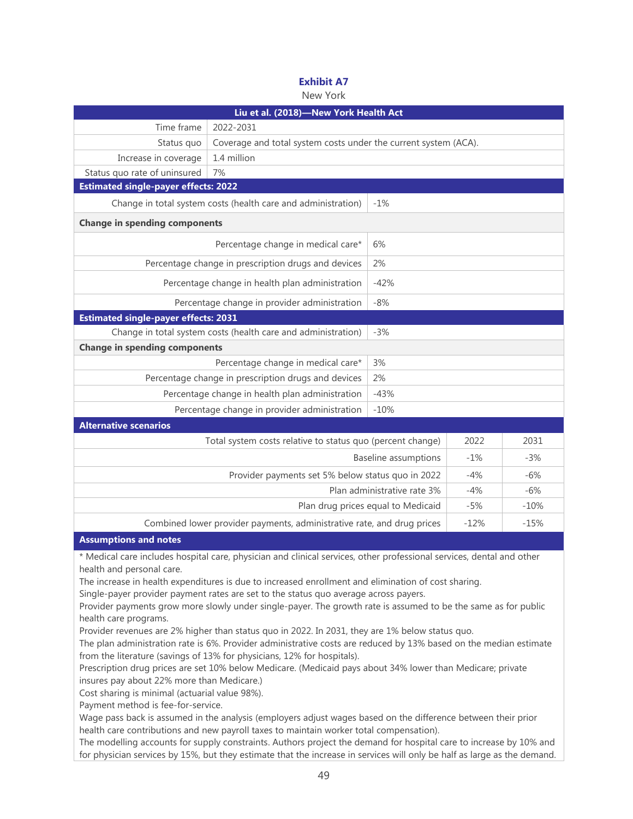|  | <b>Exhibit A7</b> |
|--|-------------------|
|  |                   |

New York

| Liu et al. (2018)-New York Health Act                                                                                                                                                                                                                                                                                                                                                                                                                                                                                                                                                                                                                                                                                                                                                                                                                                                                                                                                                                         |                                                                        |                                    |        |        |
|---------------------------------------------------------------------------------------------------------------------------------------------------------------------------------------------------------------------------------------------------------------------------------------------------------------------------------------------------------------------------------------------------------------------------------------------------------------------------------------------------------------------------------------------------------------------------------------------------------------------------------------------------------------------------------------------------------------------------------------------------------------------------------------------------------------------------------------------------------------------------------------------------------------------------------------------------------------------------------------------------------------|------------------------------------------------------------------------|------------------------------------|--------|--------|
| Time frame                                                                                                                                                                                                                                                                                                                                                                                                                                                                                                                                                                                                                                                                                                                                                                                                                                                                                                                                                                                                    | 2022-2031                                                              |                                    |        |        |
| Status quo                                                                                                                                                                                                                                                                                                                                                                                                                                                                                                                                                                                                                                                                                                                                                                                                                                                                                                                                                                                                    | Coverage and total system costs under the current system (ACA).        |                                    |        |        |
| Increase in coverage                                                                                                                                                                                                                                                                                                                                                                                                                                                                                                                                                                                                                                                                                                                                                                                                                                                                                                                                                                                          | 1.4 million                                                            |                                    |        |        |
| Status quo rate of uninsured                                                                                                                                                                                                                                                                                                                                                                                                                                                                                                                                                                                                                                                                                                                                                                                                                                                                                                                                                                                  | 7%                                                                     |                                    |        |        |
| <b>Estimated single-payer effects: 2022</b>                                                                                                                                                                                                                                                                                                                                                                                                                                                                                                                                                                                                                                                                                                                                                                                                                                                                                                                                                                   |                                                                        |                                    |        |        |
|                                                                                                                                                                                                                                                                                                                                                                                                                                                                                                                                                                                                                                                                                                                                                                                                                                                                                                                                                                                                               | Change in total system costs (health care and administration)          | $-1%$                              |        |        |
| <b>Change in spending components</b>                                                                                                                                                                                                                                                                                                                                                                                                                                                                                                                                                                                                                                                                                                                                                                                                                                                                                                                                                                          |                                                                        |                                    |        |        |
|                                                                                                                                                                                                                                                                                                                                                                                                                                                                                                                                                                                                                                                                                                                                                                                                                                                                                                                                                                                                               | Percentage change in medical care*                                     | 6%                                 |        |        |
|                                                                                                                                                                                                                                                                                                                                                                                                                                                                                                                                                                                                                                                                                                                                                                                                                                                                                                                                                                                                               | Percentage change in prescription drugs and devices                    | 2%                                 |        |        |
|                                                                                                                                                                                                                                                                                                                                                                                                                                                                                                                                                                                                                                                                                                                                                                                                                                                                                                                                                                                                               | Percentage change in health plan administration                        | $-42%$                             |        |        |
|                                                                                                                                                                                                                                                                                                                                                                                                                                                                                                                                                                                                                                                                                                                                                                                                                                                                                                                                                                                                               | Percentage change in provider administration                           | $-8%$                              |        |        |
| <b>Estimated single-payer effects: 2031</b>                                                                                                                                                                                                                                                                                                                                                                                                                                                                                                                                                                                                                                                                                                                                                                                                                                                                                                                                                                   |                                                                        |                                    |        |        |
|                                                                                                                                                                                                                                                                                                                                                                                                                                                                                                                                                                                                                                                                                                                                                                                                                                                                                                                                                                                                               | Change in total system costs (health care and administration)          | $-3%$                              |        |        |
| <b>Change in spending components</b>                                                                                                                                                                                                                                                                                                                                                                                                                                                                                                                                                                                                                                                                                                                                                                                                                                                                                                                                                                          |                                                                        |                                    |        |        |
| Percentage change in medical care*<br>3%                                                                                                                                                                                                                                                                                                                                                                                                                                                                                                                                                                                                                                                                                                                                                                                                                                                                                                                                                                      |                                                                        |                                    |        |        |
| Percentage change in prescription drugs and devices<br>2%                                                                                                                                                                                                                                                                                                                                                                                                                                                                                                                                                                                                                                                                                                                                                                                                                                                                                                                                                     |                                                                        |                                    |        |        |
| Percentage change in health plan administration<br>$-43%$                                                                                                                                                                                                                                                                                                                                                                                                                                                                                                                                                                                                                                                                                                                                                                                                                                                                                                                                                     |                                                                        |                                    |        |        |
| Percentage change in provider administration<br>$-10%$                                                                                                                                                                                                                                                                                                                                                                                                                                                                                                                                                                                                                                                                                                                                                                                                                                                                                                                                                        |                                                                        |                                    |        |        |
| <b>Alternative scenarios</b>                                                                                                                                                                                                                                                                                                                                                                                                                                                                                                                                                                                                                                                                                                                                                                                                                                                                                                                                                                                  |                                                                        |                                    |        |        |
| 2022<br>Total system costs relative to status quo (percent change)<br>2031                                                                                                                                                                                                                                                                                                                                                                                                                                                                                                                                                                                                                                                                                                                                                                                                                                                                                                                                    |                                                                        |                                    |        |        |
| <b>Baseline assumptions</b><br>$-1%$<br>$-3%$                                                                                                                                                                                                                                                                                                                                                                                                                                                                                                                                                                                                                                                                                                                                                                                                                                                                                                                                                                 |                                                                        |                                    |        |        |
| Provider payments set 5% below status quo in 2022<br>$-4%$<br>-6%                                                                                                                                                                                                                                                                                                                                                                                                                                                                                                                                                                                                                                                                                                                                                                                                                                                                                                                                             |                                                                        |                                    |        |        |
|                                                                                                                                                                                                                                                                                                                                                                                                                                                                                                                                                                                                                                                                                                                                                                                                                                                                                                                                                                                                               |                                                                        | Plan administrative rate 3%        | $-4%$  | $-6%$  |
|                                                                                                                                                                                                                                                                                                                                                                                                                                                                                                                                                                                                                                                                                                                                                                                                                                                                                                                                                                                                               |                                                                        | Plan drug prices equal to Medicaid | $-5%$  | $-10%$ |
|                                                                                                                                                                                                                                                                                                                                                                                                                                                                                                                                                                                                                                                                                                                                                                                                                                                                                                                                                                                                               | Combined lower provider payments, administrative rate, and drug prices |                                    | $-12%$ | $-15%$ |
| <b>Assumptions and notes</b>                                                                                                                                                                                                                                                                                                                                                                                                                                                                                                                                                                                                                                                                                                                                                                                                                                                                                                                                                                                  |                                                                        |                                    |        |        |
| * Medical care includes hospital care, physician and clinical services, other professional services, dental and other<br>health and personal care.<br>The increase in health expenditures is due to increased enrollment and elimination of cost sharing.<br>Single-payer provider payment rates are set to the status quo average across payers.<br>Provider payments grow more slowly under single-payer. The growth rate is assumed to be the same as for public<br>health care programs.<br>Provider revenues are 2% higher than status quo in 2022. In 2031, they are 1% below status quo.<br>The plan administration rate is 6%. Provider administrative costs are reduced by 13% based on the median estimate<br>from the literature (savings of 13% for physicians, 12% for hospitals).<br>Prescription drug prices are set 10% below Medicare. (Medicaid pays about 34% lower than Medicare; private<br>insures pay about 22% more than Medicare.)<br>Cost sharing is minimal (actuarial value 98%). |                                                                        |                                    |        |        |

Payment method is fee-for-service.

Wage pass back is assumed in the analysis (employers adjust wages based on the difference between their prior health care contributions and new payroll taxes to maintain worker total compensation).

The modelling accounts for supply constraints. Authors project the demand for hospital care to increase by 10% and for physician services by 15%, but they estimate that the increase in services will only be half as large as the demand.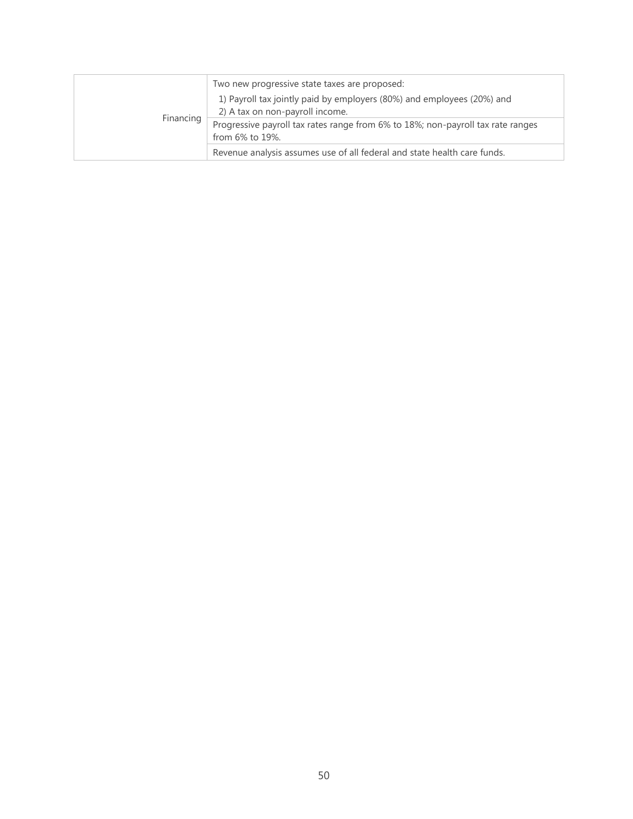| Financing | Two new progressive state taxes are proposed:                                                             |  |
|-----------|-----------------------------------------------------------------------------------------------------------|--|
|           | 1) Payroll tax jointly paid by employers (80%) and employees (20%) and<br>2) A tax on non-payroll income. |  |
|           | Progressive payroll tax rates range from 6% to 18%; non-payroll tax rate ranges<br>from 6% to 19%.        |  |
|           | Revenue analysis assumes use of all federal and state health care funds.                                  |  |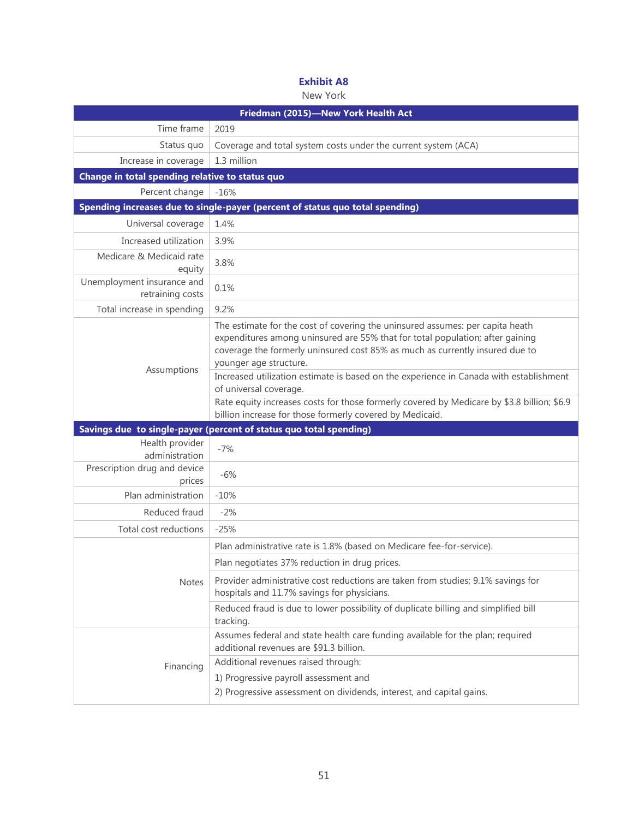| Friedman (2015)-New York Health Act             |                                                                                                                                                                                                                                                                          |  |  |
|-------------------------------------------------|--------------------------------------------------------------------------------------------------------------------------------------------------------------------------------------------------------------------------------------------------------------------------|--|--|
| Time frame                                      | 2019                                                                                                                                                                                                                                                                     |  |  |
| Status quo                                      | Coverage and total system costs under the current system (ACA)                                                                                                                                                                                                           |  |  |
| Increase in coverage                            | 1.3 million                                                                                                                                                                                                                                                              |  |  |
| Change in total spending relative to status quo |                                                                                                                                                                                                                                                                          |  |  |
| Percent change                                  | $-16%$                                                                                                                                                                                                                                                                   |  |  |
|                                                 | Spending increases due to single-payer (percent of status quo total spending)                                                                                                                                                                                            |  |  |
| Universal coverage                              | 1.4%                                                                                                                                                                                                                                                                     |  |  |
| Increased utilization                           | 3.9%                                                                                                                                                                                                                                                                     |  |  |
| Medicare & Medicaid rate<br>equity              | 3.8%                                                                                                                                                                                                                                                                     |  |  |
| Unemployment insurance and<br>retraining costs  | 0.1%                                                                                                                                                                                                                                                                     |  |  |
| Total increase in spending                      | 9.2%                                                                                                                                                                                                                                                                     |  |  |
| Assumptions                                     | The estimate for the cost of covering the uninsured assumes: per capita heath<br>expenditures among uninsured are 55% that for total population; after gaining<br>coverage the formerly uninsured cost 85% as much as currently insured due to<br>younger age structure. |  |  |
|                                                 | Increased utilization estimate is based on the experience in Canada with establishment<br>of universal coverage.                                                                                                                                                         |  |  |
|                                                 | Rate equity increases costs for those formerly covered by Medicare by \$3.8 billion; \$6.9<br>billion increase for those formerly covered by Medicaid.                                                                                                                   |  |  |
|                                                 | Savings due to single-payer (percent of status quo total spending)                                                                                                                                                                                                       |  |  |
| Health provider<br>administration               | $-7%$                                                                                                                                                                                                                                                                    |  |  |
| Prescription drug and device<br>prices          | $-6%$                                                                                                                                                                                                                                                                    |  |  |
| Plan administration                             | $-10%$                                                                                                                                                                                                                                                                   |  |  |
| Reduced fraud                                   | $-2%$                                                                                                                                                                                                                                                                    |  |  |
| Total cost reductions                           | $-25%$                                                                                                                                                                                                                                                                   |  |  |
|                                                 | Plan administrative rate is 1.8% (based on Medicare fee-for-service).                                                                                                                                                                                                    |  |  |
|                                                 | Plan negotiates 37% reduction in drug prices.                                                                                                                                                                                                                            |  |  |
| <b>Notes</b>                                    | Provider administrative cost reductions are taken from studies; 9.1% savings for<br>hospitals and 11.7% savings for physicians.                                                                                                                                          |  |  |
|                                                 | Reduced fraud is due to lower possibility of duplicate billing and simplified bill<br>tracking.                                                                                                                                                                          |  |  |
|                                                 | Assumes federal and state health care funding available for the plan; required<br>additional revenues are \$91.3 billion.                                                                                                                                                |  |  |
| Financing                                       | Additional revenues raised through:                                                                                                                                                                                                                                      |  |  |
|                                                 | 1) Progressive payroll assessment and                                                                                                                                                                                                                                    |  |  |
|                                                 | 2) Progressive assessment on dividends, interest, and capital gains.                                                                                                                                                                                                     |  |  |

## **Exhibit A8**

New York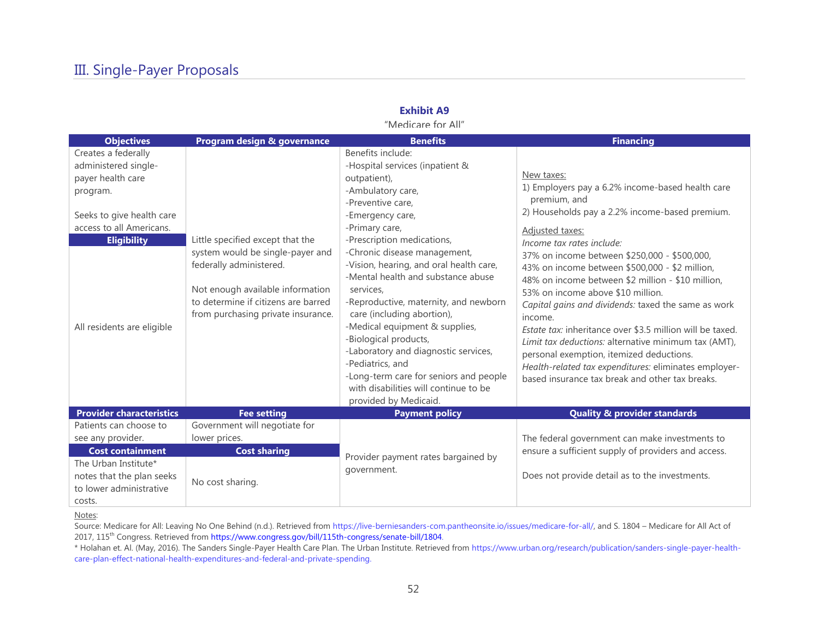| <b>Objectives</b>                                                                                                                                                                         | Program design & governance                                                                                                                                                                                      | <b>Benefits</b>                                                                                                                                                                                                                                                                                                                                                                                                                                                                                                                                                                                                            | <b>Financing</b>                                                                                                                                                                                                                                                                                                                                                                                                                                                                                                                                                                                                                                                                                                            |
|-------------------------------------------------------------------------------------------------------------------------------------------------------------------------------------------|------------------------------------------------------------------------------------------------------------------------------------------------------------------------------------------------------------------|----------------------------------------------------------------------------------------------------------------------------------------------------------------------------------------------------------------------------------------------------------------------------------------------------------------------------------------------------------------------------------------------------------------------------------------------------------------------------------------------------------------------------------------------------------------------------------------------------------------------------|-----------------------------------------------------------------------------------------------------------------------------------------------------------------------------------------------------------------------------------------------------------------------------------------------------------------------------------------------------------------------------------------------------------------------------------------------------------------------------------------------------------------------------------------------------------------------------------------------------------------------------------------------------------------------------------------------------------------------------|
| Creates a federally<br>administered single-<br>payer health care<br>program.<br>Seeks to give health care<br>access to all Americans.<br><b>Eligibility</b><br>All residents are eligible | Little specified except that the<br>system would be single-payer and<br>federally administered.<br>Not enough available information<br>to determine if citizens are barred<br>from purchasing private insurance. | Benefits include:<br>-Hospital services (inpatient &<br>outpatient),<br>-Ambulatory care,<br>-Preventive care,<br>-Emergency care,<br>-Primary care,<br>-Prescription medications,<br>-Chronic disease management,<br>-Vision, hearing, and oral health care,<br>-Mental health and substance abuse<br>services,<br>-Reproductive, maternity, and newborn<br>care (including abortion),<br>-Medical equipment & supplies,<br>-Biological products,<br>-Laboratory and diagnostic services,<br>-Pediatrics, and<br>-Long-term care for seniors and people<br>with disabilities will continue to be<br>provided by Medicaid. | New taxes:<br>1) Employers pay a 6.2% income-based health care<br>premium, and<br>2) Households pay a 2.2% income-based premium.<br>Adjusted taxes:<br>Income tax rates include:<br>37% on income between \$250,000 - \$500,000,<br>43% on income between \$500,000 - \$2 million,<br>48% on income between \$2 million - \$10 million,<br>53% on income above \$10 million.<br>Capital gains and dividends: taxed the same as work<br>income.<br>Estate tax: inheritance over \$3.5 million will be taxed.<br>Limit tax deductions: alternative minimum tax (AMT),<br>personal exemption, itemized deductions.<br>Health-related tax expenditures: eliminates employer-<br>based insurance tax break and other tax breaks. |
| <b>Provider characteristics</b>                                                                                                                                                           | <b>Fee setting</b>                                                                                                                                                                                               | <b>Payment policy</b>                                                                                                                                                                                                                                                                                                                                                                                                                                                                                                                                                                                                      | <b>Quality &amp; provider standards</b>                                                                                                                                                                                                                                                                                                                                                                                                                                                                                                                                                                                                                                                                                     |
| Patients can choose to<br>see any provider.                                                                                                                                               | Government will negotiate for<br>lower prices.                                                                                                                                                                   |                                                                                                                                                                                                                                                                                                                                                                                                                                                                                                                                                                                                                            | The federal government can make investments to                                                                                                                                                                                                                                                                                                                                                                                                                                                                                                                                                                                                                                                                              |
| <b>Cost containment</b>                                                                                                                                                                   | <b>Cost sharing</b>                                                                                                                                                                                              |                                                                                                                                                                                                                                                                                                                                                                                                                                                                                                                                                                                                                            | ensure a sufficient supply of providers and access.                                                                                                                                                                                                                                                                                                                                                                                                                                                                                                                                                                                                                                                                         |
| The Urban Institute*<br>notes that the plan seeks<br>to lower administrative<br>costs.                                                                                                    | No cost sharing.                                                                                                                                                                                                 | Provider payment rates bargained by<br>government.                                                                                                                                                                                                                                                                                                                                                                                                                                                                                                                                                                         | Does not provide detail as to the investments.                                                                                                                                                                                                                                                                                                                                                                                                                                                                                                                                                                                                                                                                              |

#### **Exhibit A9** "Medicare for All"

Notes:

Source: Medicare for All: Leaving No One Behind (n.d.). Retrieved from [https://live-berniesanders-com.pantheonsite.io/issues/medicare-for-all/,](https://live-berniesanders-com.pantheonsite.io/issues/medicare-for-all/) and S. 1804 - Medicare for All Act of 2017, 115th Congress. Retrieved from [https://www.congress.gov/bill/115th-congress/senate-bill/1804.](https://www.congress.gov/bill/115th-congress/senate-bill/1804)

\* Holahan et. Al. (May, 2016). The Sanders Single-Payer Health Care Plan. The Urban Institute. Retrieved from [https://www.urban.org/research/publication/sanders-single-payer-health](https://www.urban.org/research/publication/sanders-single-payer-health-care-plan-effect-national-health-expenditures-and-federal-and-private-spending)[care-plan-effect-national-health-expenditures-and-federal-and-private-spending.](https://www.urban.org/research/publication/sanders-single-payer-health-care-plan-effect-national-health-expenditures-and-federal-and-private-spending)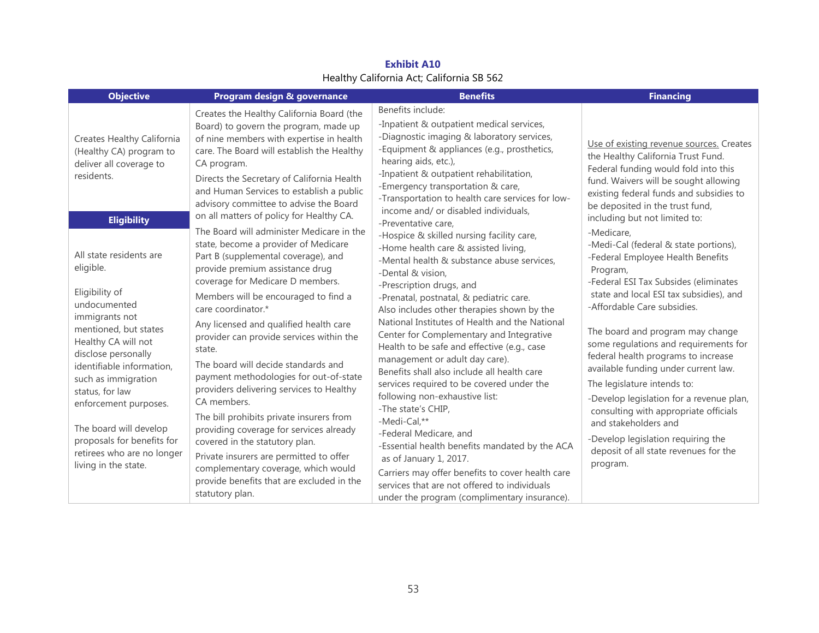| <b>Objective</b>                                                                                                                                                                                                                                                                                                                                                                                    | Program design & governance                                                                                                                                                                                                                                                                                                                                                                                                                                                                                                                                                                                                                                                                                                                                                          | <b>Benefits</b>                                                                                                                                                                                                                                                                                                                                                                                                                                                                                                                                                                                                                                                                                                                                                                                                                                                                                               | <b>Financing</b>                                                                                                                                                                                                                                                                                                                                                                                                                                                                                                                                                                                                                                            |
|-----------------------------------------------------------------------------------------------------------------------------------------------------------------------------------------------------------------------------------------------------------------------------------------------------------------------------------------------------------------------------------------------------|--------------------------------------------------------------------------------------------------------------------------------------------------------------------------------------------------------------------------------------------------------------------------------------------------------------------------------------------------------------------------------------------------------------------------------------------------------------------------------------------------------------------------------------------------------------------------------------------------------------------------------------------------------------------------------------------------------------------------------------------------------------------------------------|---------------------------------------------------------------------------------------------------------------------------------------------------------------------------------------------------------------------------------------------------------------------------------------------------------------------------------------------------------------------------------------------------------------------------------------------------------------------------------------------------------------------------------------------------------------------------------------------------------------------------------------------------------------------------------------------------------------------------------------------------------------------------------------------------------------------------------------------------------------------------------------------------------------|-------------------------------------------------------------------------------------------------------------------------------------------------------------------------------------------------------------------------------------------------------------------------------------------------------------------------------------------------------------------------------------------------------------------------------------------------------------------------------------------------------------------------------------------------------------------------------------------------------------------------------------------------------------|
| Creates Healthy California<br>(Healthy CA) program to<br>deliver all coverage to<br>residents.                                                                                                                                                                                                                                                                                                      | Creates the Healthy California Board (the<br>Board) to govern the program, made up<br>of nine members with expertise in health<br>care. The Board will establish the Healthy<br>CA program.<br>Directs the Secretary of California Health<br>and Human Services to establish a public<br>advisory committee to advise the Board<br>on all matters of policy for Healthy CA.                                                                                                                                                                                                                                                                                                                                                                                                          | Benefits include:<br>-Inpatient & outpatient medical services,<br>-Diagnostic imaging & laboratory services,<br>-Equipment & appliances (e.g., prosthetics,<br>hearing aids, etc.),<br>-Inpatient & outpatient rehabilitation,<br>-Emergency transportation & care,<br>-Transportation to health care services for low-<br>income and/ or disabled individuals,                                                                                                                                                                                                                                                                                                                                                                                                                                                                                                                                               | Use of existing revenue sources. Creates<br>the Healthy California Trust Fund.<br>Federal funding would fold into this<br>fund. Waivers will be sought allowing<br>existing federal funds and subsidies to<br>be deposited in the trust fund,                                                                                                                                                                                                                                                                                                                                                                                                               |
| <b>Eligibility</b><br>All state residents are<br>eligible.<br>Eligibility of<br>undocumented<br>immigrants not<br>mentioned, but states<br>Healthy CA will not<br>disclose personally<br>identifiable information,<br>such as immigration<br>status, for law<br>enforcement purposes.<br>The board will develop<br>proposals for benefits for<br>retirees who are no longer<br>living in the state. | The Board will administer Medicare in the<br>state, become a provider of Medicare<br>Part B (supplemental coverage), and<br>provide premium assistance drug<br>coverage for Medicare D members.<br>Members will be encouraged to find a<br>care coordinator.*<br>Any licensed and qualified health care<br>provider can provide services within the<br>state.<br>The board will decide standards and<br>payment methodologies for out-of-state<br>providers delivering services to Healthy<br>CA members.<br>The bill prohibits private insurers from<br>providing coverage for services already<br>covered in the statutory plan.<br>Private insurers are permitted to offer<br>complementary coverage, which would<br>provide benefits that are excluded in the<br>statutory plan. | -Preventative care,<br>-Hospice & skilled nursing facility care,<br>-Home health care & assisted living,<br>-Mental health & substance abuse services,<br>-Dental & vision,<br>-Prescription drugs, and<br>-Prenatal, postnatal, & pediatric care.<br>Also includes other therapies shown by the<br>National Institutes of Health and the National<br>Center for Complementary and Integrative<br>Health to be safe and effective (e.g., case<br>management or adult day care).<br>Benefits shall also include all health care<br>services required to be covered under the<br>following non-exhaustive list:<br>-The state's CHIP,<br>-Medi-Cal,**<br>-Federal Medicare, and<br>-Essential health benefits mandated by the ACA<br>as of January 1, 2017.<br>Carriers may offer benefits to cover health care<br>services that are not offered to individuals<br>under the program (complimentary insurance). | including but not limited to:<br>-Medicare,<br>-Medi-Cal (federal & state portions),<br>-Federal Employee Health Benefits<br>Program,<br>-Federal ESI Tax Subsides (eliminates<br>state and local ESI tax subsidies), and<br>-Affordable Care subsidies.<br>The board and program may change<br>some regulations and requirements for<br>federal health programs to increase<br>available funding under current law.<br>The legislature intends to:<br>-Develop legislation for a revenue plan,<br>consulting with appropriate officials<br>and stakeholders and<br>-Develop legislation requiring the<br>deposit of all state revenues for the<br>program. |

#### **Exhibit A10** Healthy California Act; California SB 562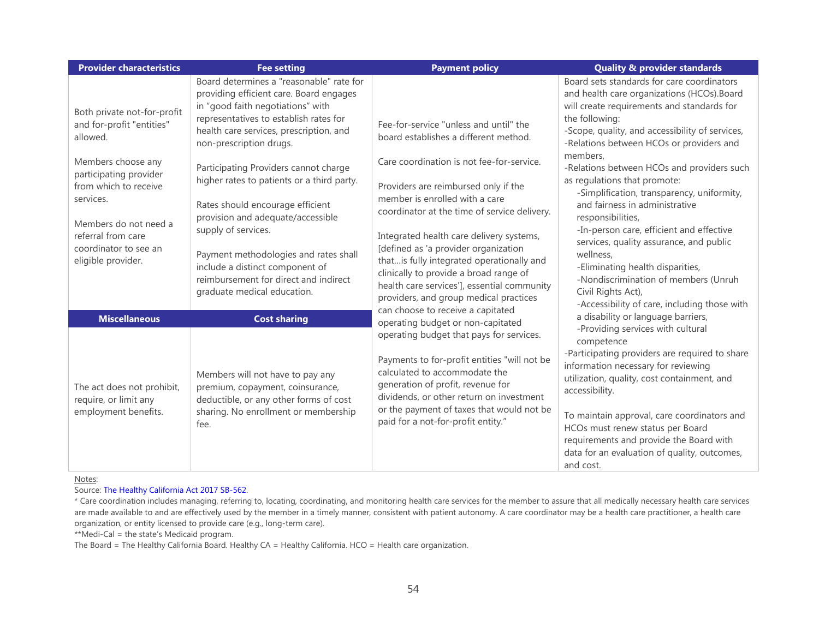| <b>Provider characteristics</b>                                                                                                                                                                                                                          | <b>Fee setting</b>                                                                                                                                                                                                                                                                                                                                                                                                                                                                                                                                                                  | <b>Payment policy</b>                                                                                                                                                                                                                                                                                                                                                                                                                                                            | <b>Quality &amp; provider standards</b>                                                                                                                                                                                                                                                                                                                                                              |                                                                                                                                                              |                                                                                                                                                                                                                                                                                                                                                                                                                                                                  |
|----------------------------------------------------------------------------------------------------------------------------------------------------------------------------------------------------------------------------------------------------------|-------------------------------------------------------------------------------------------------------------------------------------------------------------------------------------------------------------------------------------------------------------------------------------------------------------------------------------------------------------------------------------------------------------------------------------------------------------------------------------------------------------------------------------------------------------------------------------|----------------------------------------------------------------------------------------------------------------------------------------------------------------------------------------------------------------------------------------------------------------------------------------------------------------------------------------------------------------------------------------------------------------------------------------------------------------------------------|------------------------------------------------------------------------------------------------------------------------------------------------------------------------------------------------------------------------------------------------------------------------------------------------------------------------------------------------------------------------------------------------------|--------------------------------------------------------------------------------------------------------------------------------------------------------------|------------------------------------------------------------------------------------------------------------------------------------------------------------------------------------------------------------------------------------------------------------------------------------------------------------------------------------------------------------------------------------------------------------------------------------------------------------------|
| Both private not-for-profit<br>and for-profit "entities"<br>allowed.<br>Members choose any<br>participating provider<br>from which to receive<br>services.<br>Members do not need a<br>referral from care<br>coordinator to see an<br>eligible provider. | Board determines a "reasonable" rate for<br>providing efficient care. Board engages<br>in "good faith negotiations" with<br>representatives to establish rates for<br>health care services, prescription, and<br>non-prescription drugs.<br>Participating Providers cannot charge<br>higher rates to patients or a third party.<br>Rates should encourage efficient<br>provision and adequate/accessible<br>supply of services.<br>Payment methodologies and rates shall<br>include a distinct component of<br>reimbursement for direct and indirect<br>graduate medical education. | Fee-for-service "unless and until" the<br>board establishes a different method.<br>Care coordination is not fee-for-service.<br>Providers are reimbursed only if the<br>member is enrolled with a care<br>coordinator at the time of service delivery.<br>Integrated health care delivery systems,<br>[defined as 'a provider organization<br>thatis fully integrated operationally and<br>clinically to provide a broad range of<br>health care services'], essential community | the following:<br>members,<br>as regulations that promote:<br>responsibilities,<br>wellness,<br>Civil Rights Act),                                                                                                                                                                                                                                                                                   | and fairness in administrative<br>-Eliminating health disparities,<br>providers, and group medical practices<br>-Accessibility of care, including those with | Board sets standards for care coordinators<br>and health care organizations (HCOs).Board<br>will create requirements and standards for<br>-Scope, quality, and accessibility of services,<br>-Relations between HCOs or providers and<br>-Relations between HCOs and providers such<br>-Simplification, transparency, uniformity,<br>-In-person care, efficient and effective<br>services, quality assurance, and public<br>-Nondiscrimination of members (Unruh |
| <b>Miscellaneous</b>                                                                                                                                                                                                                                     | <b>Cost sharing</b>                                                                                                                                                                                                                                                                                                                                                                                                                                                                                                                                                                 | can choose to receive a capitated<br>operating budget or non-capitated                                                                                                                                                                                                                                                                                                                                                                                                           | a disability or language barriers,                                                                                                                                                                                                                                                                                                                                                                   |                                                                                                                                                              |                                                                                                                                                                                                                                                                                                                                                                                                                                                                  |
| The act does not prohibit,<br>require, or limit any<br>employment benefits.                                                                                                                                                                              | Members will not have to pay any<br>premium, copayment, coinsurance,<br>deductible, or any other forms of cost<br>sharing. No enrollment or membership<br>fee.                                                                                                                                                                                                                                                                                                                                                                                                                      | operating budget that pays for services.<br>Payments to for-profit entities "will not be<br>calculated to accommodate the<br>generation of profit, revenue for<br>dividends, or other return on investment<br>or the payment of taxes that would not be<br>paid for a not-for-profit entity."                                                                                                                                                                                    | -Providing services with cultural<br>competence<br>-Participating providers are required to share<br>information necessary for reviewing<br>utilization, quality, cost containment, and<br>accessibility.<br>To maintain approval, care coordinators and<br>HCOs must renew status per Board<br>requirements and provide the Board with<br>data for an evaluation of quality, outcomes,<br>and cost. |                                                                                                                                                              |                                                                                                                                                                                                                                                                                                                                                                                                                                                                  |

Notes:

Source: [The Healthy California Act 2017 SB-562.](https://www.healthycaliforniaact.org/legislation/)

\* Care coordination includes managing, referring to, locating, coordinating, and monitoring health care services for the member to assure that all medically necessary health care services are made available to and are effectively used by the member in a timely manner, consistent with patient autonomy. A care coordinator may be a health care practitioner, a health care organization, or entity licensed to provide care (e.g., long-term care).

\*\*Medi-Cal = the state's Medicaid program.

The Board = The Healthy California Board. Healthy CA = Healthy California. HCO = Health care organization.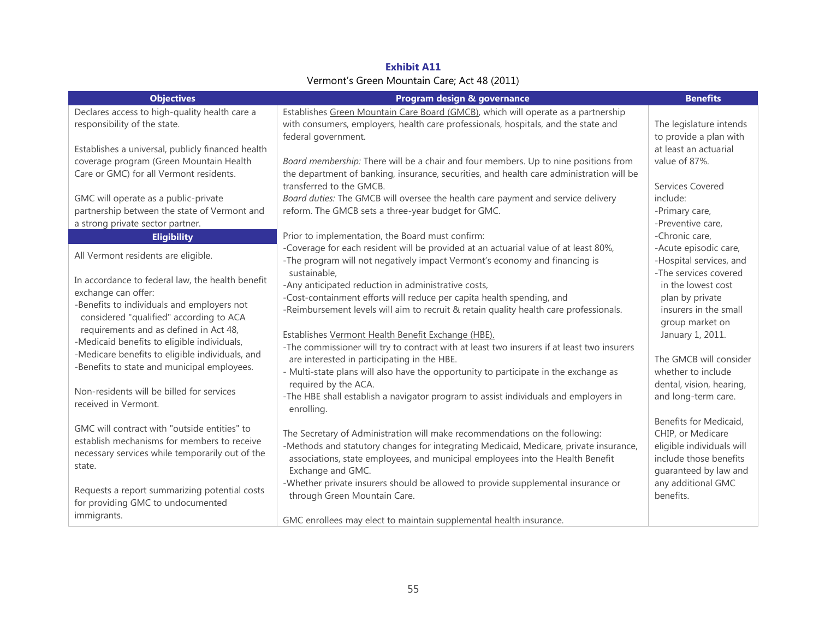| Declares access to high-quality health care a<br>Establishes Green Mountain Care Board (GMCB), which will operate as a partnership<br>with consumers, employers, health care professionals, hospitals, and the state and<br>responsibility of the state.<br>The legislature intends<br>to provide a plan with<br>federal government.<br>at least an actuarial<br>Establishes a universal, publicly financed health<br>coverage program (Green Mountain Health<br>Board membership: There will be a chair and four members. Up to nine positions from<br>value of 87%.<br>Care or GMC) for all Vermont residents.<br>the department of banking, insurance, securities, and health care administration will be<br>transferred to the GMCB.<br>Services Covered<br>Board duties: The GMCB will oversee the health care payment and service delivery<br>GMC will operate as a public-private<br>include:<br>partnership between the state of Vermont and<br>reform. The GMCB sets a three-year budget for GMC.<br>-Primary care,<br>a strong private sector partner.<br>-Preventive care,<br>-Chronic care,<br>Prior to implementation, the Board must confirm:<br><b>Eligibility</b><br>-Coverage for each resident will be provided at an actuarial value of at least 80%,<br>-Acute episodic care,<br>All Vermont residents are eligible.<br>-The program will not negatively impact Vermont's economy and financing is<br>-Hospital services, and<br>sustainable,<br>-The services covered<br>In accordance to federal law, the health benefit<br>-Any anticipated reduction in administrative costs,<br>in the lowest cost<br>exchange can offer:<br>-Cost-containment efforts will reduce per capita health spending, and<br>plan by private<br>-Benefits to individuals and employers not<br>-Reimbursement levels will aim to recruit & retain quality health care professionals.<br>insurers in the small<br>considered "qualified" according to ACA<br>group market on<br>requirements and as defined in Act 48,<br>Establishes Vermont Health Benefit Exchange (HBE).<br>January 1, 2011.<br>-Medicaid benefits to eligible individuals,<br>-The commissioner will try to contract with at least two insurers if at least two insurers<br>-Medicare benefits to eligible individuals, and<br>are interested in participating in the HBE.<br>The GMCB will consider<br>-Benefits to state and municipal employees.<br>- Multi-state plans will also have the opportunity to participate in the exchange as<br>whether to include<br>required by the ACA.<br>dental, vision, hearing,<br>Non-residents will be billed for services<br>-The HBE shall establish a navigator program to assist individuals and employers in<br>and long-term care.<br>received in Vermont.<br>enrolling.<br>Benefits for Medicaid.<br>GMC will contract with "outside entities" to<br>CHIP, or Medicare<br>The Secretary of Administration will make recommendations on the following:<br>establish mechanisms for members to receive<br>-Methods and statutory changes for integrating Medicaid, Medicare, private insurance,<br>eligible individuals will<br>necessary services while temporarily out of the<br>associations, state employees, and municipal employees into the Health Benefit<br>include those benefits<br>state.<br>Exchange and GMC.<br>guaranteed by law and<br>-Whether private insurers should be allowed to provide supplemental insurance or<br>any additional GMC<br>Requests a report summarizing potential costs<br>through Green Mountain Care.<br>benefits.<br>for providing GMC to undocumented | <b>Objectives</b> | Program design & governance | <b>Benefits</b> |
|--------------------------------------------------------------------------------------------------------------------------------------------------------------------------------------------------------------------------------------------------------------------------------------------------------------------------------------------------------------------------------------------------------------------------------------------------------------------------------------------------------------------------------------------------------------------------------------------------------------------------------------------------------------------------------------------------------------------------------------------------------------------------------------------------------------------------------------------------------------------------------------------------------------------------------------------------------------------------------------------------------------------------------------------------------------------------------------------------------------------------------------------------------------------------------------------------------------------------------------------------------------------------------------------------------------------------------------------------------------------------------------------------------------------------------------------------------------------------------------------------------------------------------------------------------------------------------------------------------------------------------------------------------------------------------------------------------------------------------------------------------------------------------------------------------------------------------------------------------------------------------------------------------------------------------------------------------------------------------------------------------------------------------------------------------------------------------------------------------------------------------------------------------------------------------------------------------------------------------------------------------------------------------------------------------------------------------------------------------------------------------------------------------------------------------------------------------------------------------------------------------------------------------------------------------------------------------------------------------------------------------------------------------------------------------------------------------------------------------------------------------------------------------------------------------------------------------------------------------------------------------------------------------------------------------------------------------------------------------------------------------------------------------------------------------------------------------------------------------------------------------------------------------------------------------------------------------------------------------------------------------------------------------------------------------------------------------------------------------------------------------------------------------------------------------------------------------------------------------------------------------------------------------------------------------------------------------------------------------------------|-------------------|-----------------------------|-----------------|
|                                                                                                                                                                                                                                                                                                                                                                                                                                                                                                                                                                                                                                                                                                                                                                                                                                                                                                                                                                                                                                                                                                                                                                                                                                                                                                                                                                                                                                                                                                                                                                                                                                                                                                                                                                                                                                                                                                                                                                                                                                                                                                                                                                                                                                                                                                                                                                                                                                                                                                                                                                                                                                                                                                                                                                                                                                                                                                                                                                                                                                                                                                                                                                                                                                                                                                                                                                                                                                                                                                                                                                                                                    |                   |                             |                 |
|                                                                                                                                                                                                                                                                                                                                                                                                                                                                                                                                                                                                                                                                                                                                                                                                                                                                                                                                                                                                                                                                                                                                                                                                                                                                                                                                                                                                                                                                                                                                                                                                                                                                                                                                                                                                                                                                                                                                                                                                                                                                                                                                                                                                                                                                                                                                                                                                                                                                                                                                                                                                                                                                                                                                                                                                                                                                                                                                                                                                                                                                                                                                                                                                                                                                                                                                                                                                                                                                                                                                                                                                                    |                   |                             |                 |
|                                                                                                                                                                                                                                                                                                                                                                                                                                                                                                                                                                                                                                                                                                                                                                                                                                                                                                                                                                                                                                                                                                                                                                                                                                                                                                                                                                                                                                                                                                                                                                                                                                                                                                                                                                                                                                                                                                                                                                                                                                                                                                                                                                                                                                                                                                                                                                                                                                                                                                                                                                                                                                                                                                                                                                                                                                                                                                                                                                                                                                                                                                                                                                                                                                                                                                                                                                                                                                                                                                                                                                                                                    |                   |                             |                 |
|                                                                                                                                                                                                                                                                                                                                                                                                                                                                                                                                                                                                                                                                                                                                                                                                                                                                                                                                                                                                                                                                                                                                                                                                                                                                                                                                                                                                                                                                                                                                                                                                                                                                                                                                                                                                                                                                                                                                                                                                                                                                                                                                                                                                                                                                                                                                                                                                                                                                                                                                                                                                                                                                                                                                                                                                                                                                                                                                                                                                                                                                                                                                                                                                                                                                                                                                                                                                                                                                                                                                                                                                                    |                   |                             |                 |
|                                                                                                                                                                                                                                                                                                                                                                                                                                                                                                                                                                                                                                                                                                                                                                                                                                                                                                                                                                                                                                                                                                                                                                                                                                                                                                                                                                                                                                                                                                                                                                                                                                                                                                                                                                                                                                                                                                                                                                                                                                                                                                                                                                                                                                                                                                                                                                                                                                                                                                                                                                                                                                                                                                                                                                                                                                                                                                                                                                                                                                                                                                                                                                                                                                                                                                                                                                                                                                                                                                                                                                                                                    |                   |                             |                 |
|                                                                                                                                                                                                                                                                                                                                                                                                                                                                                                                                                                                                                                                                                                                                                                                                                                                                                                                                                                                                                                                                                                                                                                                                                                                                                                                                                                                                                                                                                                                                                                                                                                                                                                                                                                                                                                                                                                                                                                                                                                                                                                                                                                                                                                                                                                                                                                                                                                                                                                                                                                                                                                                                                                                                                                                                                                                                                                                                                                                                                                                                                                                                                                                                                                                                                                                                                                                                                                                                                                                                                                                                                    |                   |                             |                 |
|                                                                                                                                                                                                                                                                                                                                                                                                                                                                                                                                                                                                                                                                                                                                                                                                                                                                                                                                                                                                                                                                                                                                                                                                                                                                                                                                                                                                                                                                                                                                                                                                                                                                                                                                                                                                                                                                                                                                                                                                                                                                                                                                                                                                                                                                                                                                                                                                                                                                                                                                                                                                                                                                                                                                                                                                                                                                                                                                                                                                                                                                                                                                                                                                                                                                                                                                                                                                                                                                                                                                                                                                                    |                   |                             |                 |
|                                                                                                                                                                                                                                                                                                                                                                                                                                                                                                                                                                                                                                                                                                                                                                                                                                                                                                                                                                                                                                                                                                                                                                                                                                                                                                                                                                                                                                                                                                                                                                                                                                                                                                                                                                                                                                                                                                                                                                                                                                                                                                                                                                                                                                                                                                                                                                                                                                                                                                                                                                                                                                                                                                                                                                                                                                                                                                                                                                                                                                                                                                                                                                                                                                                                                                                                                                                                                                                                                                                                                                                                                    |                   |                             |                 |
|                                                                                                                                                                                                                                                                                                                                                                                                                                                                                                                                                                                                                                                                                                                                                                                                                                                                                                                                                                                                                                                                                                                                                                                                                                                                                                                                                                                                                                                                                                                                                                                                                                                                                                                                                                                                                                                                                                                                                                                                                                                                                                                                                                                                                                                                                                                                                                                                                                                                                                                                                                                                                                                                                                                                                                                                                                                                                                                                                                                                                                                                                                                                                                                                                                                                                                                                                                                                                                                                                                                                                                                                                    |                   |                             |                 |
|                                                                                                                                                                                                                                                                                                                                                                                                                                                                                                                                                                                                                                                                                                                                                                                                                                                                                                                                                                                                                                                                                                                                                                                                                                                                                                                                                                                                                                                                                                                                                                                                                                                                                                                                                                                                                                                                                                                                                                                                                                                                                                                                                                                                                                                                                                                                                                                                                                                                                                                                                                                                                                                                                                                                                                                                                                                                                                                                                                                                                                                                                                                                                                                                                                                                                                                                                                                                                                                                                                                                                                                                                    |                   |                             |                 |
|                                                                                                                                                                                                                                                                                                                                                                                                                                                                                                                                                                                                                                                                                                                                                                                                                                                                                                                                                                                                                                                                                                                                                                                                                                                                                                                                                                                                                                                                                                                                                                                                                                                                                                                                                                                                                                                                                                                                                                                                                                                                                                                                                                                                                                                                                                                                                                                                                                                                                                                                                                                                                                                                                                                                                                                                                                                                                                                                                                                                                                                                                                                                                                                                                                                                                                                                                                                                                                                                                                                                                                                                                    |                   |                             |                 |
|                                                                                                                                                                                                                                                                                                                                                                                                                                                                                                                                                                                                                                                                                                                                                                                                                                                                                                                                                                                                                                                                                                                                                                                                                                                                                                                                                                                                                                                                                                                                                                                                                                                                                                                                                                                                                                                                                                                                                                                                                                                                                                                                                                                                                                                                                                                                                                                                                                                                                                                                                                                                                                                                                                                                                                                                                                                                                                                                                                                                                                                                                                                                                                                                                                                                                                                                                                                                                                                                                                                                                                                                                    |                   |                             |                 |
|                                                                                                                                                                                                                                                                                                                                                                                                                                                                                                                                                                                                                                                                                                                                                                                                                                                                                                                                                                                                                                                                                                                                                                                                                                                                                                                                                                                                                                                                                                                                                                                                                                                                                                                                                                                                                                                                                                                                                                                                                                                                                                                                                                                                                                                                                                                                                                                                                                                                                                                                                                                                                                                                                                                                                                                                                                                                                                                                                                                                                                                                                                                                                                                                                                                                                                                                                                                                                                                                                                                                                                                                                    |                   |                             |                 |
|                                                                                                                                                                                                                                                                                                                                                                                                                                                                                                                                                                                                                                                                                                                                                                                                                                                                                                                                                                                                                                                                                                                                                                                                                                                                                                                                                                                                                                                                                                                                                                                                                                                                                                                                                                                                                                                                                                                                                                                                                                                                                                                                                                                                                                                                                                                                                                                                                                                                                                                                                                                                                                                                                                                                                                                                                                                                                                                                                                                                                                                                                                                                                                                                                                                                                                                                                                                                                                                                                                                                                                                                                    |                   |                             |                 |
|                                                                                                                                                                                                                                                                                                                                                                                                                                                                                                                                                                                                                                                                                                                                                                                                                                                                                                                                                                                                                                                                                                                                                                                                                                                                                                                                                                                                                                                                                                                                                                                                                                                                                                                                                                                                                                                                                                                                                                                                                                                                                                                                                                                                                                                                                                                                                                                                                                                                                                                                                                                                                                                                                                                                                                                                                                                                                                                                                                                                                                                                                                                                                                                                                                                                                                                                                                                                                                                                                                                                                                                                                    |                   |                             |                 |
|                                                                                                                                                                                                                                                                                                                                                                                                                                                                                                                                                                                                                                                                                                                                                                                                                                                                                                                                                                                                                                                                                                                                                                                                                                                                                                                                                                                                                                                                                                                                                                                                                                                                                                                                                                                                                                                                                                                                                                                                                                                                                                                                                                                                                                                                                                                                                                                                                                                                                                                                                                                                                                                                                                                                                                                                                                                                                                                                                                                                                                                                                                                                                                                                                                                                                                                                                                                                                                                                                                                                                                                                                    |                   |                             |                 |
|                                                                                                                                                                                                                                                                                                                                                                                                                                                                                                                                                                                                                                                                                                                                                                                                                                                                                                                                                                                                                                                                                                                                                                                                                                                                                                                                                                                                                                                                                                                                                                                                                                                                                                                                                                                                                                                                                                                                                                                                                                                                                                                                                                                                                                                                                                                                                                                                                                                                                                                                                                                                                                                                                                                                                                                                                                                                                                                                                                                                                                                                                                                                                                                                                                                                                                                                                                                                                                                                                                                                                                                                                    |                   |                             |                 |
|                                                                                                                                                                                                                                                                                                                                                                                                                                                                                                                                                                                                                                                                                                                                                                                                                                                                                                                                                                                                                                                                                                                                                                                                                                                                                                                                                                                                                                                                                                                                                                                                                                                                                                                                                                                                                                                                                                                                                                                                                                                                                                                                                                                                                                                                                                                                                                                                                                                                                                                                                                                                                                                                                                                                                                                                                                                                                                                                                                                                                                                                                                                                                                                                                                                                                                                                                                                                                                                                                                                                                                                                                    |                   |                             |                 |
|                                                                                                                                                                                                                                                                                                                                                                                                                                                                                                                                                                                                                                                                                                                                                                                                                                                                                                                                                                                                                                                                                                                                                                                                                                                                                                                                                                                                                                                                                                                                                                                                                                                                                                                                                                                                                                                                                                                                                                                                                                                                                                                                                                                                                                                                                                                                                                                                                                                                                                                                                                                                                                                                                                                                                                                                                                                                                                                                                                                                                                                                                                                                                                                                                                                                                                                                                                                                                                                                                                                                                                                                                    |                   |                             |                 |
|                                                                                                                                                                                                                                                                                                                                                                                                                                                                                                                                                                                                                                                                                                                                                                                                                                                                                                                                                                                                                                                                                                                                                                                                                                                                                                                                                                                                                                                                                                                                                                                                                                                                                                                                                                                                                                                                                                                                                                                                                                                                                                                                                                                                                                                                                                                                                                                                                                                                                                                                                                                                                                                                                                                                                                                                                                                                                                                                                                                                                                                                                                                                                                                                                                                                                                                                                                                                                                                                                                                                                                                                                    |                   |                             |                 |
|                                                                                                                                                                                                                                                                                                                                                                                                                                                                                                                                                                                                                                                                                                                                                                                                                                                                                                                                                                                                                                                                                                                                                                                                                                                                                                                                                                                                                                                                                                                                                                                                                                                                                                                                                                                                                                                                                                                                                                                                                                                                                                                                                                                                                                                                                                                                                                                                                                                                                                                                                                                                                                                                                                                                                                                                                                                                                                                                                                                                                                                                                                                                                                                                                                                                                                                                                                                                                                                                                                                                                                                                                    |                   |                             |                 |
|                                                                                                                                                                                                                                                                                                                                                                                                                                                                                                                                                                                                                                                                                                                                                                                                                                                                                                                                                                                                                                                                                                                                                                                                                                                                                                                                                                                                                                                                                                                                                                                                                                                                                                                                                                                                                                                                                                                                                                                                                                                                                                                                                                                                                                                                                                                                                                                                                                                                                                                                                                                                                                                                                                                                                                                                                                                                                                                                                                                                                                                                                                                                                                                                                                                                                                                                                                                                                                                                                                                                                                                                                    |                   |                             |                 |
|                                                                                                                                                                                                                                                                                                                                                                                                                                                                                                                                                                                                                                                                                                                                                                                                                                                                                                                                                                                                                                                                                                                                                                                                                                                                                                                                                                                                                                                                                                                                                                                                                                                                                                                                                                                                                                                                                                                                                                                                                                                                                                                                                                                                                                                                                                                                                                                                                                                                                                                                                                                                                                                                                                                                                                                                                                                                                                                                                                                                                                                                                                                                                                                                                                                                                                                                                                                                                                                                                                                                                                                                                    |                   |                             |                 |
|                                                                                                                                                                                                                                                                                                                                                                                                                                                                                                                                                                                                                                                                                                                                                                                                                                                                                                                                                                                                                                                                                                                                                                                                                                                                                                                                                                                                                                                                                                                                                                                                                                                                                                                                                                                                                                                                                                                                                                                                                                                                                                                                                                                                                                                                                                                                                                                                                                                                                                                                                                                                                                                                                                                                                                                                                                                                                                                                                                                                                                                                                                                                                                                                                                                                                                                                                                                                                                                                                                                                                                                                                    |                   |                             |                 |
|                                                                                                                                                                                                                                                                                                                                                                                                                                                                                                                                                                                                                                                                                                                                                                                                                                                                                                                                                                                                                                                                                                                                                                                                                                                                                                                                                                                                                                                                                                                                                                                                                                                                                                                                                                                                                                                                                                                                                                                                                                                                                                                                                                                                                                                                                                                                                                                                                                                                                                                                                                                                                                                                                                                                                                                                                                                                                                                                                                                                                                                                                                                                                                                                                                                                                                                                                                                                                                                                                                                                                                                                                    |                   |                             |                 |
|                                                                                                                                                                                                                                                                                                                                                                                                                                                                                                                                                                                                                                                                                                                                                                                                                                                                                                                                                                                                                                                                                                                                                                                                                                                                                                                                                                                                                                                                                                                                                                                                                                                                                                                                                                                                                                                                                                                                                                                                                                                                                                                                                                                                                                                                                                                                                                                                                                                                                                                                                                                                                                                                                                                                                                                                                                                                                                                                                                                                                                                                                                                                                                                                                                                                                                                                                                                                                                                                                                                                                                                                                    |                   |                             |                 |
|                                                                                                                                                                                                                                                                                                                                                                                                                                                                                                                                                                                                                                                                                                                                                                                                                                                                                                                                                                                                                                                                                                                                                                                                                                                                                                                                                                                                                                                                                                                                                                                                                                                                                                                                                                                                                                                                                                                                                                                                                                                                                                                                                                                                                                                                                                                                                                                                                                                                                                                                                                                                                                                                                                                                                                                                                                                                                                                                                                                                                                                                                                                                                                                                                                                                                                                                                                                                                                                                                                                                                                                                                    |                   |                             |                 |
|                                                                                                                                                                                                                                                                                                                                                                                                                                                                                                                                                                                                                                                                                                                                                                                                                                                                                                                                                                                                                                                                                                                                                                                                                                                                                                                                                                                                                                                                                                                                                                                                                                                                                                                                                                                                                                                                                                                                                                                                                                                                                                                                                                                                                                                                                                                                                                                                                                                                                                                                                                                                                                                                                                                                                                                                                                                                                                                                                                                                                                                                                                                                                                                                                                                                                                                                                                                                                                                                                                                                                                                                                    |                   |                             |                 |
|                                                                                                                                                                                                                                                                                                                                                                                                                                                                                                                                                                                                                                                                                                                                                                                                                                                                                                                                                                                                                                                                                                                                                                                                                                                                                                                                                                                                                                                                                                                                                                                                                                                                                                                                                                                                                                                                                                                                                                                                                                                                                                                                                                                                                                                                                                                                                                                                                                                                                                                                                                                                                                                                                                                                                                                                                                                                                                                                                                                                                                                                                                                                                                                                                                                                                                                                                                                                                                                                                                                                                                                                                    |                   |                             |                 |
|                                                                                                                                                                                                                                                                                                                                                                                                                                                                                                                                                                                                                                                                                                                                                                                                                                                                                                                                                                                                                                                                                                                                                                                                                                                                                                                                                                                                                                                                                                                                                                                                                                                                                                                                                                                                                                                                                                                                                                                                                                                                                                                                                                                                                                                                                                                                                                                                                                                                                                                                                                                                                                                                                                                                                                                                                                                                                                                                                                                                                                                                                                                                                                                                                                                                                                                                                                                                                                                                                                                                                                                                                    |                   |                             |                 |
|                                                                                                                                                                                                                                                                                                                                                                                                                                                                                                                                                                                                                                                                                                                                                                                                                                                                                                                                                                                                                                                                                                                                                                                                                                                                                                                                                                                                                                                                                                                                                                                                                                                                                                                                                                                                                                                                                                                                                                                                                                                                                                                                                                                                                                                                                                                                                                                                                                                                                                                                                                                                                                                                                                                                                                                                                                                                                                                                                                                                                                                                                                                                                                                                                                                                                                                                                                                                                                                                                                                                                                                                                    |                   |                             |                 |
|                                                                                                                                                                                                                                                                                                                                                                                                                                                                                                                                                                                                                                                                                                                                                                                                                                                                                                                                                                                                                                                                                                                                                                                                                                                                                                                                                                                                                                                                                                                                                                                                                                                                                                                                                                                                                                                                                                                                                                                                                                                                                                                                                                                                                                                                                                                                                                                                                                                                                                                                                                                                                                                                                                                                                                                                                                                                                                                                                                                                                                                                                                                                                                                                                                                                                                                                                                                                                                                                                                                                                                                                                    |                   |                             |                 |
| GMC enrollees may elect to maintain supplemental health insurance.                                                                                                                                                                                                                                                                                                                                                                                                                                                                                                                                                                                                                                                                                                                                                                                                                                                                                                                                                                                                                                                                                                                                                                                                                                                                                                                                                                                                                                                                                                                                                                                                                                                                                                                                                                                                                                                                                                                                                                                                                                                                                                                                                                                                                                                                                                                                                                                                                                                                                                                                                                                                                                                                                                                                                                                                                                                                                                                                                                                                                                                                                                                                                                                                                                                                                                                                                                                                                                                                                                                                                 | immigrants.       |                             |                 |

#### **Exhibit A11** Vermont's Green Mountain Care; Act 48 (2011)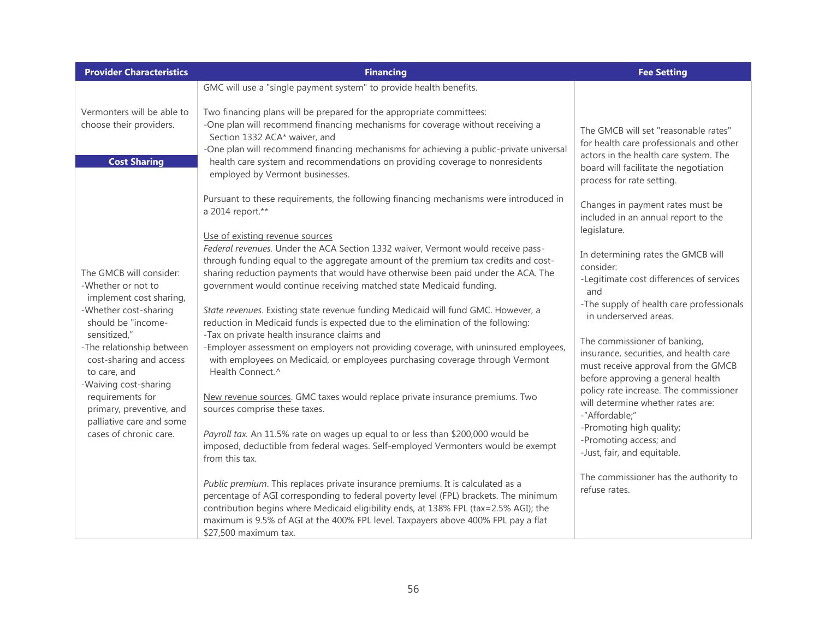| <b>Provider Characteristics</b>                                                                               | <b>Financing</b>                                                                                                                                                                                                                                                                                                                                                                                     | <b>Fee Setting</b>                                                                                                                                                                             |
|---------------------------------------------------------------------------------------------------------------|------------------------------------------------------------------------------------------------------------------------------------------------------------------------------------------------------------------------------------------------------------------------------------------------------------------------------------------------------------------------------------------------------|------------------------------------------------------------------------------------------------------------------------------------------------------------------------------------------------|
|                                                                                                               | GMC will use a "single payment system" to provide health benefits.                                                                                                                                                                                                                                                                                                                                   |                                                                                                                                                                                                |
| Vermonters will be able to<br>choose their providers.<br><b>Cost Sharing</b>                                  | Two financing plans will be prepared for the appropriate committees:<br>-One plan will recommend financing mechanisms for coverage without receiving a<br>Section 1332 ACA* waiver, and<br>-One plan will recommend financing mechanisms for achieving a public-private universal<br>health care system and recommendations on providing coverage to nonresidents<br>employed by Vermont businesses. | The GMCB will set "reasonable rates"<br>for health care professionals and other<br>actors in the health care system. The<br>board will facilitate the negotiation<br>process for rate setting. |
|                                                                                                               | Pursuant to these requirements, the following financing mechanisms were introduced in<br>a 2014 report.**<br>Use of existing revenue sources                                                                                                                                                                                                                                                         | Changes in payment rates must be<br>included in an annual report to the<br>legislature.                                                                                                        |
| The GMCB will consider:<br>-Whether or not to<br>implement cost sharing,                                      | Federal revenues. Under the ACA Section 1332 waiver, Vermont would receive pass-<br>through funding equal to the aggregate amount of the premium tax credits and cost-<br>sharing reduction payments that would have otherwise been paid under the ACA. The<br>government would continue receiving matched state Medicaid funding.                                                                   | In determining rates the GMCB will<br>consider:<br>-Legitimate cost differences of services<br>and                                                                                             |
| -Whether cost-sharing<br>should be "income-                                                                   | State revenues. Existing state revenue funding Medicaid will fund GMC. However, a<br>reduction in Medicaid funds is expected due to the elimination of the following:                                                                                                                                                                                                                                | -The supply of health care professionals<br>in underserved areas.                                                                                                                              |
| sensitized,"<br>-The relationship between<br>cost-sharing and access<br>to care, and<br>-Waiving cost-sharing | -Tax on private health insurance claims and<br>-Employer assessment on employers not providing coverage, with uninsured employees,<br>with employees on Medicaid, or employees purchasing coverage through Vermont<br>Health Connect. <sup>^</sup>                                                                                                                                                   | The commissioner of banking,<br>insurance, securities, and health care<br>must receive approval from the GMCB<br>before approving a general health                                             |
| requirements for<br>primary, preventive, and<br>palliative care and some                                      | New revenue sources. GMC taxes would replace private insurance premiums. Two<br>sources comprise these taxes.                                                                                                                                                                                                                                                                                        | policy rate increase. The commissioner<br>will determine whether rates are:<br>-"Affordable;"                                                                                                  |
| cases of chronic care.                                                                                        | Payroll tax. An 11.5% rate on wages up equal to or less than \$200,000 would be<br>imposed, deductible from federal wages. Self-employed Vermonters would be exempt<br>from this tax.                                                                                                                                                                                                                | -Promoting high quality;<br>-Promoting access; and<br>-Just, fair, and equitable.                                                                                                              |
|                                                                                                               | Public premium. This replaces private insurance premiums. It is calculated as a<br>percentage of AGI corresponding to federal poverty level (FPL) brackets. The minimum<br>contribution begins where Medicaid eligibility ends, at 138% FPL (tax=2.5% AGI); the<br>maximum is 9.5% of AGI at the 400% FPL level. Taxpayers above 400% FPL pay a flat<br>\$27,500 maximum tax.                        | The commissioner has the authority to<br>refuse rates.                                                                                                                                         |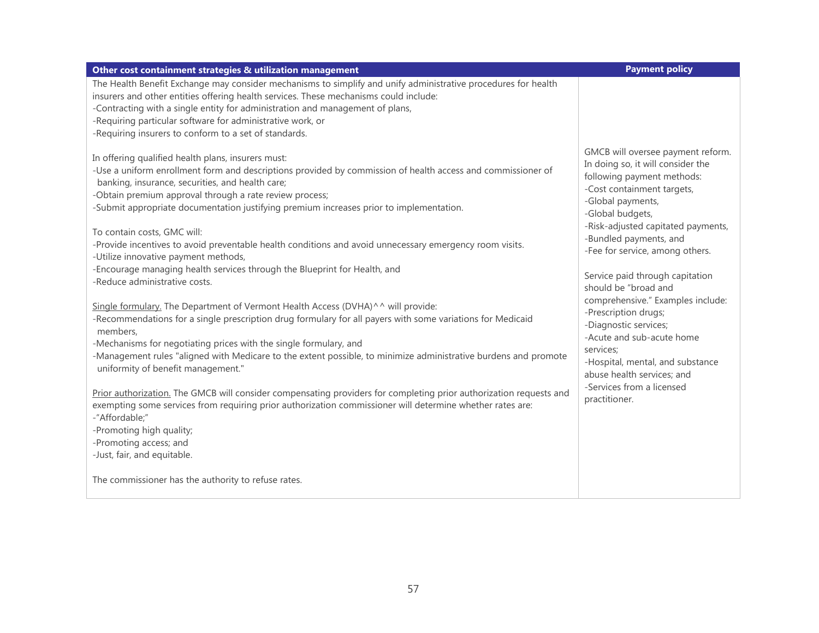| Other cost containment strategies & utilization management                                                                                                                                                                                                                                                                                                                                                                               | <b>Payment policy</b>                                                                                                                                                                          |
|------------------------------------------------------------------------------------------------------------------------------------------------------------------------------------------------------------------------------------------------------------------------------------------------------------------------------------------------------------------------------------------------------------------------------------------|------------------------------------------------------------------------------------------------------------------------------------------------------------------------------------------------|
| The Health Benefit Exchange may consider mechanisms to simplify and unify administrative procedures for health<br>insurers and other entities offering health services. These mechanisms could include:<br>-Contracting with a single entity for administration and management of plans,<br>-Requiring particular software for administrative work, or<br>-Requiring insurers to conform to a set of standards.                          |                                                                                                                                                                                                |
| In offering qualified health plans, insurers must:<br>-Use a uniform enrollment form and descriptions provided by commission of health access and commissioner of<br>banking, insurance, securities, and health care;<br>-Obtain premium approval through a rate review process;<br>-Submit appropriate documentation justifying premium increases prior to implementation.                                                              | GMCB will oversee payment reform.<br>In doing so, it will consider the<br>following payment methods:<br>-Cost containment targets,<br>-Global payments,<br>-Global budgets,                    |
| To contain costs, GMC will:<br>-Provide incentives to avoid preventable health conditions and avoid unnecessary emergency room visits.<br>-Utilize innovative payment methods,<br>-Encourage managing health services through the Blueprint for Health, and<br>-Reduce administrative costs.                                                                                                                                             | -Risk-adjusted capitated payments,<br>-Bundled payments, and<br>-Fee for service, among others.<br>Service paid through capitation<br>should be "broad and                                     |
| Single formulary. The Department of Vermont Health Access (DVHA)^^ will provide:<br>-Recommendations for a single prescription drug formulary for all payers with some variations for Medicaid<br>members,<br>-Mechanisms for negotiating prices with the single formulary, and<br>-Management rules "aligned with Medicare to the extent possible, to minimize administrative burdens and promote<br>uniformity of benefit management." | comprehensive." Examples include:<br>-Prescription drugs;<br>-Diagnostic services;<br>-Acute and sub-acute home<br>services;<br>-Hospital, mental, and substance<br>abuse health services; and |
| Prior authorization. The GMCB will consider compensating providers for completing prior authorization requests and<br>exempting some services from requiring prior authorization commissioner will determine whether rates are:<br>-"Affordable;"<br>-Promoting high quality;<br>-Promoting access; and<br>-Just, fair, and equitable.                                                                                                   | -Services from a licensed<br>practitioner.                                                                                                                                                     |
| The commissioner has the authority to refuse rates.                                                                                                                                                                                                                                                                                                                                                                                      |                                                                                                                                                                                                |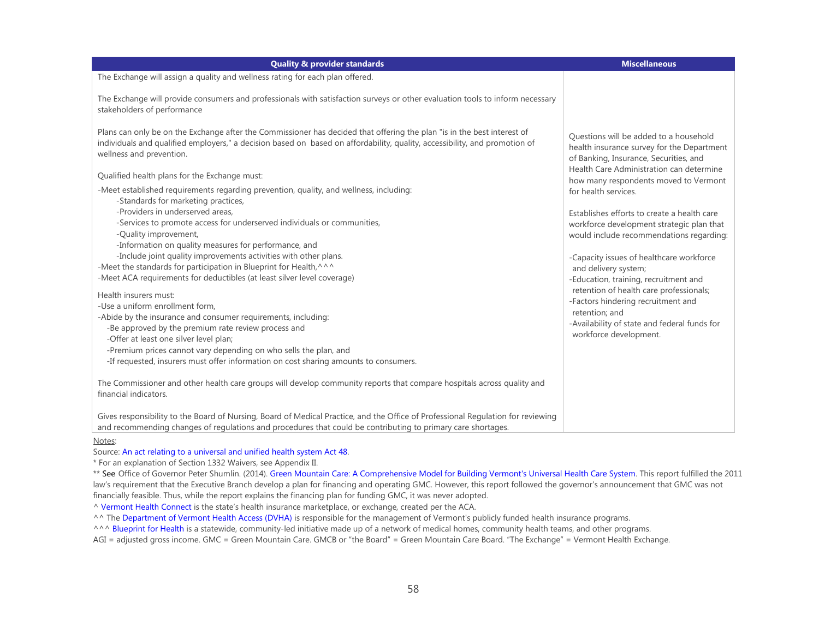| <b>Quality &amp; provider standards</b>                                                                                                                                                                                                                                           | <b>Miscellaneous</b>                                                                                                                 |
|-----------------------------------------------------------------------------------------------------------------------------------------------------------------------------------------------------------------------------------------------------------------------------------|--------------------------------------------------------------------------------------------------------------------------------------|
| The Exchange will assign a quality and wellness rating for each plan offered.                                                                                                                                                                                                     |                                                                                                                                      |
| The Exchange will provide consumers and professionals with satisfaction surveys or other evaluation tools to inform necessary<br>stakeholders of performance                                                                                                                      |                                                                                                                                      |
| Plans can only be on the Exchange after the Commissioner has decided that offering the plan "is in the best interest of<br>individuals and qualified employers," a decision based on based on affordability, quality, accessibility, and promotion of<br>wellness and prevention. | Questions will be added to a household<br>health insurance survey for the Department<br>of Banking, Insurance, Securities, and       |
| Qualified health plans for the Exchange must:                                                                                                                                                                                                                                     | Health Care Administration can determine<br>how many respondents moved to Vermont                                                    |
| -Meet established requirements regarding prevention, quality, and wellness, including:<br>-Standards for marketing practices,                                                                                                                                                     | for health services.                                                                                                                 |
| -Providers in underserved areas.<br>-Services to promote access for underserved individuals or communities,<br>-Quality improvement,                                                                                                                                              | Establishes efforts to create a health care<br>workforce development strategic plan that<br>would include recommendations regarding: |
| -Information on quality measures for performance, and<br>-Include joint quality improvements activities with other plans.<br>-Meet the standards for participation in Blueprint for Health, ^ ^ ^                                                                                 | -Capacity issues of healthcare workforce                                                                                             |
| -Meet ACA requirements for deductibles (at least silver level coverage)                                                                                                                                                                                                           | and delivery system;<br>-Education, training, recruitment and<br>retention of health care professionals;                             |
| Health insurers must:<br>-Use a uniform enrollment form,                                                                                                                                                                                                                          | -Factors hindering recruitment and<br>retention; and                                                                                 |
| -Abide by the insurance and consumer requirements, including:<br>-Be approved by the premium rate review process and                                                                                                                                                              | -Availability of state and federal funds for<br>workforce development.                                                               |
| -Offer at least one silver level plan;<br>-Premium prices cannot vary depending on who sells the plan, and<br>-If requested, insurers must offer information on cost sharing amounts to consumers.                                                                                |                                                                                                                                      |
| The Commissioner and other health care groups will develop community reports that compare hospitals across quality and<br>financial indicators.                                                                                                                                   |                                                                                                                                      |
| Gives responsibility to the Board of Nursing, Board of Medical Practice, and the Office of Professional Regulation for reviewing<br>and recommending changes of regulations and procedures that could be contributing to primary care shortages.                                  |                                                                                                                                      |

Notes:

Source: [An act relating to a universal and unified health](https://legislature.vermont.gov/assets/Documents/2012/Docs/ACTS/ACT048/ACT048%20As%20Enacted.pdf) system Act 48.

\* For an explanation of Section 1332 Waivers, see Appendix II.

\*\* See Office of Governor Peter Shumlin. (2014). [Green Mountain Care: A Comprehensive Model for Building Vermont's Universal Health Care System.](http://hcr.vermont.gov/sites/hcr/files/pdfs/GMC%20FINAL%20REPORT%20123014.pdf) This report fulfilled the 2011 law's requirement that the Executive Branch develop a plan for financing and operating GMC. However, this report followed the governor's announcement that GMC was not financially feasible. Thus, while the report explains the financing plan for funding GMC, it was never adopted.

^ [Vermont Health Connect](https://info.healthconnect.vermont.gov/About_Us) is the state's health insurance marketplace, or exchange, created per the ACA.

^^ Th[e Department of Vermont Health Access \(DVHA\)](http://ovha.vermont.gov/) is responsible for the management of Vermont's publicly funded health insurance programs.

^^^ [Blueprint for Health](https://blueprintforhealth.vermont.gov/about-blueprint) is a statewide, community-led initiative made up of a network of medical homes, community health teams, and other programs.

AGI = adjusted gross income. GMC = Green Mountain Care. GMCB or "the Board" = Green Mountain Care Board. "The Exchange" = Vermont Health Exchange.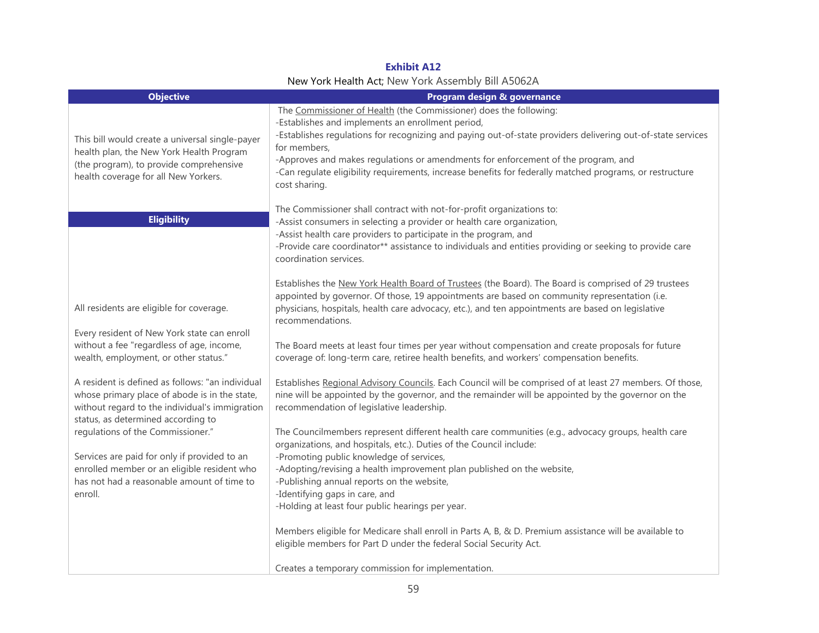| Program design & governance                                                                                                                                                                                                                                                                                                                                                                                                                                                                                                                                                                                                                                                                                                                                                                                                                                                                                                                                                                                                                                                                                                                                                                                                                                                                                                                                     |
|-----------------------------------------------------------------------------------------------------------------------------------------------------------------------------------------------------------------------------------------------------------------------------------------------------------------------------------------------------------------------------------------------------------------------------------------------------------------------------------------------------------------------------------------------------------------------------------------------------------------------------------------------------------------------------------------------------------------------------------------------------------------------------------------------------------------------------------------------------------------------------------------------------------------------------------------------------------------------------------------------------------------------------------------------------------------------------------------------------------------------------------------------------------------------------------------------------------------------------------------------------------------------------------------------------------------------------------------------------------------|
| The Commissioner of Health (the Commissioner) does the following:<br>-Establishes and implements an enrollment period,<br>-Establishes regulations for recognizing and paying out-of-state providers delivering out-of-state services<br>-Approves and makes regulations or amendments for enforcement of the program, and<br>-Can regulate eligibility requirements, increase benefits for federally matched programs, or restructure                                                                                                                                                                                                                                                                                                                                                                                                                                                                                                                                                                                                                                                                                                                                                                                                                                                                                                                          |
| The Commissioner shall contract with not-for-profit organizations to:<br>-Assist consumers in selecting a provider or health care organization,<br>-Assist health care providers to participate in the program, and<br>-Provide care coordinator** assistance to individuals and entities providing or seeking to provide care                                                                                                                                                                                                                                                                                                                                                                                                                                                                                                                                                                                                                                                                                                                                                                                                                                                                                                                                                                                                                                  |
| Establishes the New York Health Board of Trustees (the Board). The Board is comprised of 29 trustees<br>appointed by governor. Of those, 19 appointments are based on community representation (i.e.<br>physicians, hospitals, health care advocacy, etc.), and ten appointments are based on legislative<br>The Board meets at least four times per year without compensation and create proposals for future<br>coverage of: long-term care, retiree health benefits, and workers' compensation benefits.<br>Establishes Regional Advisory Councils. Each Council will be comprised of at least 27 members. Of those,<br>nine will be appointed by the governor, and the remainder will be appointed by the governor on the<br>recommendation of legislative leadership.<br>The Councilmembers represent different health care communities (e.g., advocacy groups, health care<br>organizations, and hospitals, etc.). Duties of the Council include:<br>-Promoting public knowledge of services,<br>-Adopting/revising a health improvement plan published on the website,<br>-Publishing annual reports on the website,<br>-Holding at least four public hearings per year.<br>Members eligible for Medicare shall enroll in Parts A, B, & D. Premium assistance will be available to<br>eligible members for Part D under the federal Social Security Act. |
| Creates a temporary commission for implementation.                                                                                                                                                                                                                                                                                                                                                                                                                                                                                                                                                                                                                                                                                                                                                                                                                                                                                                                                                                                                                                                                                                                                                                                                                                                                                                              |

#### **Exhibit A12** New York Health Act; New York Assembly Bill A5062A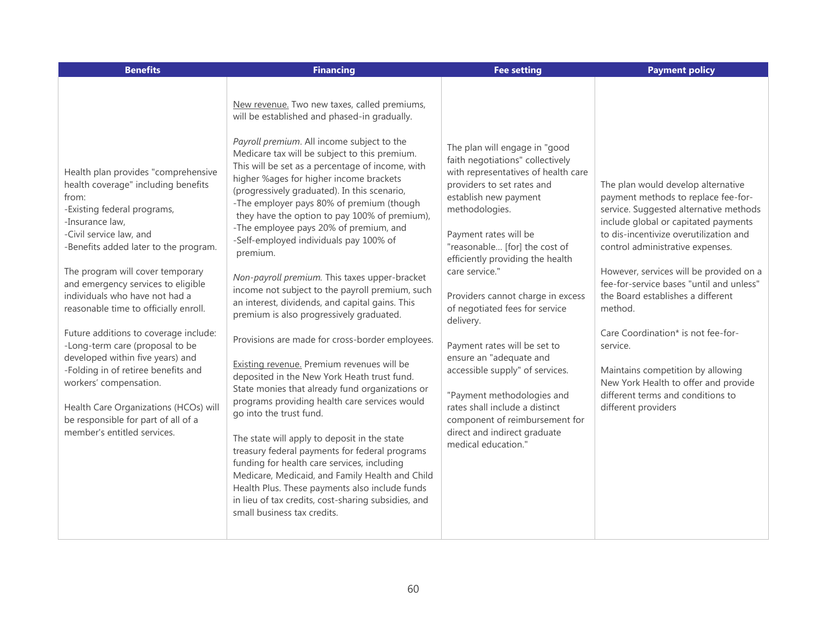| <b>Benefits</b>                                                                                                                                                                                                                                                                                                                                                                                                                                                                                                                                                                                                                                                | <b>Financing</b>                                                                                                                                                                                                                                                                                                                                                                                                                                                                                                                                                                                                                                                                                                                                                                                                                                                                                                                                                                                                                                                                                                                                                                                                                                                                                                                                                       | <b>Fee setting</b>                                                                                                                                                                                                                                                                                                                                                                                                                                                                                                                                                                                                                           | <b>Payment policy</b>                                                                                                                                                                                                                                                                                                                                                                                                                                                                                                                                                       |
|----------------------------------------------------------------------------------------------------------------------------------------------------------------------------------------------------------------------------------------------------------------------------------------------------------------------------------------------------------------------------------------------------------------------------------------------------------------------------------------------------------------------------------------------------------------------------------------------------------------------------------------------------------------|------------------------------------------------------------------------------------------------------------------------------------------------------------------------------------------------------------------------------------------------------------------------------------------------------------------------------------------------------------------------------------------------------------------------------------------------------------------------------------------------------------------------------------------------------------------------------------------------------------------------------------------------------------------------------------------------------------------------------------------------------------------------------------------------------------------------------------------------------------------------------------------------------------------------------------------------------------------------------------------------------------------------------------------------------------------------------------------------------------------------------------------------------------------------------------------------------------------------------------------------------------------------------------------------------------------------------------------------------------------------|----------------------------------------------------------------------------------------------------------------------------------------------------------------------------------------------------------------------------------------------------------------------------------------------------------------------------------------------------------------------------------------------------------------------------------------------------------------------------------------------------------------------------------------------------------------------------------------------------------------------------------------------|-----------------------------------------------------------------------------------------------------------------------------------------------------------------------------------------------------------------------------------------------------------------------------------------------------------------------------------------------------------------------------------------------------------------------------------------------------------------------------------------------------------------------------------------------------------------------------|
| Health plan provides "comprehensive<br>health coverage" including benefits<br>from:<br>-Existing federal programs,<br>-Insurance law,<br>-Civil service law, and<br>-Benefits added later to the program.<br>The program will cover temporary<br>and emergency services to eligible<br>individuals who have not had a<br>reasonable time to officially enroll.<br>Future additions to coverage include:<br>-Long-term care (proposal to be<br>developed within five years) and<br>-Folding in of retiree benefits and<br>workers' compensation.<br>Health Care Organizations (HCOs) will<br>be responsible for part of all of a<br>member's entitled services. | New revenue. Two new taxes, called premiums,<br>will be established and phased-in gradually.<br>Payroll premium. All income subject to the<br>Medicare tax will be subject to this premium.<br>This will be set as a percentage of income, with<br>higher %ages for higher income brackets<br>(progressively graduated). In this scenario,<br>-The employer pays 80% of premium (though<br>they have the option to pay 100% of premium),<br>-The employee pays 20% of premium, and<br>-Self-employed individuals pay 100% of<br>premium.<br>Non-payroll premium. This taxes upper-bracket<br>income not subject to the payroll premium, such<br>an interest, dividends, and capital gains. This<br>premium is also progressively graduated.<br>Provisions are made for cross-border employees.<br>Existing revenue. Premium revenues will be<br>deposited in the New York Heath trust fund.<br>State monies that already fund organizations or<br>programs providing health care services would<br>go into the trust fund.<br>The state will apply to deposit in the state<br>treasury federal payments for federal programs<br>funding for health care services, including<br>Medicare, Medicaid, and Family Health and Child<br>Health Plus. These payments also include funds<br>in lieu of tax credits, cost-sharing subsidies, and<br>small business tax credits. | The plan will engage in "good<br>faith negotiations" collectively<br>with representatives of health care<br>providers to set rates and<br>establish new payment<br>methodologies.<br>Payment rates will be<br>"reasonable [for] the cost of<br>efficiently providing the health<br>care service."<br>Providers cannot charge in excess<br>of negotiated fees for service<br>delivery.<br>Payment rates will be set to<br>ensure an "adequate and<br>accessible supply" of services.<br>"Payment methodologies and<br>rates shall include a distinct<br>component of reimbursement for<br>direct and indirect graduate<br>medical education." | The plan would develop alternative<br>payment methods to replace fee-for-<br>service. Suggested alternative methods<br>include global or capitated payments<br>to dis-incentivize overutilization and<br>control administrative expenses.<br>However, services will be provided on a<br>fee-for-service bases "until and unless"<br>the Board establishes a different<br>method.<br>Care Coordination* is not fee-for-<br>service.<br>Maintains competition by allowing<br>New York Health to offer and provide<br>different terms and conditions to<br>different providers |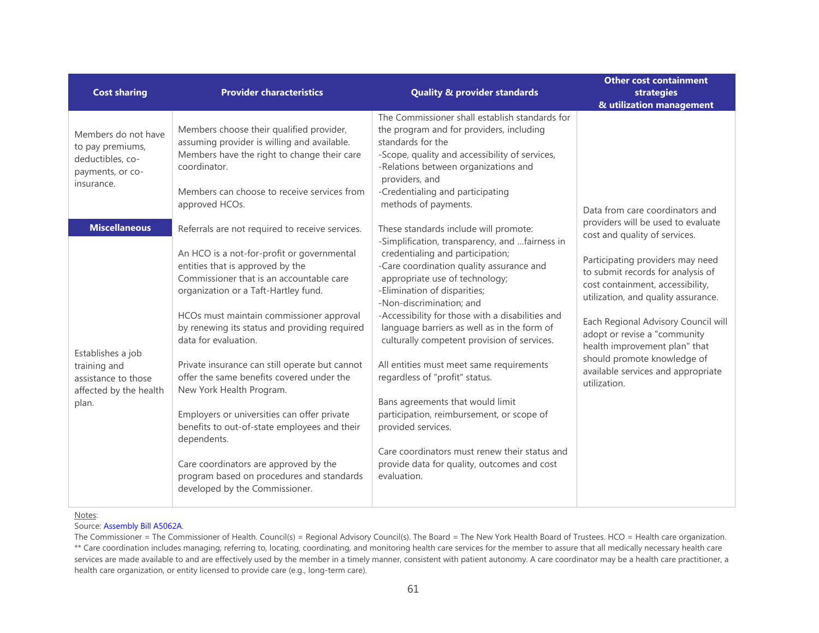|                                                                                               |                                                                                                                                                                                                                                                                                                                                                                                                                                                                                                                                                                                                                                                          |                                                                                                                                                                                                                                                                                                                                                                                                                                                                                                                                                                                                                                                                                     | <b>Other cost containment</b>                                                                                                                                                                                                                                                                                                                                                  |
|-----------------------------------------------------------------------------------------------|----------------------------------------------------------------------------------------------------------------------------------------------------------------------------------------------------------------------------------------------------------------------------------------------------------------------------------------------------------------------------------------------------------------------------------------------------------------------------------------------------------------------------------------------------------------------------------------------------------------------------------------------------------|-------------------------------------------------------------------------------------------------------------------------------------------------------------------------------------------------------------------------------------------------------------------------------------------------------------------------------------------------------------------------------------------------------------------------------------------------------------------------------------------------------------------------------------------------------------------------------------------------------------------------------------------------------------------------------------|--------------------------------------------------------------------------------------------------------------------------------------------------------------------------------------------------------------------------------------------------------------------------------------------------------------------------------------------------------------------------------|
| <b>Cost sharing</b>                                                                           | <b>Provider characteristics</b>                                                                                                                                                                                                                                                                                                                                                                                                                                                                                                                                                                                                                          | <b>Quality &amp; provider standards</b>                                                                                                                                                                                                                                                                                                                                                                                                                                                                                                                                                                                                                                             | strategies                                                                                                                                                                                                                                                                                                                                                                     |
|                                                                                               |                                                                                                                                                                                                                                                                                                                                                                                                                                                                                                                                                                                                                                                          |                                                                                                                                                                                                                                                                                                                                                                                                                                                                                                                                                                                                                                                                                     | & utilization management                                                                                                                                                                                                                                                                                                                                                       |
| Members do not have<br>to pay premiums,<br>deductibles, co-<br>payments, or co-<br>insurance. | Members choose their qualified provider,<br>assuming provider is willing and available.<br>Members have the right to change their care<br>coordinator.<br>Members can choose to receive services from<br>approved HCOs.                                                                                                                                                                                                                                                                                                                                                                                                                                  | The Commissioner shall establish standards for<br>the program and for providers, including<br>standards for the<br>-Scope, quality and accessibility of services,<br>-Relations between organizations and<br>providers, and<br>-Credentialing and participating<br>methods of payments.                                                                                                                                                                                                                                                                                                                                                                                             | Data from care coordinators and                                                                                                                                                                                                                                                                                                                                                |
| <b>Miscellaneous</b>                                                                          | Referrals are not required to receive services.                                                                                                                                                                                                                                                                                                                                                                                                                                                                                                                                                                                                          | These standards include will promote:                                                                                                                                                                                                                                                                                                                                                                                                                                                                                                                                                                                                                                               | providers will be used to evaluate                                                                                                                                                                                                                                                                                                                                             |
| Establishes a job<br>training and<br>assistance to those<br>affected by the health<br>plan.   | An HCO is a not-for-profit or governmental<br>entities that is approved by the<br>Commissioner that is an accountable care<br>organization or a Taft-Hartley fund.<br>HCOs must maintain commissioner approval<br>by renewing its status and providing required<br>data for evaluation.<br>Private insurance can still operate but cannot<br>offer the same benefits covered under the<br>New York Health Program.<br>Employers or universities can offer private<br>benefits to out-of-state employees and their<br>dependents.<br>Care coordinators are approved by the<br>program based on procedures and standards<br>developed by the Commissioner. | -Simplification, transparency, and  fairness in<br>credentialing and participation;<br>-Care coordination quality assurance and<br>appropriate use of technology;<br>-Elimination of disparities;<br>-Non-discrimination; and<br>-Accessibility for those with a disabilities and<br>language barriers as well as in the form of<br>culturally competent provision of services.<br>All entities must meet same requirements<br>regardless of "profit" status.<br>Bans agreements that would limit<br>participation, reimbursement, or scope of<br>provided services.<br>Care coordinators must renew their status and<br>provide data for quality, outcomes and cost<br>evaluation. | cost and quality of services.<br>Participating providers may need<br>to submit records for analysis of<br>cost containment, accessibility,<br>utilization, and quality assurance.<br>Each Regional Advisory Council will<br>adopt or revise a "community<br>health improvement plan" that<br>should promote knowledge of<br>available services and appropriate<br>utilization. |

#### Notes:

#### Source: [Assembly Bill A5062A.](https://www.nysenate.gov/legislation/bills/2015/A5062)

The Commissioner = The Commissioner of Health. Council(s) = Regional Advisory Council(s). The Board = The New York Health Board of Trustees. HCO = Health care organization. \*\* Care coordination includes managing, referring to, locating, coordinating, and monitoring health care services for the member to assure that all medically necessary health care services are made available to and are effectively used by the member in a timely manner, consistent with patient autonomy. A care coordinator may be a health care practitioner, a health care organization, or entity licensed to provide care (e.g., long-term care).